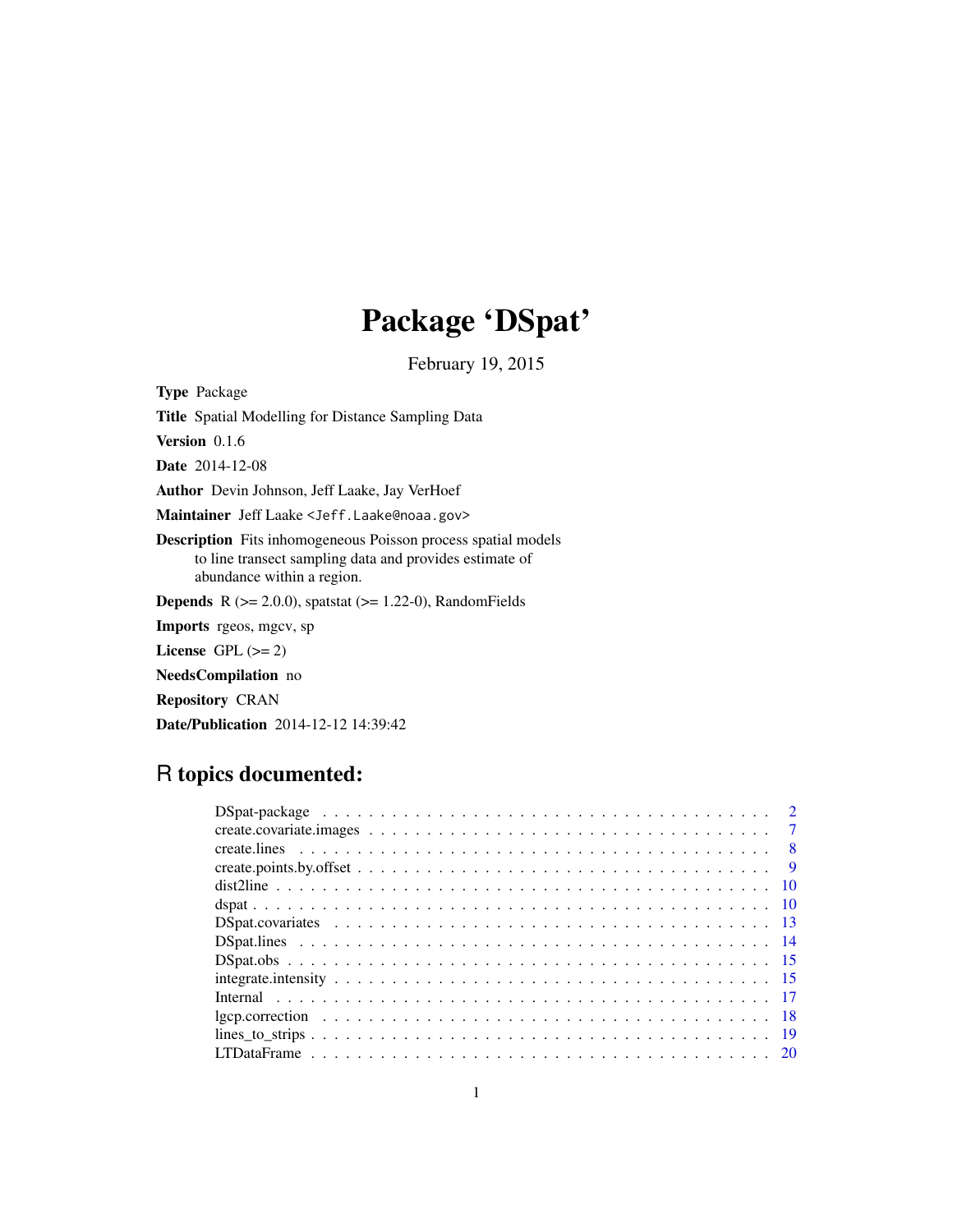# Package 'DSpat'

February 19, 2015

<span id="page-0-0"></span>Type Package Title Spatial Modelling for Distance Sampling Data Version 0.1.6 Date 2014-12-08 Author Devin Johnson, Jeff Laake, Jay VerHoef Maintainer Jeff Laake <Jeff.Laake@noaa.gov> Description Fits inhomogeneous Poisson process spatial models to line transect sampling data and provides estimate of abundance within a region. **Depends** R  $(>= 2.0.0)$ , spatstat  $(>= 1.22-0)$ , RandomFields Imports rgeos, mgcv, sp License GPL  $(>= 2)$ NeedsCompilation no Repository CRAN Date/Publication 2014-12-12 14:39:42

# R topics documented:

| $\overline{7}$                                                                                                                                                                                                                                                                                                                                                                                                           |  |
|--------------------------------------------------------------------------------------------------------------------------------------------------------------------------------------------------------------------------------------------------------------------------------------------------------------------------------------------------------------------------------------------------------------------------|--|
|                                                                                                                                                                                                                                                                                                                                                                                                                          |  |
|                                                                                                                                                                                                                                                                                                                                                                                                                          |  |
|                                                                                                                                                                                                                                                                                                                                                                                                                          |  |
|                                                                                                                                                                                                                                                                                                                                                                                                                          |  |
|                                                                                                                                                                                                                                                                                                                                                                                                                          |  |
|                                                                                                                                                                                                                                                                                                                                                                                                                          |  |
| $DSpat. obs \n\t\ldots \n\t\ldots \n\t\ldots \n\t\ldots \n\t\ldots \n\t\ldots \n\t\ldots \n\t\ldots \n\t\ldots \n\t\ldots \n\t\ldots \n\t\ldots \n\t\ldots \n\t\ldots \n\t\ldots \n\t\ldots \n\t\ldots \n\t\ldots \n\t\ldots \n\t\ldots \n\t\ldots \n\t\ldots \n\t\ldots \n\t\ldots \n\t\ldots \n\t\ldots \n\t\ldots \n\t\ldots \n\t\ldots \n\t\ldots \n\t\ldots \n\t\ldots \n\t\ldots \n\t\ldots \n\t\ldots \n\t\ldots$ |  |
|                                                                                                                                                                                                                                                                                                                                                                                                                          |  |
|                                                                                                                                                                                                                                                                                                                                                                                                                          |  |
|                                                                                                                                                                                                                                                                                                                                                                                                                          |  |
|                                                                                                                                                                                                                                                                                                                                                                                                                          |  |
|                                                                                                                                                                                                                                                                                                                                                                                                                          |  |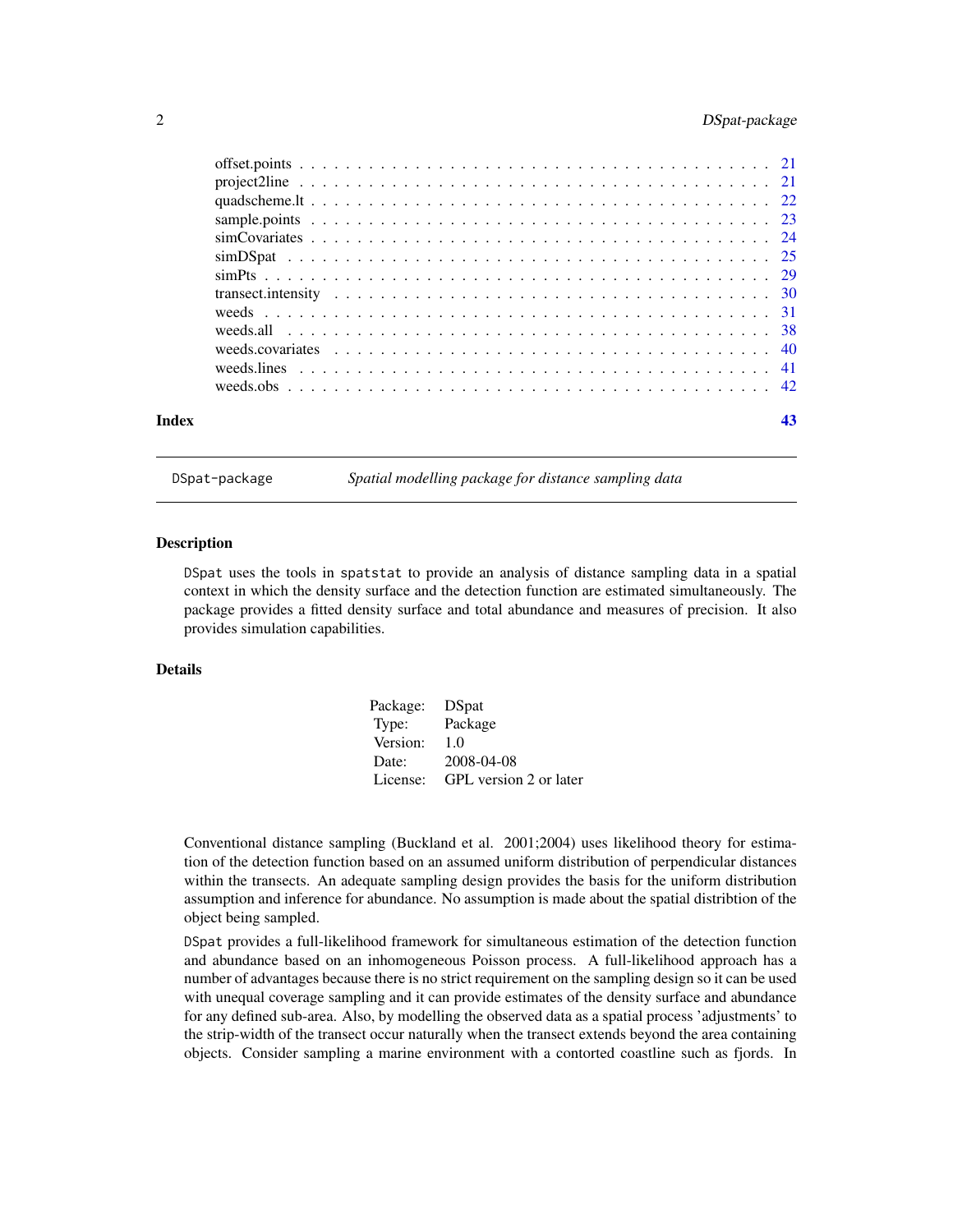# <span id="page-1-0"></span>2 DSpat-package

| Index |  |
|-------|--|

DSpat-package *Spatial modelling package for distance sampling data*

#### **Description**

DSpat uses the tools in spatstat to provide an analysis of distance sampling data in a spatial context in which the density surface and the detection function are estimated simultaneously. The package provides a fitted density surface and total abundance and measures of precision. It also provides simulation capabilities.

# Details

| Package: DSpat |                        |
|----------------|------------------------|
| Type:          | Package                |
| Version:       | 1.0                    |
| Date:          | 2008-04-08             |
| License:       | GPL version 2 or later |

Conventional distance sampling (Buckland et al. 2001;2004) uses likelihood theory for estimation of the detection function based on an assumed uniform distribution of perpendicular distances within the transects. An adequate sampling design provides the basis for the uniform distribution assumption and inference for abundance. No assumption is made about the spatial distribtion of the object being sampled.

DSpat provides a full-likelihood framework for simultaneous estimation of the detection function and abundance based on an inhomogeneous Poisson process. A full-likelihood approach has a number of advantages because there is no strict requirement on the sampling design so it can be used with unequal coverage sampling and it can provide estimates of the density surface and abundance for any defined sub-area. Also, by modelling the observed data as a spatial process 'adjustments' to the strip-width of the transect occur naturally when the transect extends beyond the area containing objects. Consider sampling a marine environment with a contorted coastline such as fjords. In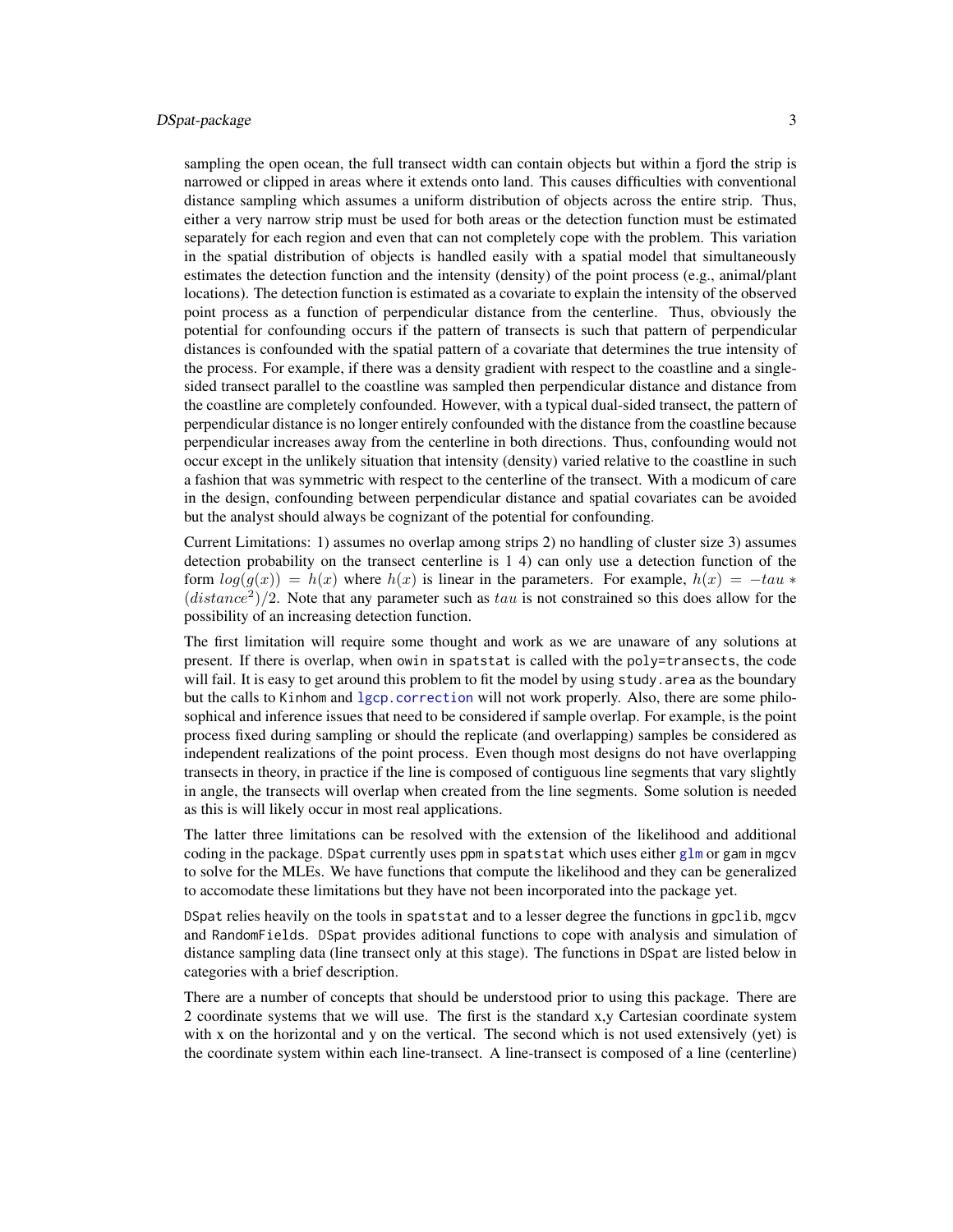# <span id="page-2-0"></span>DSpat-package 3

sampling the open ocean, the full transect width can contain objects but within a fjord the strip is narrowed or clipped in areas where it extends onto land. This causes difficulties with conventional distance sampling which assumes a uniform distribution of objects across the entire strip. Thus, either a very narrow strip must be used for both areas or the detection function must be estimated separately for each region and even that can not completely cope with the problem. This variation in the spatial distribution of objects is handled easily with a spatial model that simultaneously estimates the detection function and the intensity (density) of the point process (e.g., animal/plant locations). The detection function is estimated as a covariate to explain the intensity of the observed point process as a function of perpendicular distance from the centerline. Thus, obviously the potential for confounding occurs if the pattern of transects is such that pattern of perpendicular distances is confounded with the spatial pattern of a covariate that determines the true intensity of the process. For example, if there was a density gradient with respect to the coastline and a singlesided transect parallel to the coastline was sampled then perpendicular distance and distance from the coastline are completely confounded. However, with a typical dual-sided transect, the pattern of perpendicular distance is no longer entirely confounded with the distance from the coastline because perpendicular increases away from the centerline in both directions. Thus, confounding would not occur except in the unlikely situation that intensity (density) varied relative to the coastline in such a fashion that was symmetric with respect to the centerline of the transect. With a modicum of care in the design, confounding between perpendicular distance and spatial covariates can be avoided but the analyst should always be cognizant of the potential for confounding.

Current Limitations: 1) assumes no overlap among strips 2) no handling of cluster size 3) assumes detection probability on the transect centerline is 1 4) can only use a detection function of the form  $log(g(x)) = h(x)$  where  $h(x)$  is linear in the parameters. For example,  $h(x) = -tau$  $(distance<sup>2</sup>)/2$ . Note that any parameter such as tau is not constrained so this does allow for the possibility of an increasing detection function.

The first limitation will require some thought and work as we are unaware of any solutions at present. If there is overlap, when owin in spatstat is called with the poly=transects, the code will fail. It is easy to get around this problem to fit the model by using study. area as the boundary but the calls to Kinhom and [lgcp.correction](#page-17-1) will not work properly. Also, there are some philosophical and inference issues that need to be considered if sample overlap. For example, is the point process fixed during sampling or should the replicate (and overlapping) samples be considered as independent realizations of the point process. Even though most designs do not have overlapping transects in theory, in practice if the line is composed of contiguous line segments that vary slightly in angle, the transects will overlap when created from the line segments. Some solution is needed as this is will likely occur in most real applications.

The latter three limitations can be resolved with the extension of the likelihood and additional coding in the package. DSpat currently uses ppm in spatstat which uses either [glm](#page-0-0) or gam in mgcv to solve for the MLEs. We have functions that compute the likelihood and they can be generalized to accomodate these limitations but they have not been incorporated into the package yet.

DSpat relies heavily on the tools in spatstat and to a lesser degree the functions in gpclib, mgcv and RandomFields. DSpat provides aditional functions to cope with analysis and simulation of distance sampling data (line transect only at this stage). The functions in DSpat are listed below in categories with a brief description.

There are a number of concepts that should be understood prior to using this package. There are 2 coordinate systems that we will use. The first is the standard x,y Cartesian coordinate system with x on the horizontal and y on the vertical. The second which is not used extensively (yet) is the coordinate system within each line-transect. A line-transect is composed of a line (centerline)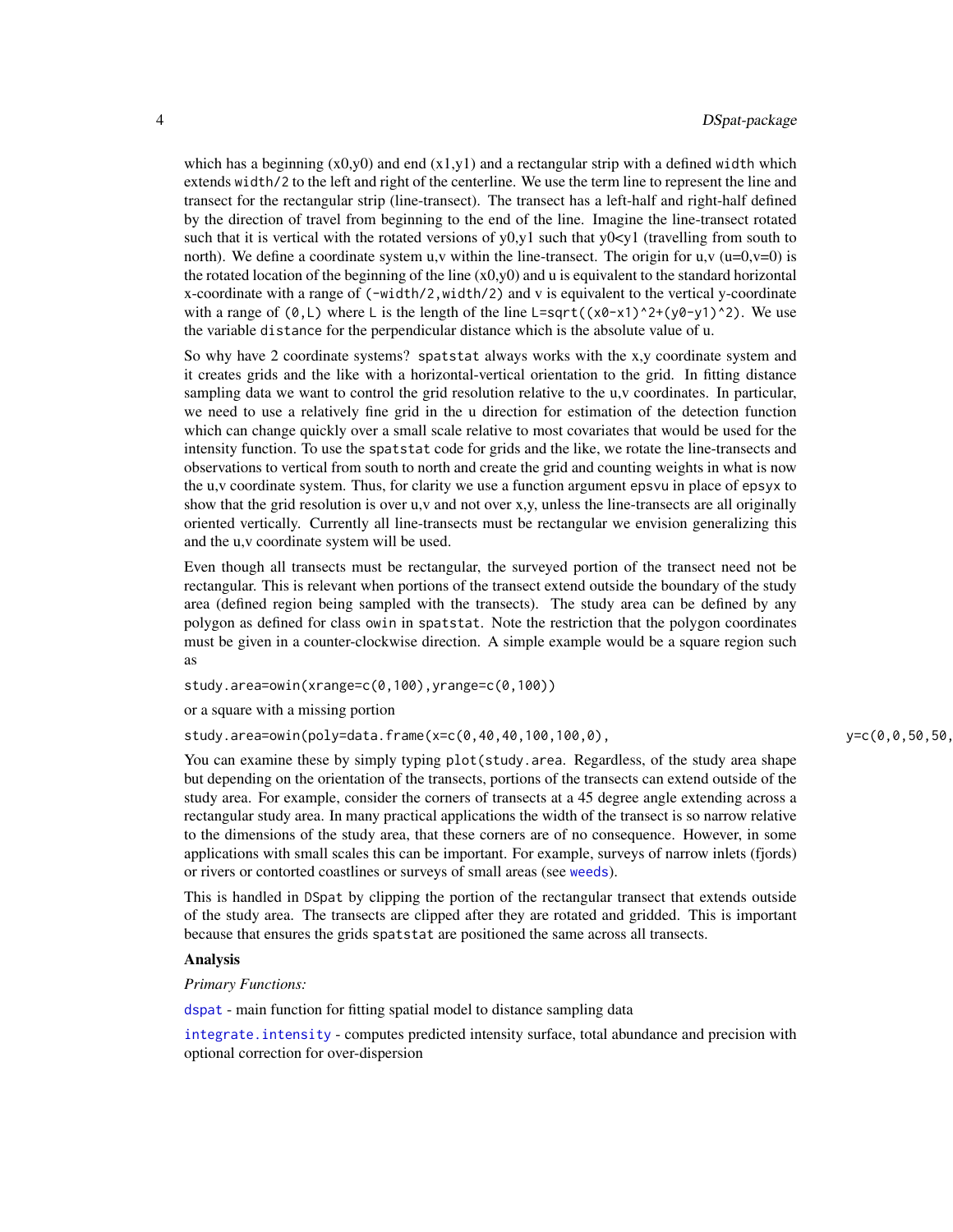<span id="page-3-0"></span>which has a beginning  $(x0,y0)$  and end  $(x1,y1)$  and a rectangular strip with a defined width which extends width/2 to the left and right of the centerline. We use the term line to represent the line and transect for the rectangular strip (line-transect). The transect has a left-half and right-half defined by the direction of travel from beginning to the end of the line. Imagine the line-transect rotated such that it is vertical with the rotated versions of  $y0, y1$  such that  $y0 \le y1$  (travelling from south to north). We define a coordinate system u,v within the line-transect. The origin for u,v  $(u=0, v=0)$  is the rotated location of the beginning of the line  $(x0,y0)$  and u is equivalent to the standard horizontal x-coordinate with a range of  $(-width/2, width/2)$  and v is equivalent to the vertical y-coordinate with a range of  $(0, L)$  where L is the length of the line L=sqrt( $(x0-x1)^2+(y0-y1)^2$ ). We use the variable distance for the perpendicular distance which is the absolute value of u.

So why have 2 coordinate systems? spatstat always works with the x,y coordinate system and it creates grids and the like with a horizontal-vertical orientation to the grid. In fitting distance sampling data we want to control the grid resolution relative to the u,v coordinates. In particular, we need to use a relatively fine grid in the u direction for estimation of the detection function which can change quickly over a small scale relative to most covariates that would be used for the intensity function. To use the spatstat code for grids and the like, we rotate the line-transects and observations to vertical from south to north and create the grid and counting weights in what is now the u,v coordinate system. Thus, for clarity we use a function argument epsvu in place of epsyx to show that the grid resolution is over u,v and not over x,y, unless the line-transects are all originally oriented vertically. Currently all line-transects must be rectangular we envision generalizing this and the u,v coordinate system will be used.

Even though all transects must be rectangular, the surveyed portion of the transect need not be rectangular. This is relevant when portions of the transect extend outside the boundary of the study area (defined region being sampled with the transects). The study area can be defined by any polygon as defined for class owin in spatstat. Note the restriction that the polygon coordinates must be given in a counter-clockwise direction. A simple example would be a square region such as

study.area=owin(xrange=c(0,100),yrange=c(0,100))

or a square with a missing portion

study.area=owin(poly=data.frame(x=c(0,40,40,100,100,0),  $y=c(0,0,50,50,50,$ 

You can examine these by simply typing plot (study.area. Regardless, of the study area shape but depending on the orientation of the transects, portions of the transects can extend outside of the study area. For example, consider the corners of transects at a 45 degree angle extending across a rectangular study area. In many practical applications the width of the transect is so narrow relative to the dimensions of the study area, that these corners are of no consequence. However, in some applications with small scales this can be important. For example, surveys of narrow inlets (fjords) or rivers or contorted coastlines or surveys of small areas (see [weeds](#page-30-1)).

This is handled in DSpat by clipping the portion of the rectangular transect that extends outside of the study area. The transects are clipped after they are rotated and gridded. This is important because that ensures the grids spatstat are positioned the same across all transects.

# Analysis

*Primary Functions:*

[dspat](#page-9-1) - main function for fitting spatial model to distance sampling data

[integrate.intensity](#page-14-1) - computes predicted intensity surface, total abundance and precision with optional correction for over-dispersion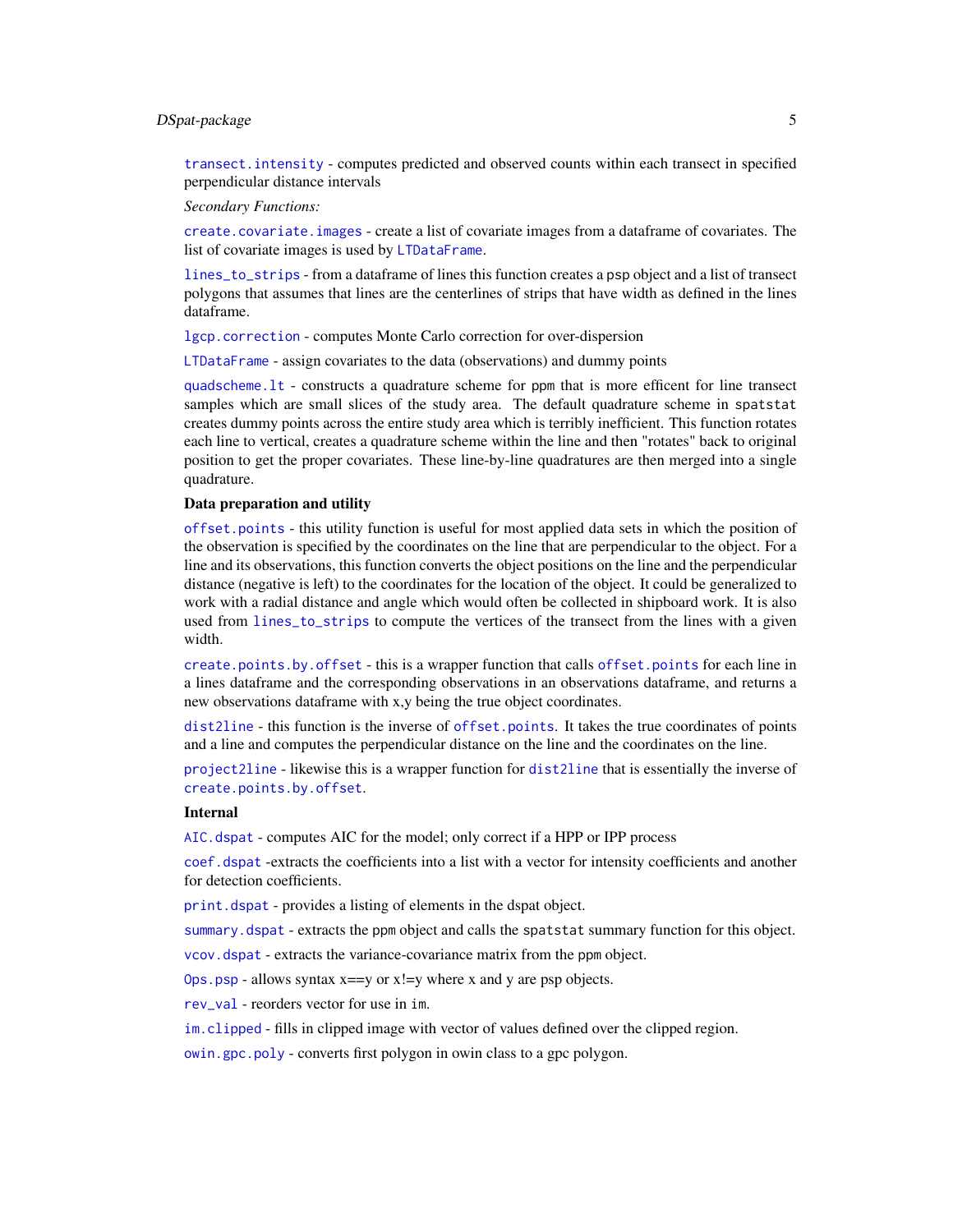# <span id="page-4-0"></span>DSpat-package 5

[transect.intensity](#page-29-1) - computes predicted and observed counts within each transect in specified perpendicular distance intervals

*Secondary Functions:*

[create.covariate.images](#page-6-1) - create a list of covariate images from a dataframe of covariates. The list of covariate images is used by [LTDataFrame](#page-19-1).

[lines\\_to\\_strips](#page-18-1) - from a dataframe of lines this function creates a psp object and a list of transect polygons that assumes that lines are the centerlines of strips that have width as defined in the lines dataframe.

[lgcp.correction](#page-17-1) - computes Monte Carlo correction for over-dispersion

[LTDataFrame](#page-19-1) - assign covariates to the data (observations) and dummy points

[quadscheme.lt](#page-21-1) - constructs a quadrature scheme for ppm that is more efficent for line transect samples which are small slices of the study area. The default quadrature scheme in spatstat creates dummy points across the entire study area which is terribly inefficient. This function rotates each line to vertical, creates a quadrature scheme within the line and then "rotates" back to original position to get the proper covariates. These line-by-line quadratures are then merged into a single quadrature.

#### Data preparation and utility

[offset.points](#page-20-1) - this utility function is useful for most applied data sets in which the position of the observation is specified by the coordinates on the line that are perpendicular to the object. For a line and its observations, this function converts the object positions on the line and the perpendicular distance (negative is left) to the coordinates for the location of the object. It could be generalized to work with a radial distance and angle which would often be collected in shipboard work. It is also used from [lines\\_to\\_strips](#page-18-1) to compute the vertices of the transect from the lines with a given width.

[create.points.by.offset](#page-8-1) - this is a wrapper function that calls [offset.points](#page-20-1) for each line in a lines dataframe and the corresponding observations in an observations dataframe, and returns a new observations dataframe with x,y being the true object coordinates.

[dist2line](#page-9-2) - this function is the inverse of [offset.points](#page-20-1). It takes the true coordinates of points and a line and computes the perpendicular distance on the line and the coordinates on the line.

[project2line](#page-20-2) - likewise this is a wrapper function for [dist2line](#page-9-2) that is essentially the inverse of [create.points.by.offset](#page-8-1).

#### Internal

AIC. dspat - computes AIC for the model; only correct if a HPP or IPP process

[coef.dspat](#page-16-1) -extracts the coefficients into a list with a vector for intensity coefficients and another for detection coefficients.

[print.dspat](#page-16-1) - provides a listing of elements in the dspat object.

[summary.dspat](#page-16-1) - extracts the ppm object and calls the spatstat summary function for this object.

[vcov.dspat](#page-16-1) - extracts the variance-covariance matrix from the ppm object.

 $Ops.psp - allows syntax x == y or x != y where x and y are psp objects.$  $Ops.psp - allows syntax x == y or x != y where x and y are psp objects.$ 

[rev\\_val](#page-16-1) - reorders vector for use in im.

[im.clipped](#page-16-1) - fills in clipped image with vector of values defined over the clipped region.

[owin.gpc.poly](#page-16-1) - converts first polygon in owin class to a gpc polygon.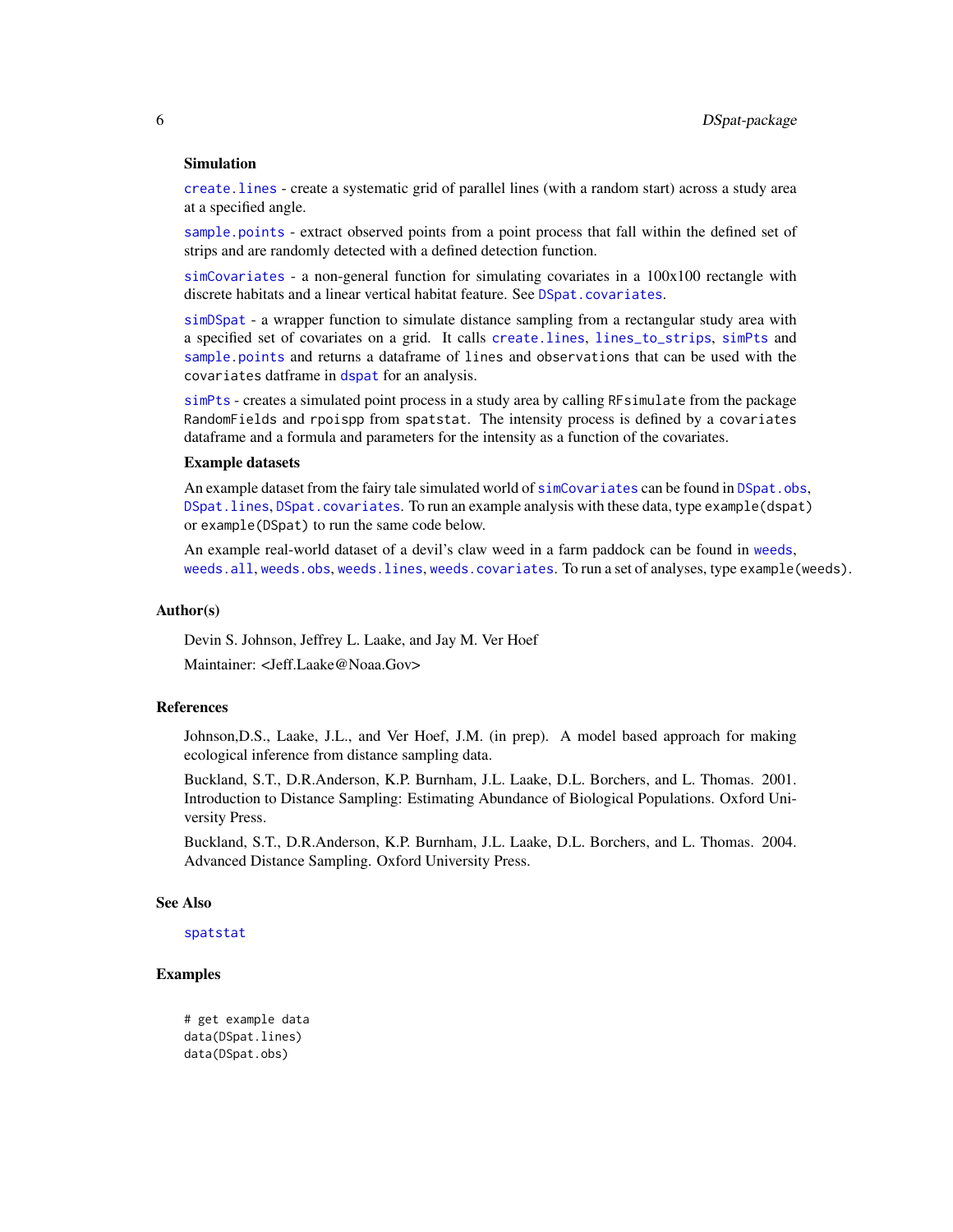#### <span id="page-5-0"></span>Simulation

[create.lines](#page-7-1) - create a systematic grid of parallel lines (with a random start) across a study area at a specified angle.

[sample.points](#page-22-1) - extract observed points from a point process that fall within the defined set of strips and are randomly detected with a defined detection function.

[simCovariates](#page-23-1) - a non-general function for simulating covariates in a 100x100 rectangle with discrete habitats and a linear vertical habitat feature. See [DSpat.covariates](#page-12-1).

[simDSpat](#page-24-1) - a wrapper function to simulate distance sampling from a rectangular study area with a specified set of covariates on a grid. It calls [create.lines](#page-7-1), [lines\\_to\\_strips](#page-18-1), [simPts](#page-28-1) and [sample.points](#page-22-1) and returns a dataframe of lines and observations that can be used with the covariates datframe in [dspat](#page-9-1) for an analysis.

[simPts](#page-28-1) - creates a simulated point process in a study area by calling RFsimulate from the package RandomFields and rpoispp from spatstat. The intensity process is defined by a covariates dataframe and a formula and parameters for the intensity as a function of the covariates.

#### Example datasets

An example dataset from the fairy tale simulated world of [simCovariates](#page-23-1) can be found in [DSpat.obs](#page-14-2), [DSpat.lines](#page-13-1), [DSpat.covariates](#page-12-1). To run an example analysis with these data, type example(dspat) or example(DSpat) to run the same code below.

An example real-world dataset of a devil's claw weed in a farm paddock can be found in [weeds](#page-30-1), [weeds.all](#page-37-1), [weeds.obs](#page-41-1), [weeds.lines](#page-40-1), [weeds.covariates](#page-39-1). To run a set of analyses, type example(weeds).

#### Author(s)

Devin S. Johnson, Jeffrey L. Laake, and Jay M. Ver Hoef

Maintainer: <Jeff.Laake@Noaa.Gov>

# References

Johnson,D.S., Laake, J.L., and Ver Hoef, J.M. (in prep). A model based approach for making ecological inference from distance sampling data.

Buckland, S.T., D.R.Anderson, K.P. Burnham, J.L. Laake, D.L. Borchers, and L. Thomas. 2001. Introduction to Distance Sampling: Estimating Abundance of Biological Populations. Oxford University Press.

Buckland, S.T., D.R.Anderson, K.P. Burnham, J.L. Laake, D.L. Borchers, and L. Thomas. 2004. Advanced Distance Sampling. Oxford University Press.

#### See Also

[spatstat](#page-0-0)

# Examples

```
# get example data
data(DSpat.lines)
data(DSpat.obs)
```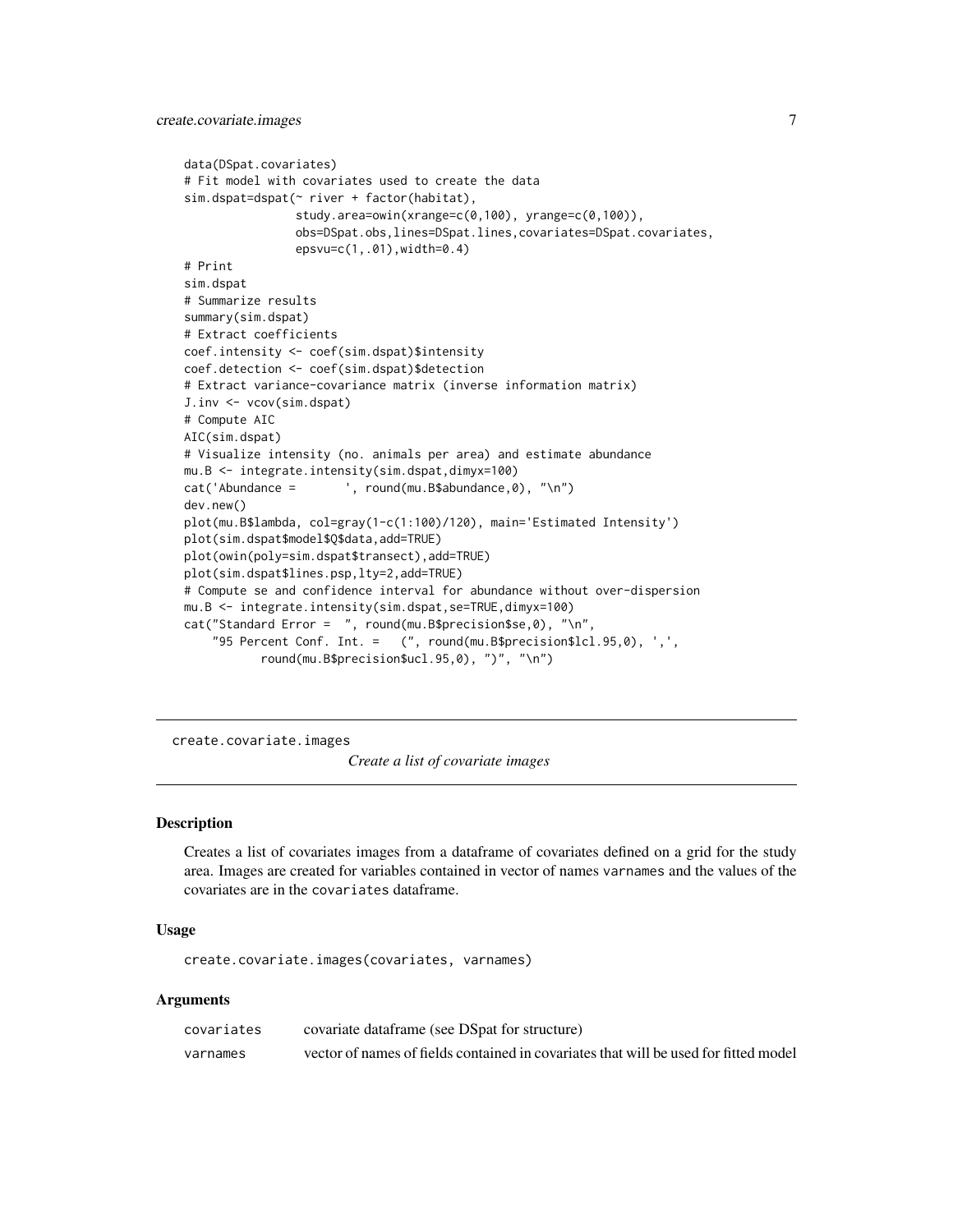```
data(DSpat.covariates)
# Fit model with covariates used to create the data
sim.dspat=dspat(~ river + factor(habitat),
                study.area=owin(xrange=c(0,100), yrange=c(0,100)),
                obs=DSpat.obs,lines=DSpat.lines,covariates=DSpat.covariates,
                epsvu=c(1,.01),width=0.4)
# Print
sim.dspat
# Summarize results
summary(sim.dspat)
# Extract coefficients
coef.intensity <- coef(sim.dspat)$intensity
coef.detection <- coef(sim.dspat)$detection
# Extract variance-covariance matrix (inverse information matrix)
J.inv <- vcov(sim.dspat)
# Compute AIC
AIC(sim.dspat)
# Visualize intensity (no. animals per area) and estimate abundance
mu.B <- integrate.intensity(sim.dspat,dimyx=100)
cat('Abundance = ', round(mu.B$abundance,0), "\n")
dev.new()
plot(mu.B$lambda, col=gray(1-c(1:100)/120), main='Estimated Intensity')
plot(sim.dspat$model$Q$data,add=TRUE)
plot(owin(poly=sim.dspat$transect),add=TRUE)
plot(sim.dspat$lines.psp,lty=2,add=TRUE)
# Compute se and confidence interval for abundance without over-dispersion
mu.B <- integrate.intensity(sim.dspat,se=TRUE,dimyx=100)
cat("Standard Error = ", round(mu.B$precision$se,0), "\n",
    "95 Percent Conf. Int. = (", round(mu.B$precision$lcl.95,0), ',',
           round(mu.B$precision$ucl.95,0), ")", "\n")
```
<span id="page-6-1"></span>create.covariate.images

*Create a list of covariate images*

#### **Description**

Creates a list of covariates images from a dataframe of covariates defined on a grid for the study area. Images are created for variables contained in vector of names varnames and the values of the covariates are in the covariates dataframe.

# Usage

create.covariate.images(covariates, varnames)

# Arguments

| covariates | covariate dataframe (see DSpat for structure)                                        |
|------------|--------------------------------------------------------------------------------------|
| varnames   | vector of names of fields contained in covariates that will be used for fitted model |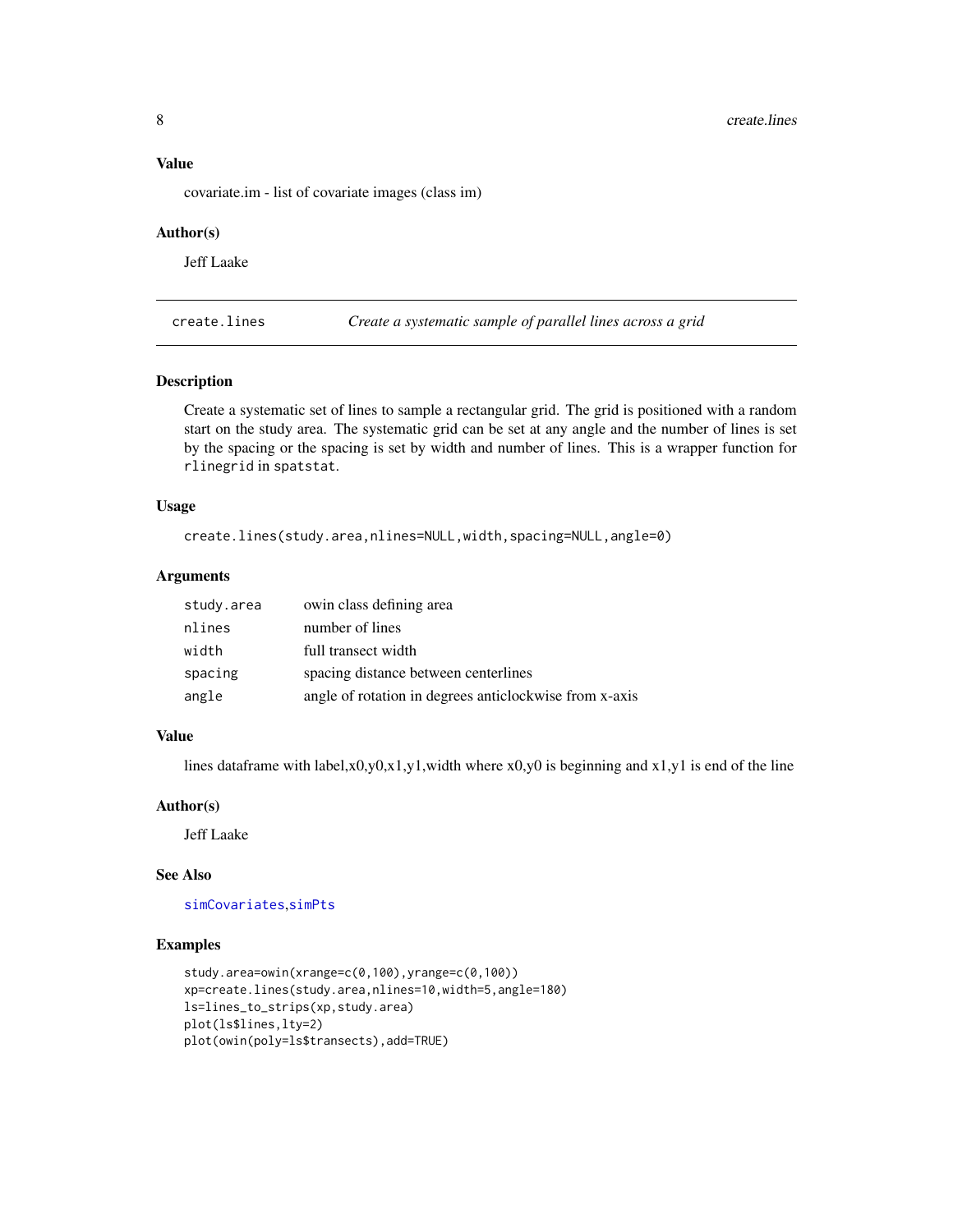# <span id="page-7-0"></span>Value

covariate.im - list of covariate images (class im)

#### Author(s)

Jeff Laake

<span id="page-7-1"></span>create.lines *Create a systematic sample of parallel lines across a grid*

#### Description

Create a systematic set of lines to sample a rectangular grid. The grid is positioned with a random start on the study area. The systematic grid can be set at any angle and the number of lines is set by the spacing or the spacing is set by width and number of lines. This is a wrapper function for rlinegrid in spatstat.

# Usage

```
create.lines(study.area,nlines=NULL,width,spacing=NULL,angle=0)
```
# Arguments

| study.area | owin class defining area                               |
|------------|--------------------------------------------------------|
| nlines     | number of lines                                        |
| width      | full transect width                                    |
| spacing    | spacing distance between centerlines                   |
| angle      | angle of rotation in degrees anticlockwise from x-axis |

# Value

lines dataframe with label,x0,y0,x1,y1,width where x0,y0 is beginning and x1,y1 is end of the line

# Author(s)

Jeff Laake

#### See Also

[simCovariates](#page-23-1),[simPts](#page-28-1)

#### Examples

```
study.area=owin(xrange=c(0,100),yrange=c(0,100))
xp=create.lines(study.area,nlines=10,width=5,angle=180)
ls=lines_to_strips(xp,study.area)
plot(ls$lines,lty=2)
plot(owin(poly=ls$transects),add=TRUE)
```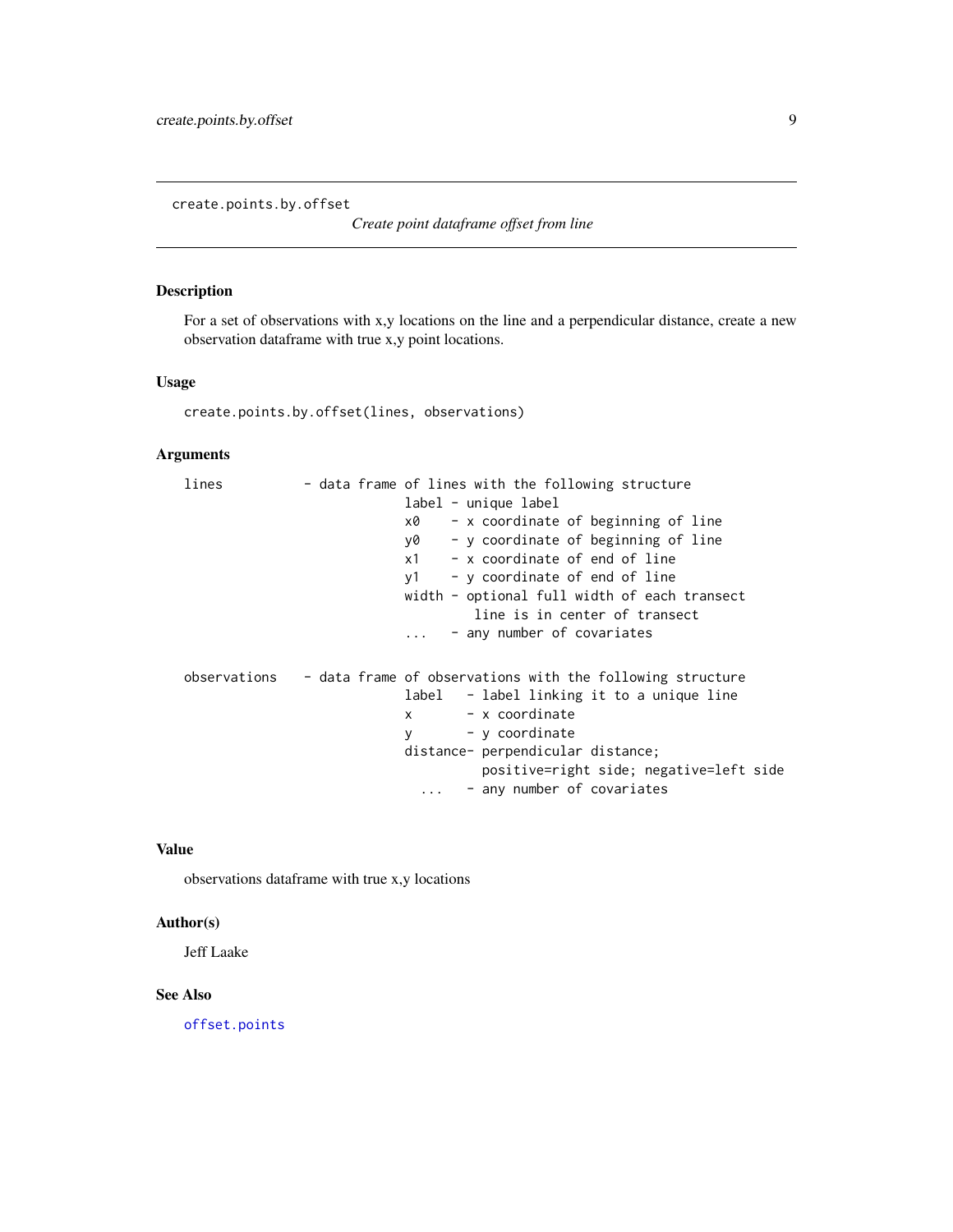<span id="page-8-1"></span><span id="page-8-0"></span>create.points.by.offset

*Create point dataframe offset from line*

# Description

For a set of observations with x,y locations on the line and a perpendicular distance, create a new observation dataframe with true x,y point locations.

## Usage

create.points.by.offset(lines, observations)

# Arguments

| lines | - data frame of lines with the following structure                     |
|-------|------------------------------------------------------------------------|
|       | label - unique label                                                   |
|       | - x coordinate of beginning of line<br>x0                              |
|       | - y coordinate of beginning of line<br>y0                              |
|       | - x coordinate of end of line<br>x1                                    |
|       | - y coordinate of end of line<br>v1                                    |
|       | width - optional full width of each transect                           |
|       | line is in center of transect                                          |
|       | - any number of covariates                                             |
|       |                                                                        |
|       | observations - data frame of observations with the following structure |
|       | label - label linking it to a unique line                              |
|       | - x coordinate<br>X                                                    |
|       | - y coordinate<br>y                                                    |
|       | distance- perpendicular distance;                                      |
|       | positive=right side; negative=left side                                |
|       | - any number of covariates<br>$\cdots$                                 |

#### Value

observations dataframe with true x,y locations

# Author(s)

Jeff Laake

# See Also

[offset.points](#page-20-1)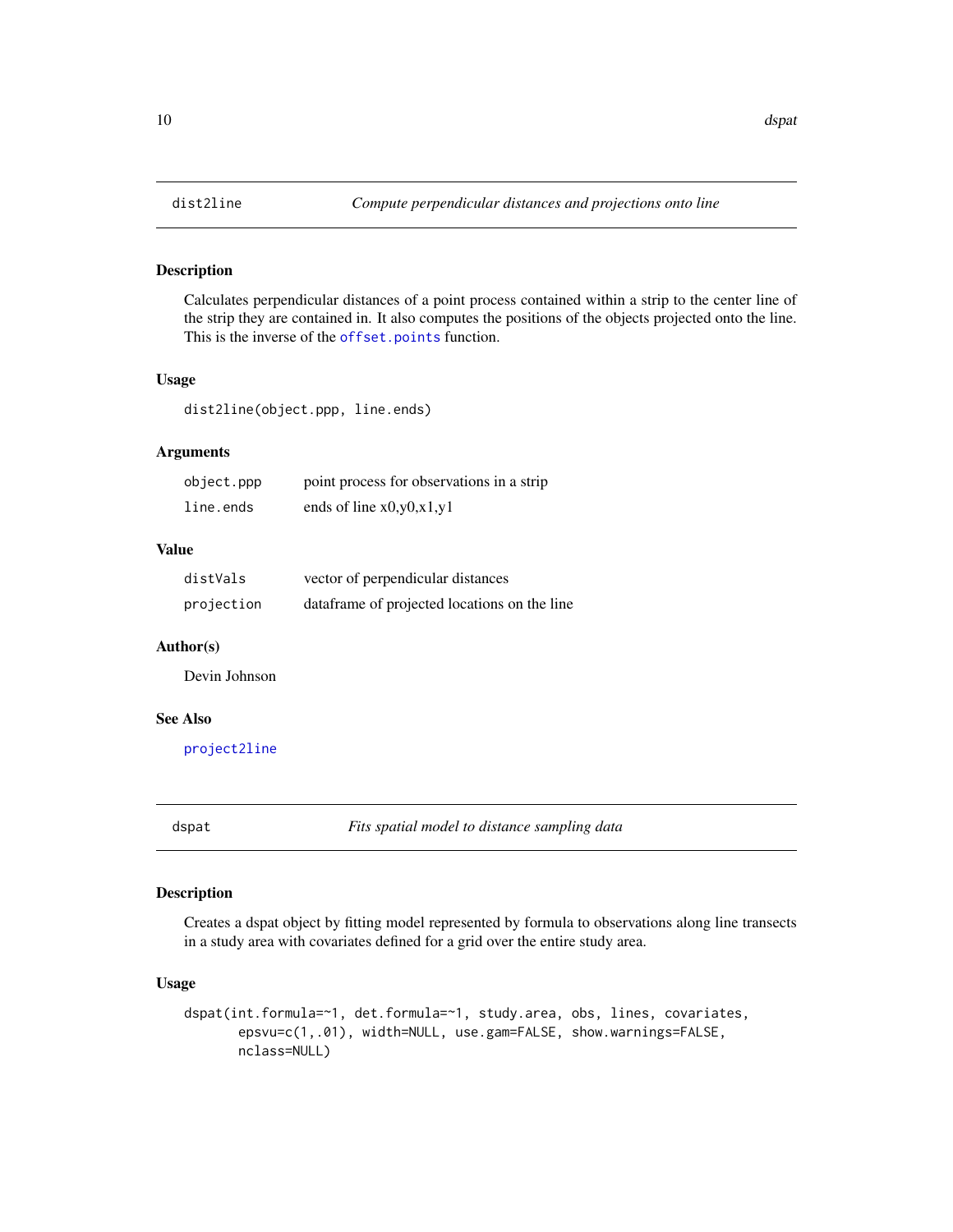Calculates perpendicular distances of a point process contained within a strip to the center line of the strip they are contained in. It also computes the positions of the objects projected onto the line. This is the inverse of the [offset.points](#page-20-1) function.

# Usage

dist2line(object.ppp, line.ends)

# Arguments

| object.ppp | point process for observations in a strip |
|------------|-------------------------------------------|
| line.ends  | ends of line $x0, y0, x1, y1$             |

# Value

| distVals   | vector of perpendicular distances            |
|------------|----------------------------------------------|
| projection | dataframe of projected locations on the line |

#### Author(s)

Devin Johnson

# See Also

[project2line](#page-20-2)

<span id="page-9-1"></span>dspat *Fits spatial model to distance sampling data*

# Description

Creates a dspat object by fitting model represented by formula to observations along line transects in a study area with covariates defined for a grid over the entire study area.

#### Usage

```
dspat(int.formula=~1, det.formula=~1, study.area, obs, lines, covariates,
      epsvu=c(1,.01), width=NULL, use.gam=FALSE, show.warnings=FALSE,
      nclass=NULL)
```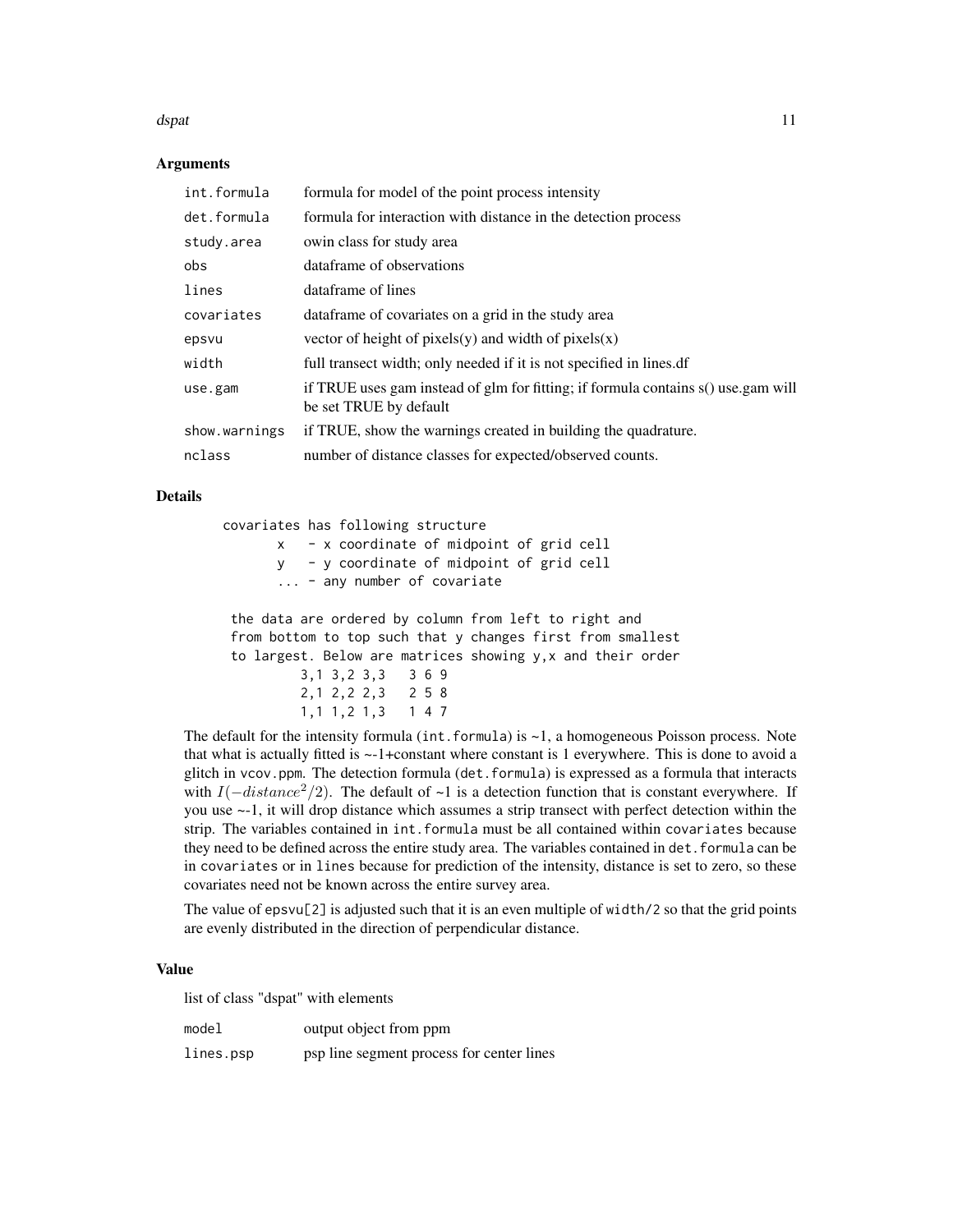#### dspat the contract of the contract of the contract of the contract of the contract of the contract of the contract of the contract of the contract of the contract of the contract of the contract of the contract of the cont

#### Arguments

| formula for model of the point process intensity                                                            |
|-------------------------------------------------------------------------------------------------------------|
| formula for interaction with distance in the detection process                                              |
| owin class for study area                                                                                   |
| dataframe of observations                                                                                   |
| dataframe of lines                                                                                          |
| data frame of covariates on a grid in the study area                                                        |
| vector of height of pixels(y) and width of pixels(x)                                                        |
| full transect width; only needed if it is not specified in lines. df                                        |
| if TRUE uses gam instead of glm for fitting; if formula contains s() use.gam will<br>be set TRUE by default |
| if TRUE, show the warnings created in building the quadrature.                                              |
| number of distance classes for expected/observed counts.                                                    |
|                                                                                                             |

#### Details

covariates has following structure x - x coordinate of midpoint of grid cell y - y coordinate of midpoint of grid cell ... - any number of covariate

the data are ordered by column from left to right and from bottom to top such that y changes first from smallest to largest. Below are matrices showing y,x and their order 3,1 3,2 3,3 3 6 9 2,1 2,2 2,3 2 5 8 1,1 1,2 1,3 1 4 7

The default for the intensity formula (int.formula) is  $-1$ , a homogeneous Poisson process. Note that what is actually fitted is ~-1+constant where constant is 1 everywhere. This is done to avoid a glitch in vcov.ppm. The detection formula (det.formula) is expressed as a formula that interacts with  $I(-distance^2/2)$ . The default of ~1 is a detection function that is constant everywhere. If you use ~-1, it will drop distance which assumes a strip transect with perfect detection within the strip. The variables contained in int.formula must be all contained within covariates because they need to be defined across the entire study area. The variables contained in det. formula can be in covariates or in lines because for prediction of the intensity, distance is set to zero, so these covariates need not be known across the entire survey area.

The value of epsvu[2] is adjusted such that it is an even multiple of width/2 so that the grid points are evenly distributed in the direction of perpendicular distance.

#### Value

list of class "dspat" with elements

| model | output object from ppm |  |
|-------|------------------------|--|
|       |                        |  |

lines.psp psp line segment process for center lines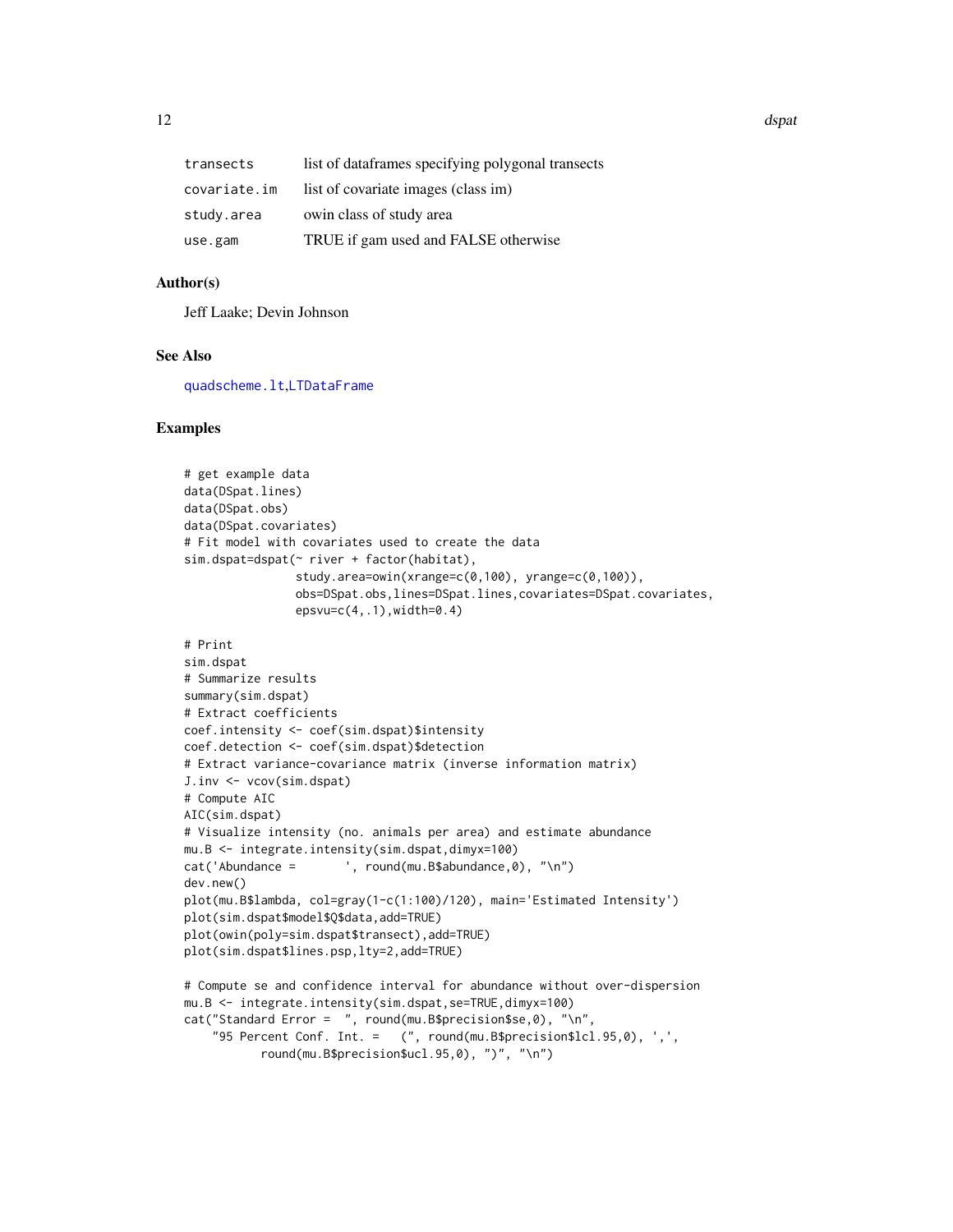<span id="page-11-0"></span>12 dspat and the set of the set of the set of the set of the set of the set of the set of the set of the set of the set of the set of the set of the set of the set of the set of the set of the set of the set of the set of

| transects    | list of dataframes specifying polygonal transects |
|--------------|---------------------------------------------------|
| covariate.im | list of covariate images (class im)               |
| study.area   | owin class of study area                          |
| use.gam      | TRUE if gam used and FALSE otherwise              |
|              |                                                   |

# Author(s)

Jeff Laake; Devin Johnson

# See Also

[quadscheme.lt](#page-21-1),[LTDataFrame](#page-19-1)

#### Examples

```
# get example data
data(DSpat.lines)
data(DSpat.obs)
data(DSpat.covariates)
# Fit model with covariates used to create the data
sim.dspat=dspat(~ river + factor(habitat),
               study.area=owin(xrange=c(0,100), yrange=c(0,100)),
                obs=DSpat.obs,lines=DSpat.lines,covariates=DSpat.covariates,
                epsvu=c(4,.1), width=0.4)# Print
sim.dspat
# Summarize results
summary(sim.dspat)
# Extract coefficients
coef.intensity <- coef(sim.dspat)$intensity
coef.detection <- coef(sim.dspat)$detection
# Extract variance-covariance matrix (inverse information matrix)
J.inv <- vcov(sim.dspat)
# Compute AIC
AIC(sim.dspat)
# Visualize intensity (no. animals per area) and estimate abundance
mu.B <- integrate.intensity(sim.dspat,dimyx=100)
cat('Abundance = ', round(mu.B$abundance,0), "\n")
dev.new()
plot(mu.B$lambda, col=gray(1-c(1:100)/120), main='Estimated Intensity')
plot(sim.dspat$model$Q$data,add=TRUE)
plot(owin(poly=sim.dspat$transect),add=TRUE)
plot(sim.dspat$lines.psp,lty=2,add=TRUE)
# Compute se and confidence interval for abundance without over-dispersion
mu.B <- integrate.intensity(sim.dspat,se=TRUE,dimyx=100)
cat("Standard Error = ", round(mu.B$precision$se,0), "\n",
    "95 Percent Conf. Int. = (", round(mu.B$precision$lcl.95,0), ',',
          round(mu.B$precision$ucl.95,0), ")", "\n")
```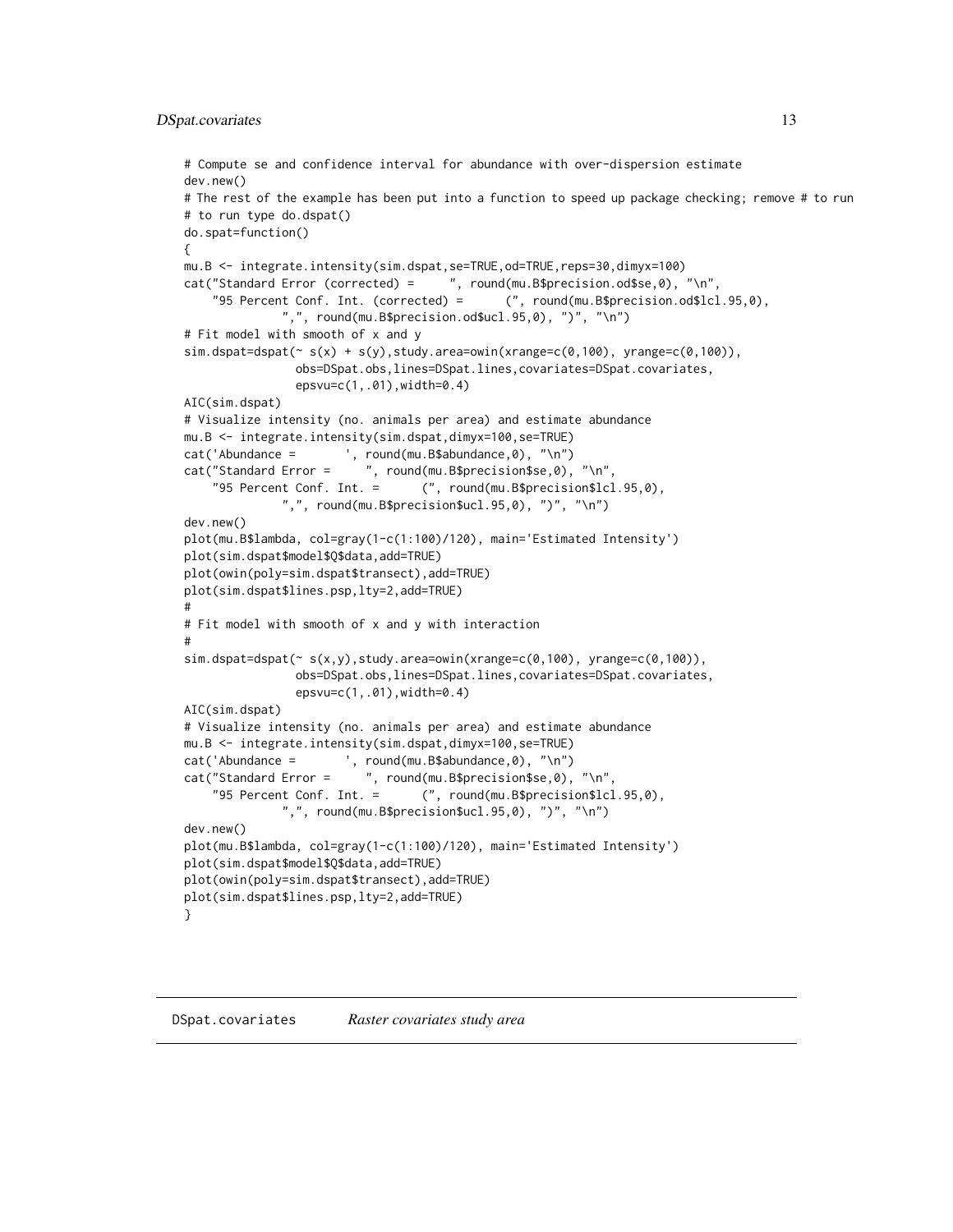```
# Compute se and confidence interval for abundance with over-dispersion estimate
dev.new()
# The rest of the example has been put into a function to speed up package checking; remove # to run
# to run type do.dspat()
do.spat=function()
{
mu.B <- integrate.intensity(sim.dspat,se=TRUE,od=TRUE,reps=30,dimyx=100)
cat("Standard Error (corrected) = ", round(mu.B$precision.od$se,0), "\n",
    "95 Percent Conf. Int. (corrected) = (", round(mu.B$precision.od$lcl.95,0),
              ",", round(mu.B$precision.od$ucl.95,0), ")", "\n")
# Fit model with smooth of x and y
sim.dspat=dspat (~ s(x) + s(y), study. area=own(n(xrange=c(0,100), yrange=c(0,100)),obs=DSpat.obs,lines=DSpat.lines,covariates=DSpat.covariates,
                epsvu=c(1,.01),width=0.4)
AIC(sim.dspat)
# Visualize intensity (no. animals per area) and estimate abundance
mu.B <- integrate.intensity(sim.dspat,dimyx=100,se=TRUE)
cat('Abundance = ', round(mu.B$abundance,0), "\n")
cat("Standard Error = ", round(mu.B$precision$se,0), "\n",
    "95 Percent Conf. Int. = (", round(mu.B$precision$lcl.95,0),
              ",", round(mu.B$precision$ucl.95,0), ")", "\n")
dev.new()
plot(mu.B$lambda, col=gray(1-c(1:100)/120), main='Estimated Intensity')
plot(sim.dspat$model$Q$data,add=TRUE)
plot(owin(poly=sim.dspat$transect),add=TRUE)
plot(sim.dspat$lines.psp,lty=2,add=TRUE)
#
# Fit model with smooth of x and y with interaction
#
sim.dspat=dspat(~ s(x,y),study.area=owin(xrange=c(0,100), yrange=c(0,100)),
               obs=DSpat.obs,lines=DSpat.lines,covariates=DSpat.covariates,
                epsvu=c(1,.01),width=0.4)
AIC(sim.dspat)
# Visualize intensity (no. animals per area) and estimate abundance
mu.B <- integrate.intensity(sim.dspat,dimyx=100,se=TRUE)
cat('Abundance = ', round(mu.B$abundance,0), "\n")
cat("Standard Error = ", round(mu.B$precision$se,0), "\n",
    "95 Percent Conf. Int. = (", round(mu.B$precision$lcl.95,0),
              ",", round(mu.B$precision$ucl.95,0), ")", "\n")
dev.new()
plot(mu.B$lambda, col=gray(1-c(1:100)/120), main='Estimated Intensity')
plot(sim.dspat$model$Q$data,add=TRUE)
plot(owin(poly=sim.dspat$transect),add=TRUE)
plot(sim.dspat$lines.psp,lty=2,add=TRUE)
}
```
<span id="page-12-1"></span>DSpat.covariates *Raster covariates study area*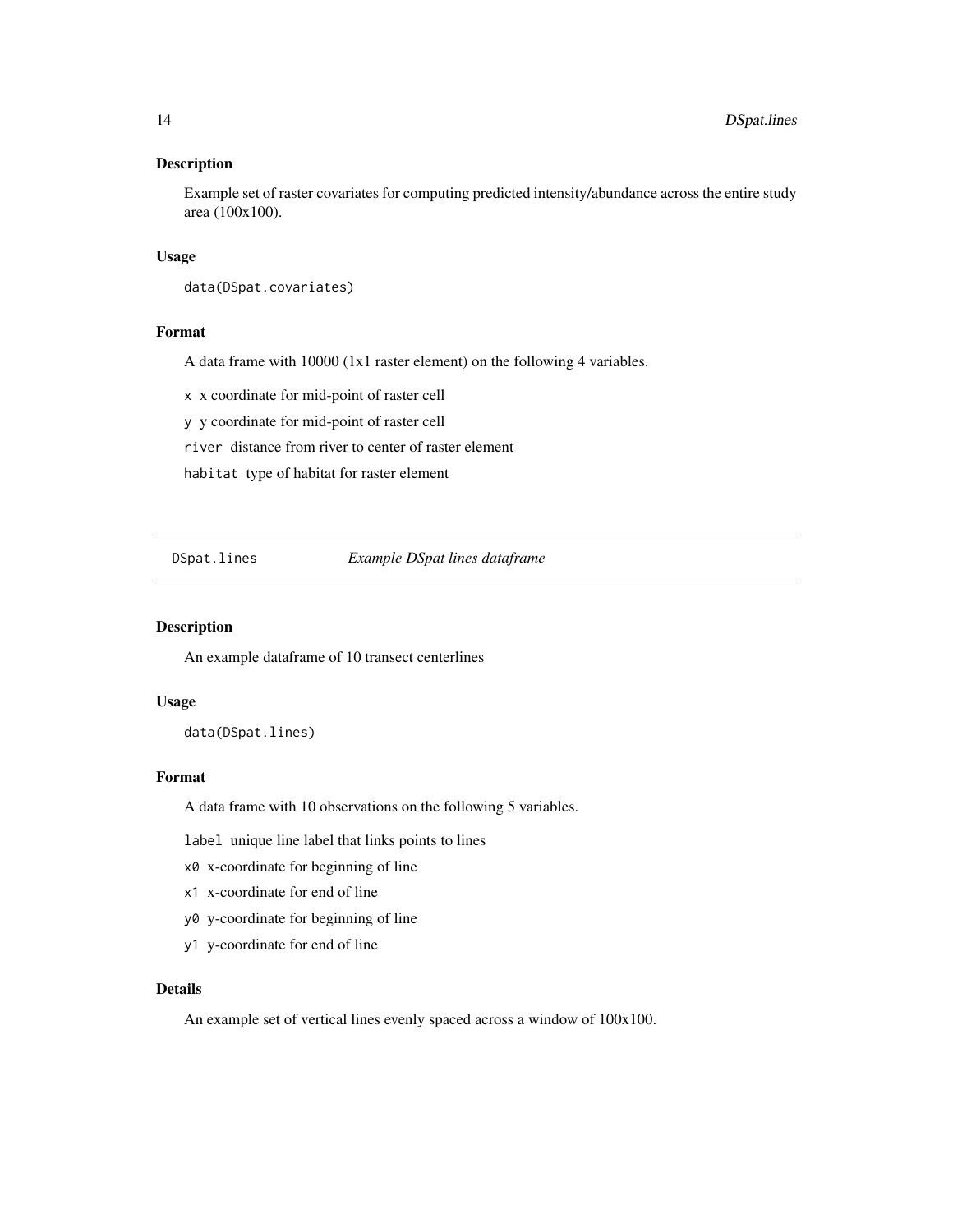<span id="page-13-0"></span>Example set of raster covariates for computing predicted intensity/abundance across the entire study area (100x100).

# Usage

data(DSpat.covariates)

# Format

A data frame with 10000 (1x1 raster element) on the following 4 variables.

x x coordinate for mid-point of raster cell

y y coordinate for mid-point of raster cell

river distance from river to center of raster element

habitat type of habitat for raster element

<span id="page-13-1"></span>DSpat.lines *Example DSpat lines dataframe*

#### Description

An example dataframe of 10 transect centerlines

### Usage

data(DSpat.lines)

#### Format

A data frame with 10 observations on the following 5 variables.

label unique line label that links points to lines

- x0 x-coordinate for beginning of line
- x1 x-coordinate for end of line
- y0 y-coordinate for beginning of line
- y1 y-coordinate for end of line

#### Details

An example set of vertical lines evenly spaced across a window of 100x100.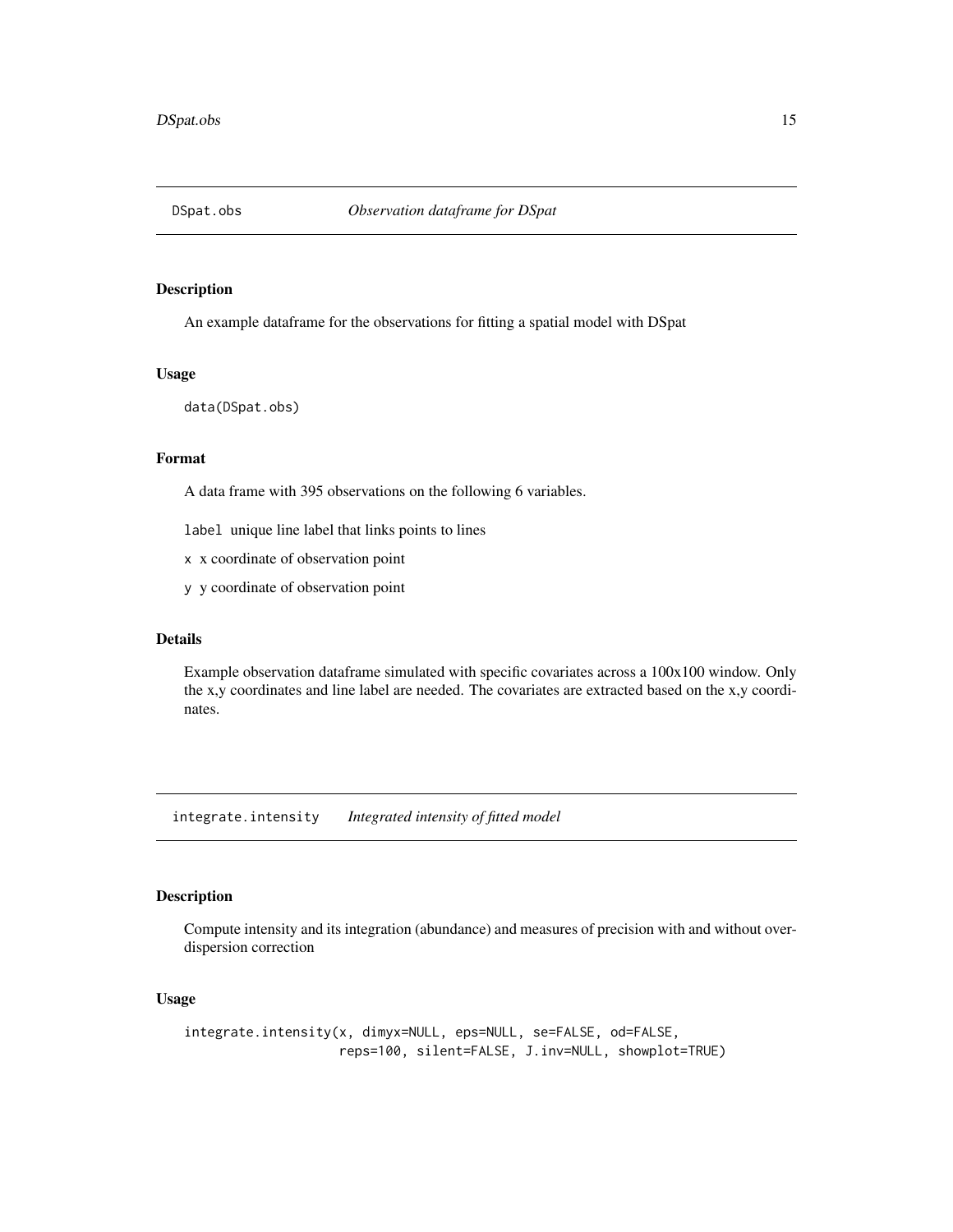<span id="page-14-2"></span><span id="page-14-0"></span>

An example dataframe for the observations for fitting a spatial model with DSpat

#### Usage

data(DSpat.obs)

# Format

A data frame with 395 observations on the following 6 variables.

label unique line label that links points to lines

x x coordinate of observation point

y y coordinate of observation point

# Details

Example observation dataframe simulated with specific covariates across a 100x100 window. Only the x,y coordinates and line label are needed. The covariates are extracted based on the x,y coordinates.

<span id="page-14-1"></span>integrate.intensity *Integrated intensity of fitted model*

# Description

Compute intensity and its integration (abundance) and measures of precision with and without overdispersion correction

# Usage

```
integrate.intensity(x, dimyx=NULL, eps=NULL, se=FALSE, od=FALSE,
                    reps=100, silent=FALSE, J.inv=NULL, showplot=TRUE)
```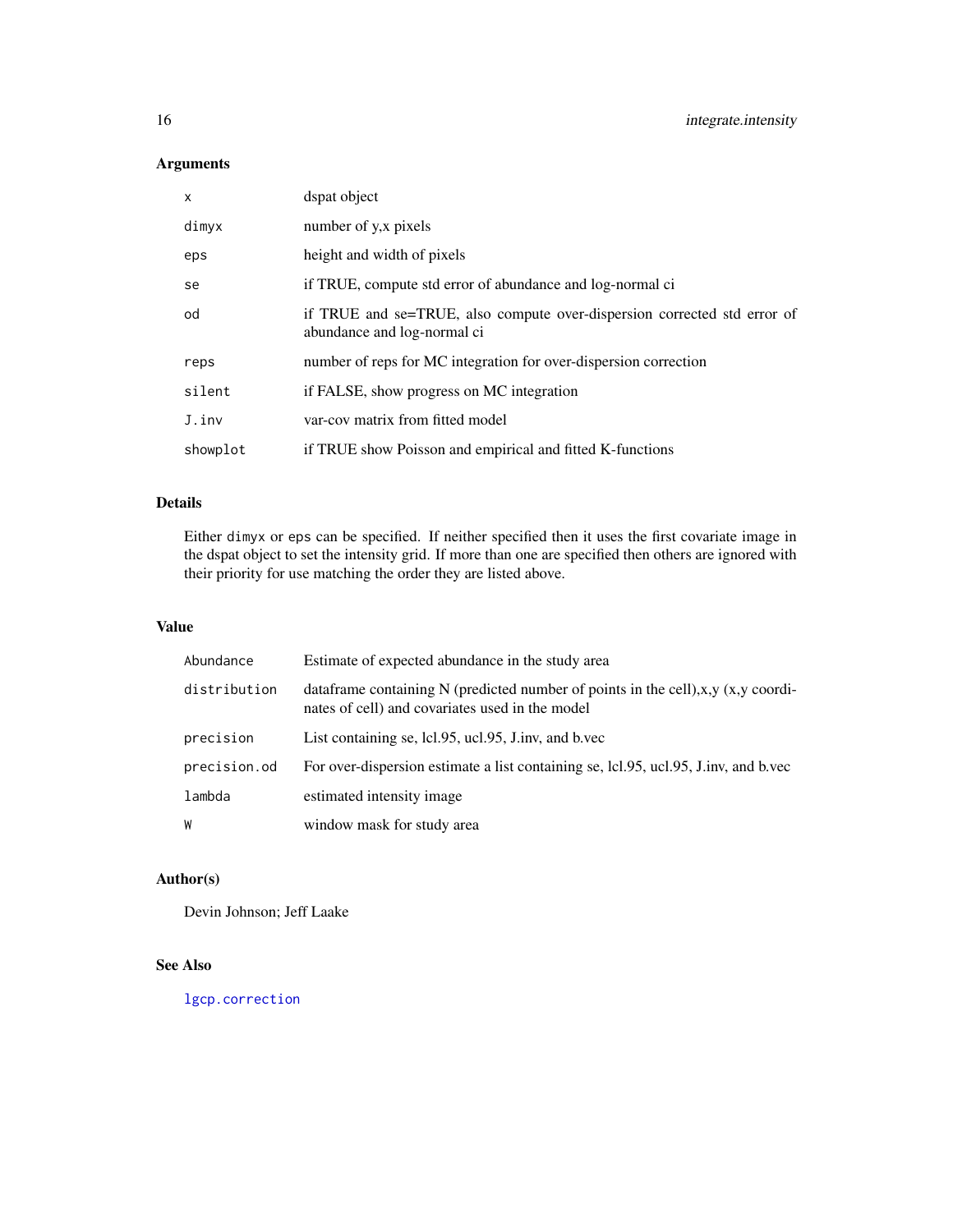# <span id="page-15-0"></span>Arguments

| $\mathsf{x}$ | dspat object                                                                                            |
|--------------|---------------------------------------------------------------------------------------------------------|
| dimyx        | number of y, x pixels                                                                                   |
| eps          | height and width of pixels                                                                              |
| se           | if TRUE, compute std error of abundance and log-normal ci                                               |
| od           | if TRUE and se=TRUE, also compute over-dispersion corrected std error of<br>abundance and log-normal ci |
| reps         | number of reps for MC integration for over-dispersion correction                                        |
| silent       | if FALSE, show progress on MC integration                                                               |
| J.inv        | var-cov matrix from fitted model                                                                        |
| showplot     | if TRUE show Poisson and empirical and fitted K-functions                                               |

# Details

Either dimyx or eps can be specified. If neither specified then it uses the first covariate image in the dspat object to set the intensity grid. If more than one are specified then others are ignored with their priority for use matching the order they are listed above.

# Value

| Abundance    | Estimate of expected abundance in the study area                                                                                        |
|--------------|-----------------------------------------------------------------------------------------------------------------------------------------|
| distribution | data frame containing N (predicted number of points in the cell), x, y (x, y coordi-<br>nates of cell) and covariates used in the model |
| precision    | List containing se, lcl.95, ucl.95, J.inv, and b.vec                                                                                    |
| precision.od | For over-dispersion estimate a list containing se, lcl.95, ucl.95, J.inv, and b.vec                                                     |
| lambda       | estimated intensity image                                                                                                               |
| W            | window mask for study area                                                                                                              |

# Author(s)

Devin Johnson; Jeff Laake

# See Also

[lgcp.correction](#page-17-1)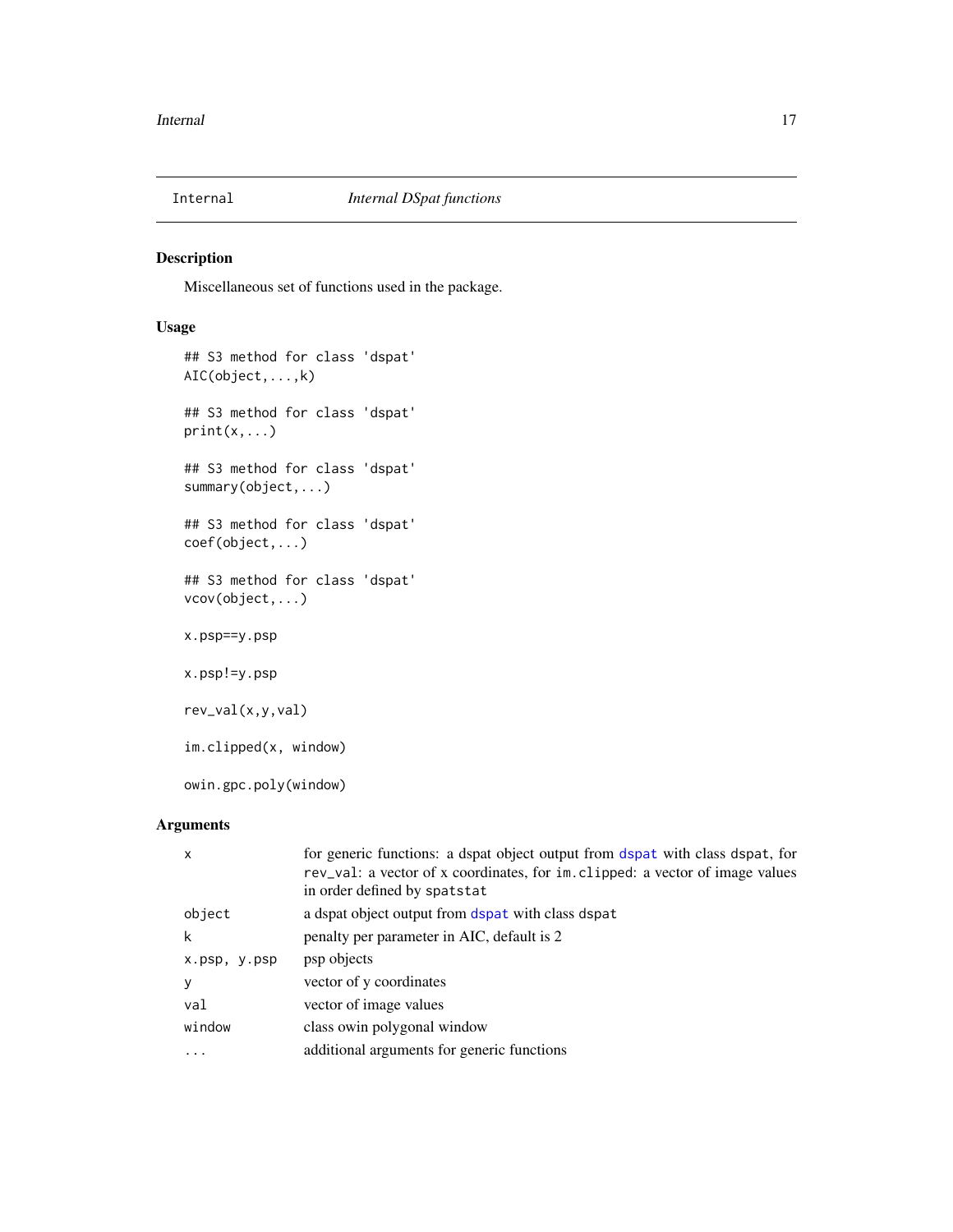<span id="page-16-1"></span><span id="page-16-0"></span>

Miscellaneous set of functions used in the package.

# Usage

```
## S3 method for class 'dspat'
AIC(object,...,k)
## S3 method for class 'dspat'
print(x,...)
## S3 method for class 'dspat'
summary(object,...)
## S3 method for class 'dspat'
coef(object,...)
## S3 method for class 'dspat'
vcov(object,...)
x.psp==y.psp
x.psp!=y.psp
rev_val(x,y,val)
im.clipped(x, window)
owin.gpc.poly(window)
```
# Arguments

| $\mathsf{x}$ | for generic functions: a dspat object output from dspat with class dspat, for<br>rev_val: a vector of x coordinates, for im. clipped: a vector of image values<br>in order defined by spatstat |
|--------------|------------------------------------------------------------------------------------------------------------------------------------------------------------------------------------------------|
| object       | a dspat object output from dspat with class dspat                                                                                                                                              |
| k            | penalty per parameter in AIC, default is 2                                                                                                                                                     |
| x.psp, y.psp | psp objects                                                                                                                                                                                    |
| y            | vector of y coordinates                                                                                                                                                                        |
| val          | vector of image values                                                                                                                                                                         |
| window       | class owin polygonal window                                                                                                                                                                    |
|              | additional arguments for generic functions                                                                                                                                                     |
|              |                                                                                                                                                                                                |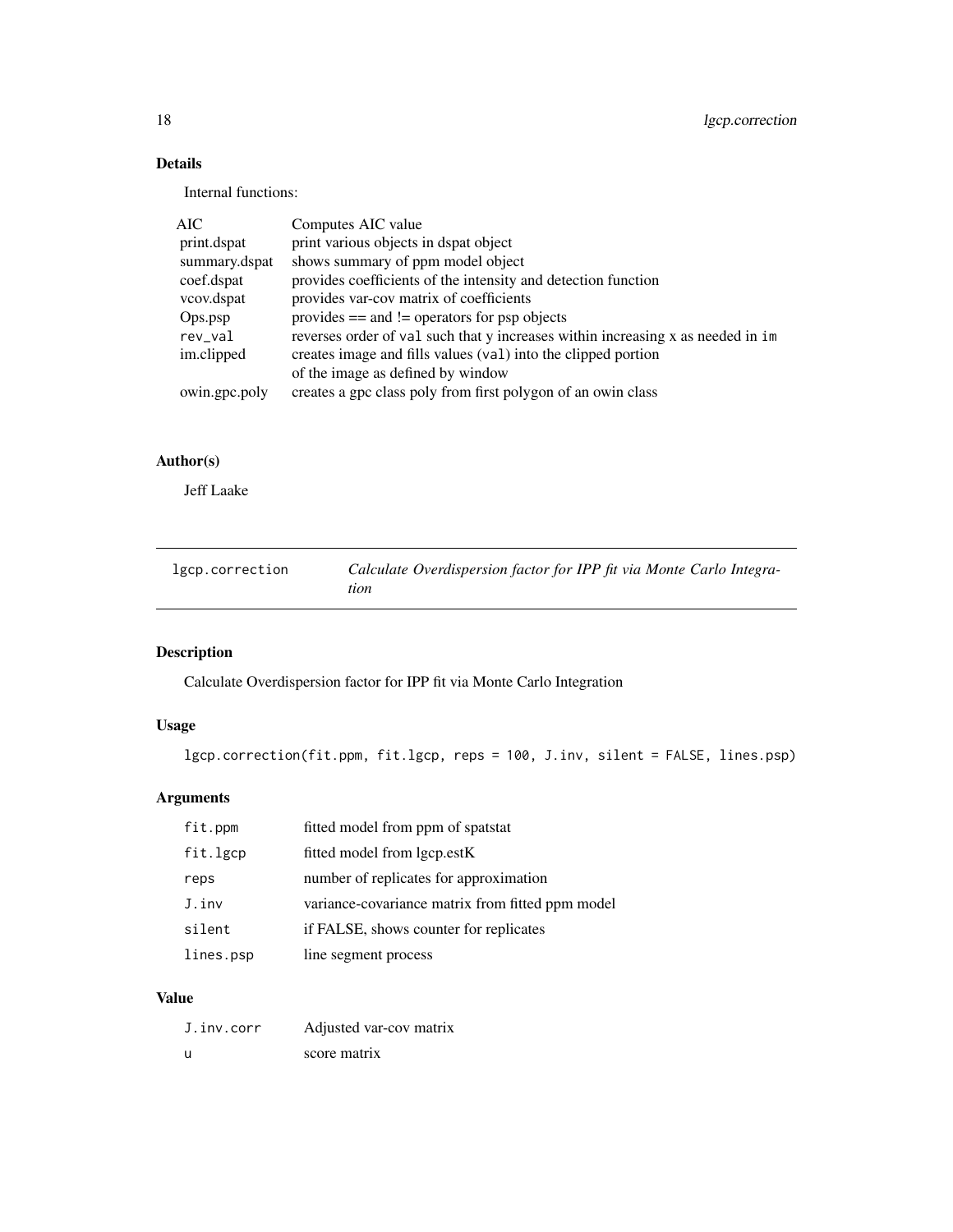<span id="page-17-0"></span>18 lgcp.correction

# Details

Internal functions:

| AIC           | Computes AIC value                                                               |
|---------------|----------------------------------------------------------------------------------|
| print.dspat   | print various objects in dspat object                                            |
| summary.dspat | shows summary of ppm model object                                                |
| coef.dspat    | provides coefficients of the intensity and detection function                    |
| vcov.dspat    | provides var-cov matrix of coefficients                                          |
| Ops.psp       | provides $==$ and $!=$ operators for psp objects                                 |
| rev_val       | reverses order of val such that y increases within increasing x as needed in im- |
| im.clipped    | creates image and fills values (val) into the clipped portion                    |
|               | of the image as defined by window                                                |
| owin.gpc.poly | creates a gpc class poly from first polygon of an owin class                     |
|               |                                                                                  |

# Author(s)

Jeff Laake

<span id="page-17-1"></span>

| lgcp.correction | Calculate Overdispersion factor for IPP fit via Monte Carlo Integra- |
|-----------------|----------------------------------------------------------------------|
|                 | tion                                                                 |

# Description

Calculate Overdispersion factor for IPP fit via Monte Carlo Integration

# Usage

lgcp.correction(fit.ppm, fit.lgcp, reps = 100, J.inv, silent = FALSE, lines.psp)

# Arguments

| fit.ppm   | fitted model from ppm of spatstat                |
|-----------|--------------------------------------------------|
| fit.lgcp  | fitted model from lgcp.estK                      |
| reps      | number of replicates for approximation           |
| J.inv     | variance-covariance matrix from fitted ppm model |
| silent    | if FALSE, shows counter for replicates           |
| lines.psp | line segment process                             |

# Value

| J.inv.corr | Adjusted var-cov matrix |
|------------|-------------------------|
| -U         | score matrix            |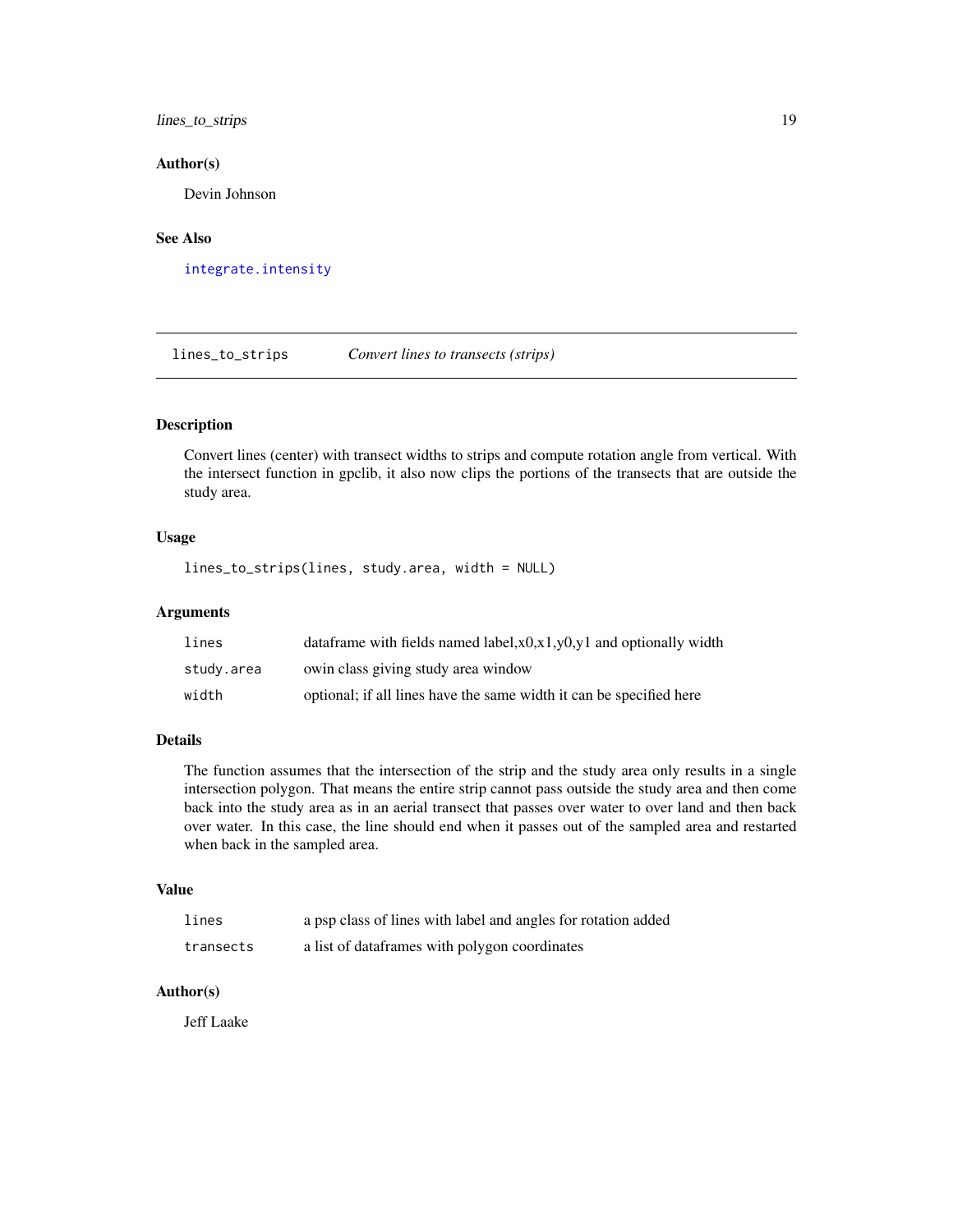<span id="page-18-0"></span>lines\_to\_strips 19

#### Author(s)

Devin Johnson

# See Also

[integrate.intensity](#page-14-1)

<span id="page-18-1"></span>lines\_to\_strips *Convert lines to transects (strips)*

# Description

Convert lines (center) with transect widths to strips and compute rotation angle from vertical. With the intersect function in gpclib, it also now clips the portions of the transects that are outside the study area.

# Usage

lines\_to\_strips(lines, study.area, width = NULL)

#### Arguments

| lines      | data frame with fields named label, $x0, x1, y0, y1$ and optionally width |
|------------|---------------------------------------------------------------------------|
| study.area | owin class giving study area window                                       |
| width      | optional; if all lines have the same width it can be specified here       |

# Details

The function assumes that the intersection of the strip and the study area only results in a single intersection polygon. That means the entire strip cannot pass outside the study area and then come back into the study area as in an aerial transect that passes over water to over land and then back over water. In this case, the line should end when it passes out of the sampled area and restarted when back in the sampled area.

# Value

| lines     | a psp class of lines with label and angles for rotation added |
|-----------|---------------------------------------------------------------|
| transects | a list of dataframes with polygon coordinates                 |

# Author(s)

Jeff Laake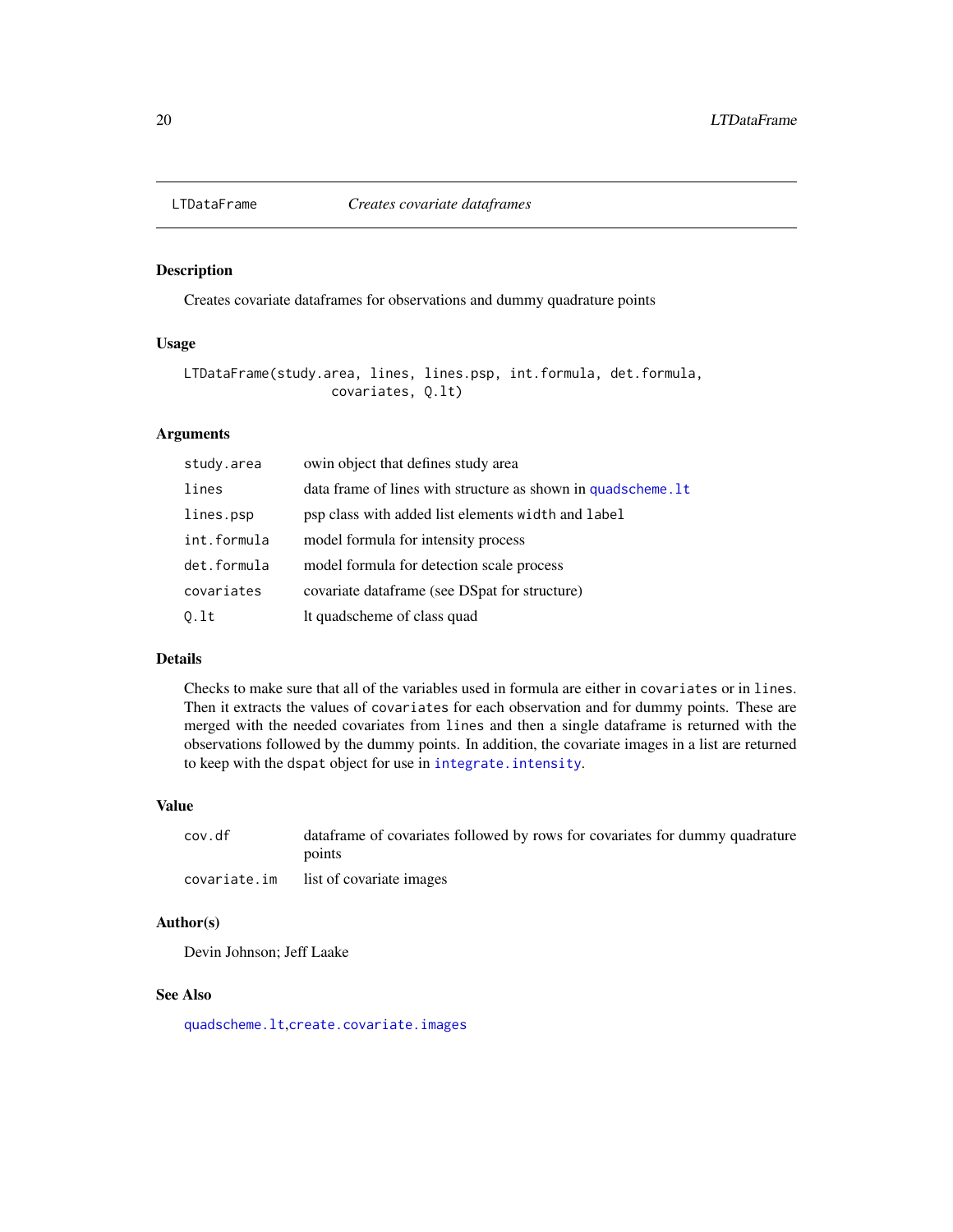<span id="page-19-1"></span><span id="page-19-0"></span>

Creates covariate dataframes for observations and dummy quadrature points

# Usage

```
LTDataFrame(study.area, lines, lines.psp, int.formula, det.formula,
                   covariates, Q.lt)
```
# Arguments

| study.area  | owin object that defines study area                           |
|-------------|---------------------------------------------------------------|
| lines       | data frame of lines with structure as shown in quadscheme. It |
| lines.psp   | psp class with added list elements width and label            |
| int.formula | model formula for intensity process                           |
| det.formula | model formula for detection scale process                     |
| covariates  | covariate dataframe (see DSpat for structure)                 |
| 0.1t        | It quadscheme of class quad                                   |

# Details

Checks to make sure that all of the variables used in formula are either in covariates or in lines. Then it extracts the values of covariates for each observation and for dummy points. These are merged with the needed covariates from lines and then a single dataframe is returned with the observations followed by the dummy points. In addition, the covariate images in a list are returned to keep with the dspat object for use in [integrate.intensity](#page-14-1).

# Value

| cov.df | data frame of covariates followed by rows for covariates for dummy quadrature |
|--------|-------------------------------------------------------------------------------|
|        | points                                                                        |
|        | covariate.im list of covariate images                                         |

# Author(s)

Devin Johnson; Jeff Laake

# See Also

[quadscheme.lt](#page-21-1),[create.covariate.images](#page-6-1)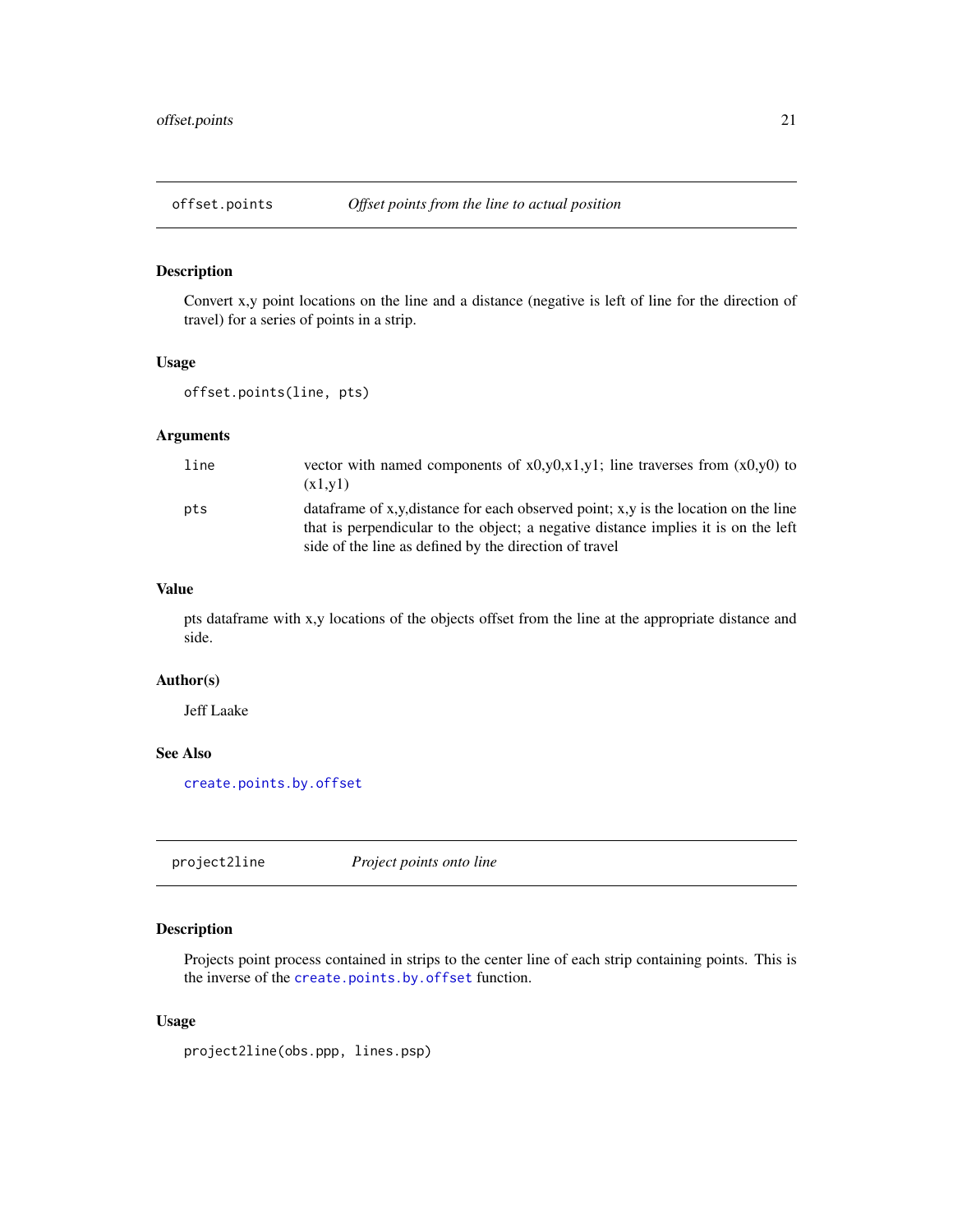<span id="page-20-1"></span><span id="page-20-0"></span>

Convert x,y point locations on the line and a distance (negative is left of line for the direction of travel) for a series of points in a strip.

# Usage

```
offset.points(line, pts)
```
# Arguments

| line | vector with named components of $x0,y0,x1,y1$ ; line traverses from $(x0,y0)$ to<br>(x1,y1)                                                                                                                                          |
|------|--------------------------------------------------------------------------------------------------------------------------------------------------------------------------------------------------------------------------------------|
| pts  | data frame of x,y, distance for each observed point; x,y is the location on the line<br>that is perpendicular to the object; a negative distance implies it is on the left<br>side of the line as defined by the direction of travel |

# Value

pts dataframe with x,y locations of the objects offset from the line at the appropriate distance and side.

#### Author(s)

Jeff Laake

# See Also

[create.points.by.offset](#page-8-1)

<span id="page-20-2"></span>project2line *Project points onto line*

# Description

Projects point process contained in strips to the center line of each strip containing points. This is the inverse of the [create.points.by.offset](#page-8-1) function.

# Usage

project2line(obs.ppp, lines.psp)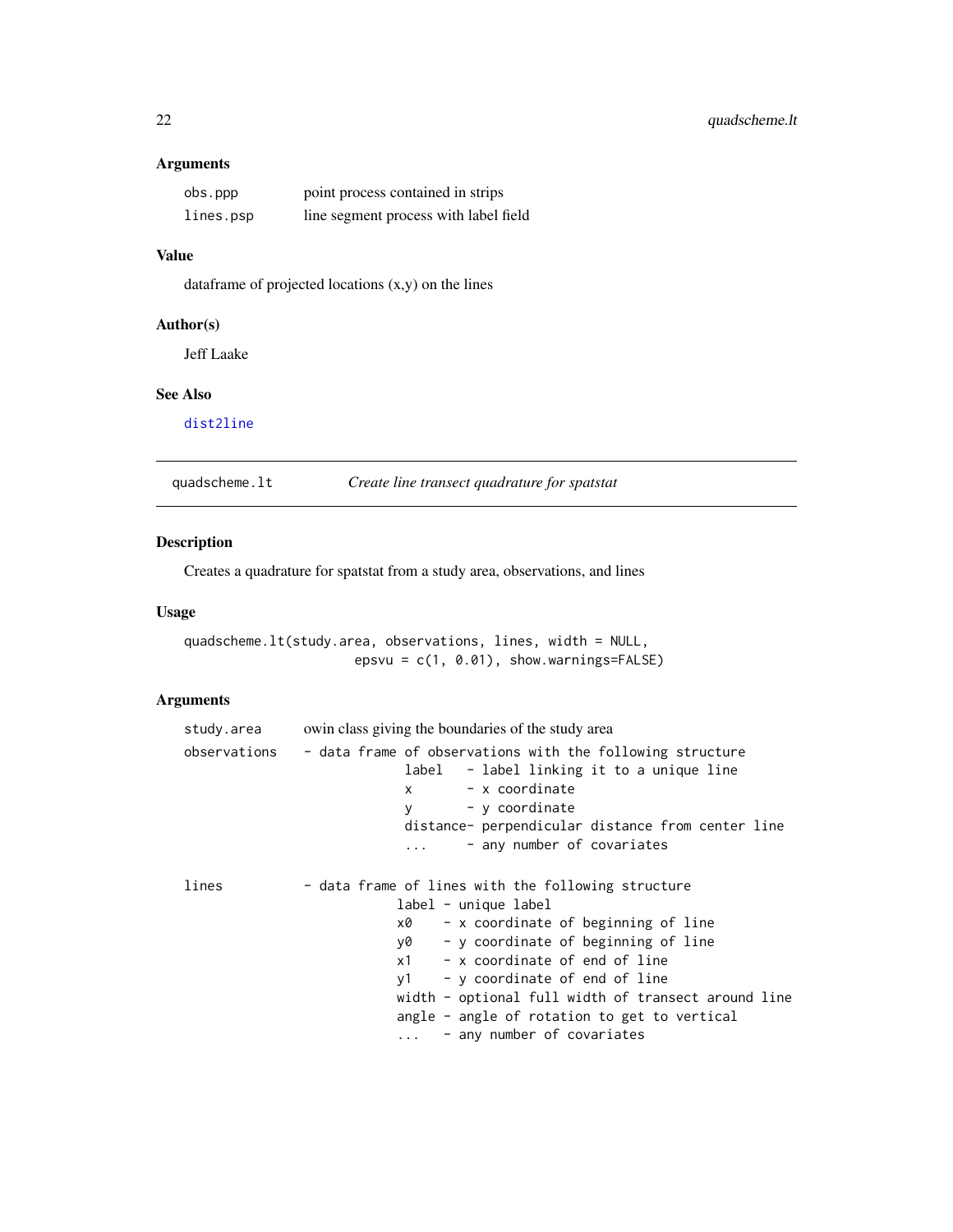# <span id="page-21-0"></span>Arguments

| obs.ppp   | point process contained in strips     |
|-----------|---------------------------------------|
| lines.psp | line segment process with label field |

# Value

dataframe of projected locations (x,y) on the lines

# Author(s)

Jeff Laake

# See Also

[dist2line](#page-9-2)

<span id="page-21-1"></span>quadscheme.lt *Create line transect quadrature for spatstat*

# Description

Creates a quadrature for spatstat from a study area, observations, and lines

## Usage

quadscheme.lt(study.area, observations, lines, width = NULL, epsvu = c(1, 0.01), show.warnings=FALSE)

# Arguments

| study.area   | owin class giving the boundaries of the study area                                                                                                                                                                                                                                                                                                                                       |
|--------------|------------------------------------------------------------------------------------------------------------------------------------------------------------------------------------------------------------------------------------------------------------------------------------------------------------------------------------------------------------------------------------------|
| observations | - data frame of observations with the following structure<br>label - label linking it to a unique line<br>- x coordinate<br>x<br>- y coordinate<br>V<br>distance- perpendicular distance from center line<br>- any number of covariates                                                                                                                                                  |
| lines        | - data frame of lines with the following structure<br>label - unique label<br>- x coordinate of beginning of line<br>x0<br>- y coordinate of beginning of line<br>y0 y<br>$x1 - x$ coordinate of end of line<br>- y coordinate of end of line<br>v1<br>width - optional full width of transect around line<br>angle - angle of rotation to get to vertical<br>- any number of covariates |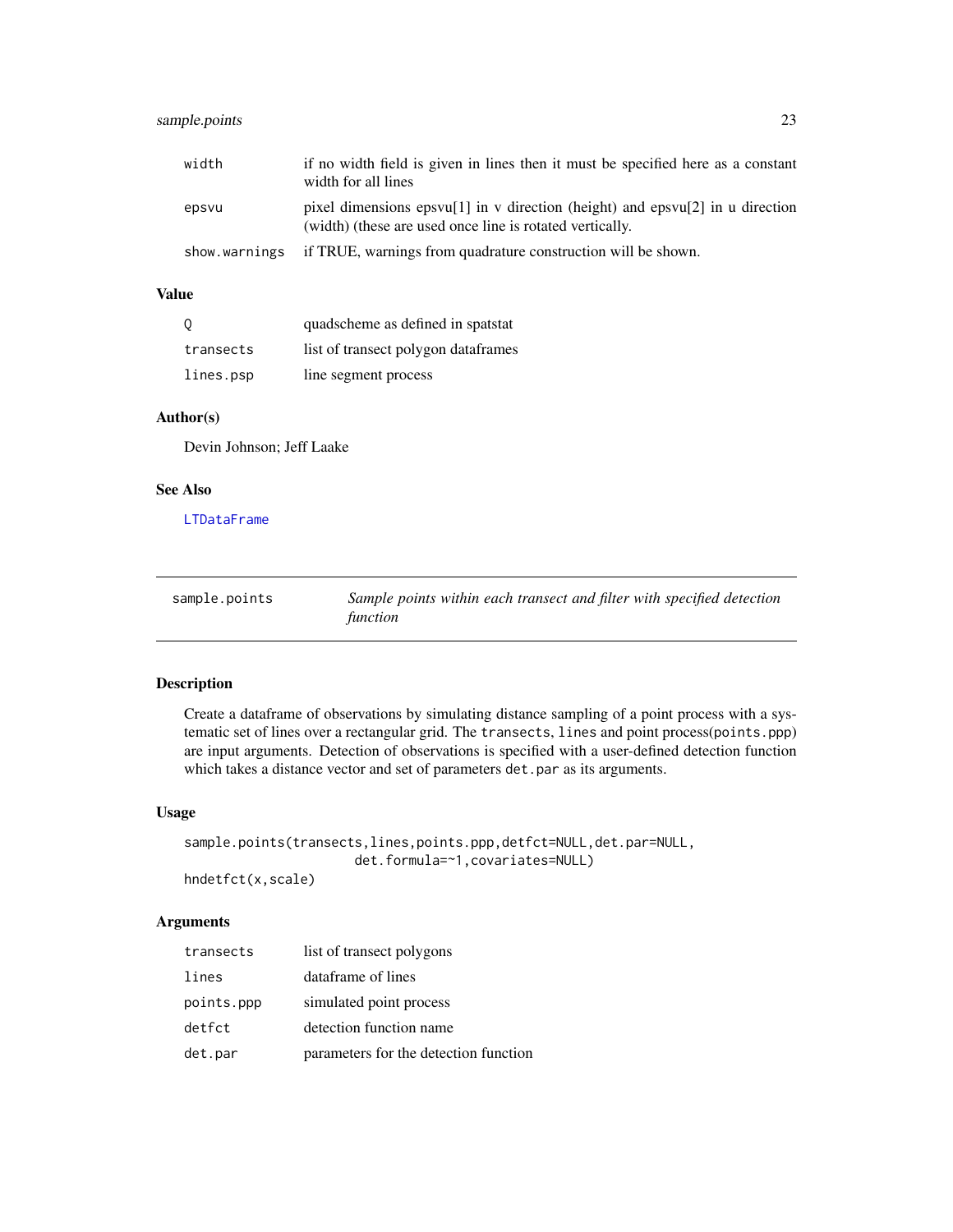# <span id="page-22-0"></span>sample.points 23

| width         | if no width field is given in lines then it must be specified here as a constant<br>width for all lines                                   |
|---------------|-------------------------------------------------------------------------------------------------------------------------------------------|
| epsvu         | pixel dimensions epsyu[1] in v direction (height) and epsyu[2] in u direction<br>(width) (these are used once line is rotated vertically. |
| show.warnings | if TRUE, warnings from quadrature construction will be shown.                                                                             |

#### Value

| - 0       | quadscheme as defined in spatstat   |
|-----------|-------------------------------------|
| transects | list of transect polygon dataframes |
| lines.psp | line segment process                |

#### Author(s)

Devin Johnson; Jeff Laake

# See Also

[LTDataFrame](#page-19-1)

<span id="page-22-1"></span>

| sample.points | Sample points within each transect and filter with specified detection |
|---------------|------------------------------------------------------------------------|
|               | function                                                               |

# Description

Create a dataframe of observations by simulating distance sampling of a point process with a systematic set of lines over a rectangular grid. The transects, lines and point process(points.ppp) are input arguments. Detection of observations is specified with a user-defined detection function which takes a distance vector and set of parameters det.par as its arguments.

#### Usage

```
sample.points(transects,lines,points.ppp,detfct=NULL,det.par=NULL,
                      det.formula=~1,covariates=NULL)
hndetfct(x,scale)
```
Arguments

# transects list of transect polygons lines dataframe of lines points.ppp simulated point process detfct detection function name det.par parameters for the detection function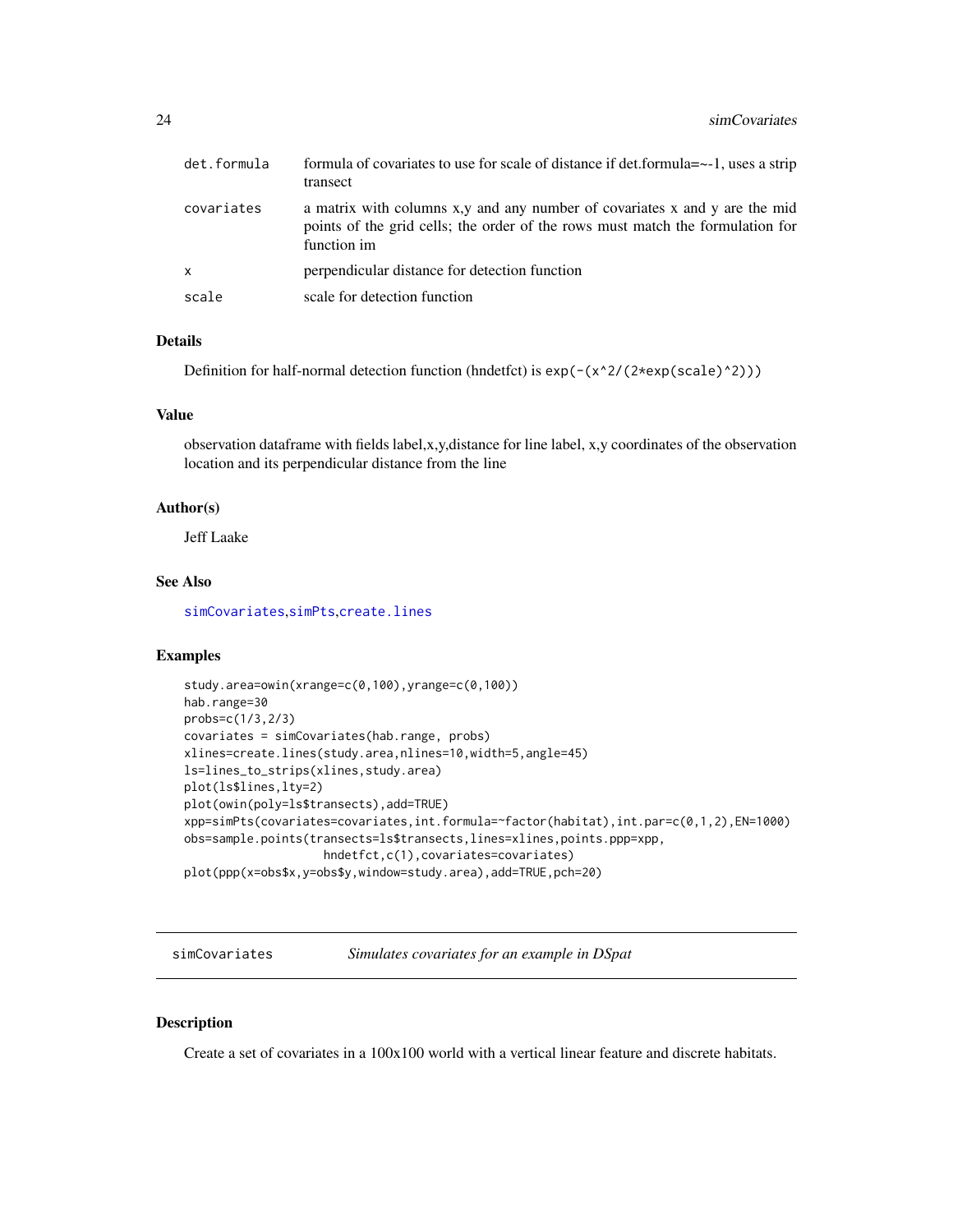<span id="page-23-0"></span>

| det.formula | formula of covariates to use for scale of distance if det.formula=~-1, uses a strip<br>transect                                                                             |
|-------------|-----------------------------------------------------------------------------------------------------------------------------------------------------------------------------|
| covariates  | a matrix with columns x,y and any number of covariates x and y are the mid<br>points of the grid cells; the order of the rows must match the formulation for<br>function im |
| x           | perpendicular distance for detection function                                                                                                                               |
| scale       | scale for detection function                                                                                                                                                |

# Details

Definition for half-normal detection function (hndetfct) is  $exp(-(x^2/(2*exp(scale)^2)))$ 

#### Value

observation dataframe with fields label,x,y,distance for line label, x,y coordinates of the observation location and its perpendicular distance from the line

# Author(s)

Jeff Laake

# See Also

[simCovariates](#page-23-1),[simPts](#page-28-1),[create.lines](#page-7-1)

#### Examples

```
study.area=owin(xrange=c(0,100),yrange=c(0,100))
hab.range=30
probs=c(1/3,2/3)
covariates = simCovariates(hab.range, probs)
xlines=create.lines(study.area,nlines=10,width=5,angle=45)
ls=lines_to_strips(xlines,study.area)
plot(ls$lines,lty=2)
plot(owin(poly=ls$transects),add=TRUE)
xpp=simPts(covariates=covariates,int.formula=~factor(habitat),int.par=c(0,1,2),EN=1000)
obs=sample.points(transects=ls$transects,lines=xlines,points.ppp=xpp,
                    hndetfct,c(1),covariates=covariates)
plot(ppp(x=obs$x,y=obs$y,window=study.area),add=TRUE,pch=20)
```
<span id="page-23-1"></span>simCovariates *Simulates covariates for an example in DSpat*

#### Description

Create a set of covariates in a  $100x100$  world with a vertical linear feature and discrete habitats.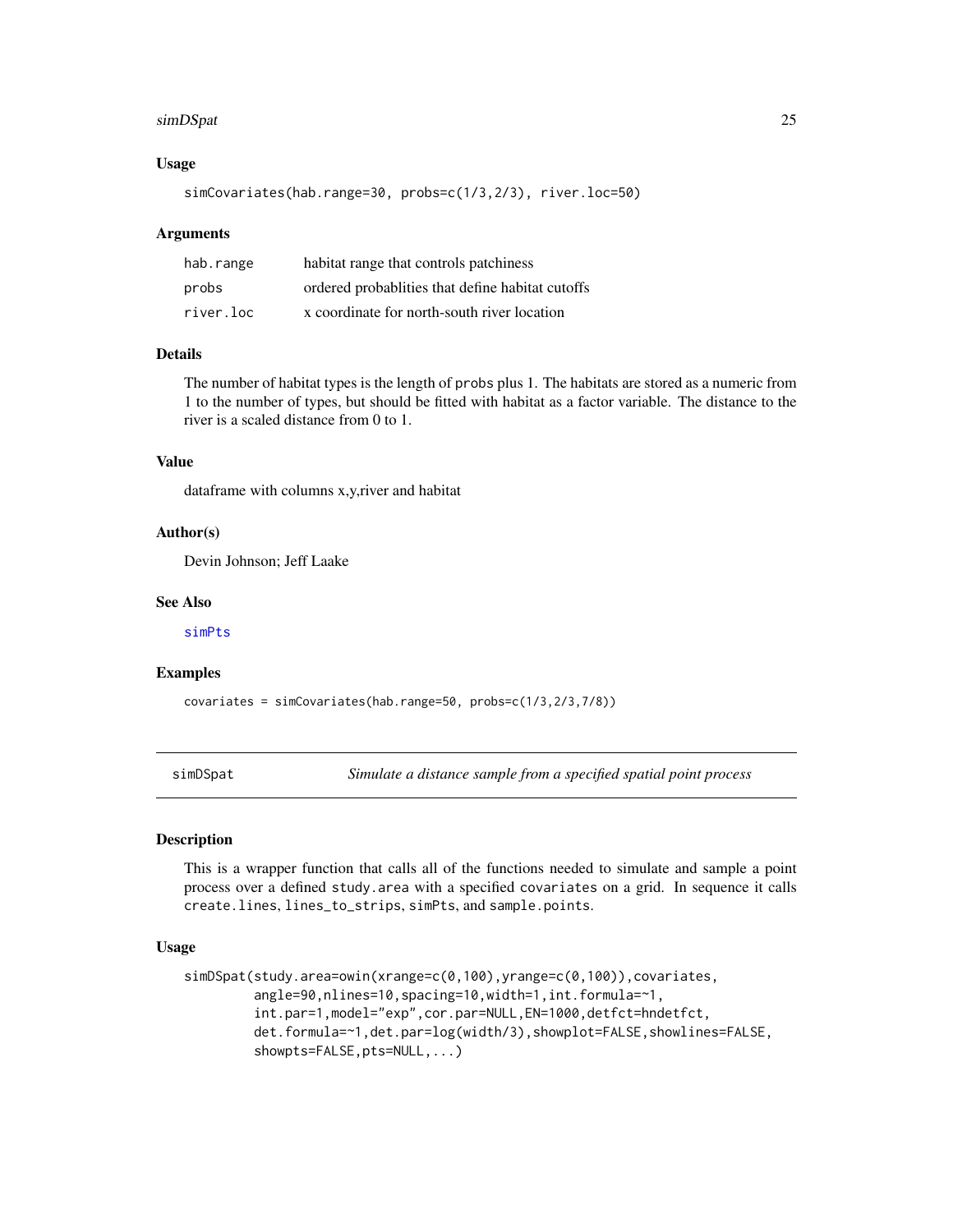#### <span id="page-24-0"></span>simDSpat 25

### Usage

simCovariates(hab.range=30, probs=c(1/3,2/3), river.loc=50)

# Arguments

| hab.range | habitat range that controls patchiness            |
|-----------|---------------------------------------------------|
| probs     | ordered probabilities that define habitat cutoffs |
| river.loc | x coordinate for north-south river location       |

# Details

The number of habitat types is the length of probs plus 1. The habitats are stored as a numeric from 1 to the number of types, but should be fitted with habitat as a factor variable. The distance to the river is a scaled distance from 0 to 1.

# Value

dataframe with columns x,y,river and habitat

#### Author(s)

Devin Johnson; Jeff Laake

# See Also

[simPts](#page-28-1)

#### Examples

covariates = simCovariates(hab.range=50, probs=c(1/3,2/3,7/8))

<span id="page-24-1"></span>simDSpat *Simulate a distance sample from a specified spatial point process*

# Description

This is a wrapper function that calls all of the functions needed to simulate and sample a point process over a defined study.area with a specified covariates on a grid. In sequence it calls create.lines, lines\_to\_strips, simPts, and sample.points.

# Usage

```
simDSpat(study.area=owin(xrange=c(0,100),yrange=c(0,100)),covariates,
        angle=90,nlines=10,spacing=10,width=1,int.formula=~1,
        int.par=1,model="exp",cor.par=NULL,EN=1000,detfct=hndetfct,
        det.formula=~1,det.par=log(width/3),showplot=FALSE,showlines=FALSE,
        showpts=FALSE,pts=NULL,...)
```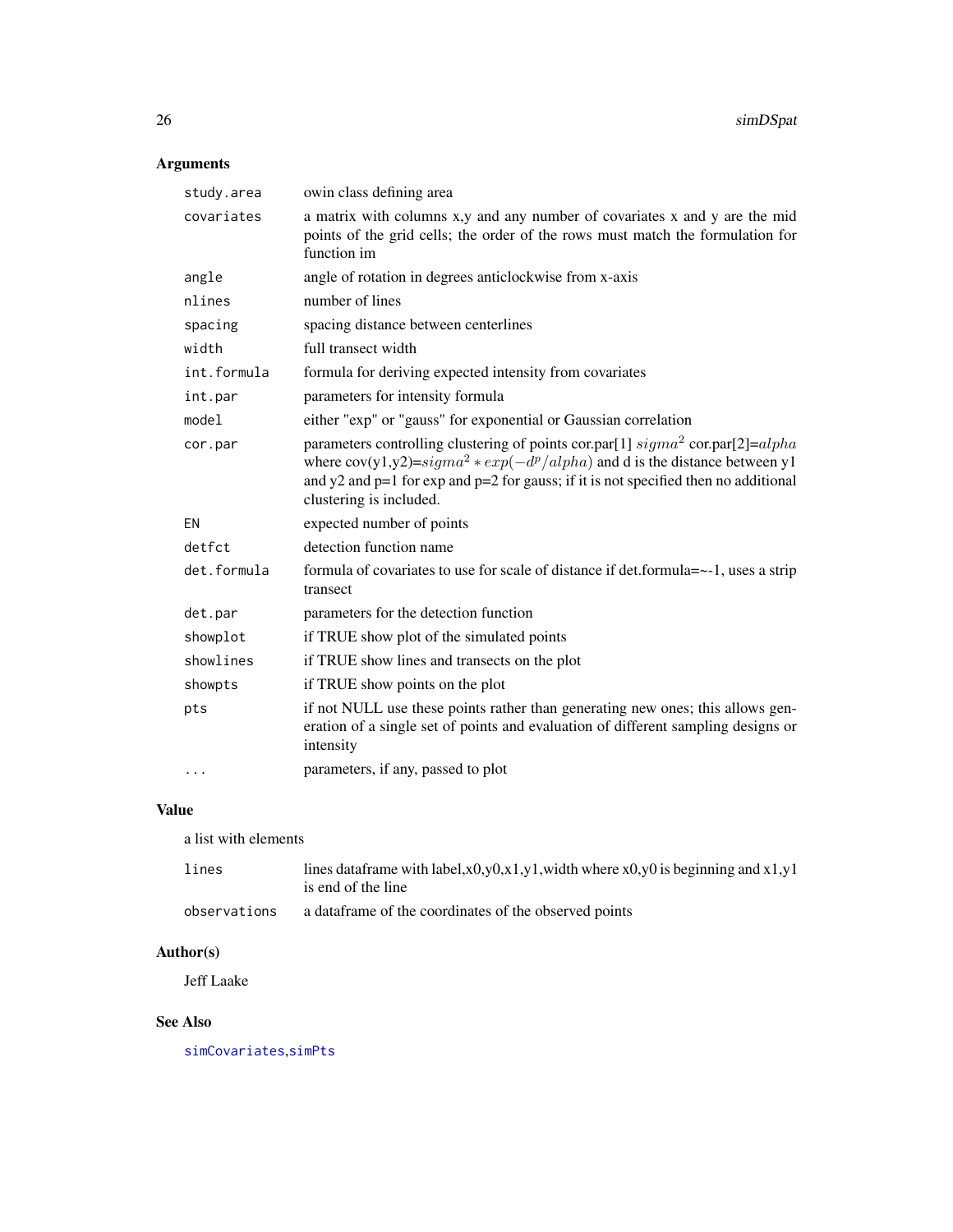# <span id="page-25-0"></span>Arguments

| study.area  | owin class defining area                                                                                                                                                                                                                                                                    |
|-------------|---------------------------------------------------------------------------------------------------------------------------------------------------------------------------------------------------------------------------------------------------------------------------------------------|
| covariates  | a matrix with columns x,y and any number of covariates x and y are the mid<br>points of the grid cells; the order of the rows must match the formulation for<br>function im                                                                                                                 |
| angle       | angle of rotation in degrees anticlockwise from x-axis                                                                                                                                                                                                                                      |
| nlines      | number of lines                                                                                                                                                                                                                                                                             |
| spacing     | spacing distance between centerlines                                                                                                                                                                                                                                                        |
| width       | full transect width                                                                                                                                                                                                                                                                         |
| int.formula | formula for deriving expected intensity from covariates                                                                                                                                                                                                                                     |
| int.par     | parameters for intensity formula                                                                                                                                                                                                                                                            |
| model       | either "exp" or "gauss" for exponential or Gaussian correlation                                                                                                                                                                                                                             |
| cor.par     | parameters controlling clustering of points cor.par[1] $sigma^2$ cor.par[2]= $alpha$<br>where $cov(y1,y2)=sigma^2*exp(-d^p/alpha)$ and d is the distance between y1<br>and $y2$ and $p=1$ for exp and $p=2$ for gauss; if it is not specified then no additional<br>clustering is included. |
| EN          | expected number of points                                                                                                                                                                                                                                                                   |
| detfct      | detection function name                                                                                                                                                                                                                                                                     |
| det.formula | formula of covariates to use for scale of distance if det.formula=~-1, uses a strip<br>transect                                                                                                                                                                                             |
| det.par     | parameters for the detection function                                                                                                                                                                                                                                                       |
| showplot    | if TRUE show plot of the simulated points                                                                                                                                                                                                                                                   |
| showlines   | if TRUE show lines and transects on the plot                                                                                                                                                                                                                                                |
| showpts     | if TRUE show points on the plot                                                                                                                                                                                                                                                             |
| pts         | if not NULL use these points rather than generating new ones; this allows gen-<br>eration of a single set of points and evaluation of different sampling designs or<br>intensity                                                                                                            |
| .           | parameters, if any, passed to plot                                                                                                                                                                                                                                                          |

# Value

a list with elements

| lines        | lines data frame with label, $x0, y0, x1, y1$ , width where $x0, y0$ is beginning and $x1, y1$<br>is end of the line |
|--------------|----------------------------------------------------------------------------------------------------------------------|
| observations | a data frame of the coordinates of the observed points                                                               |

# Author(s)

Jeff Laake

# See Also

[simCovariates](#page-23-1),[simPts](#page-28-1)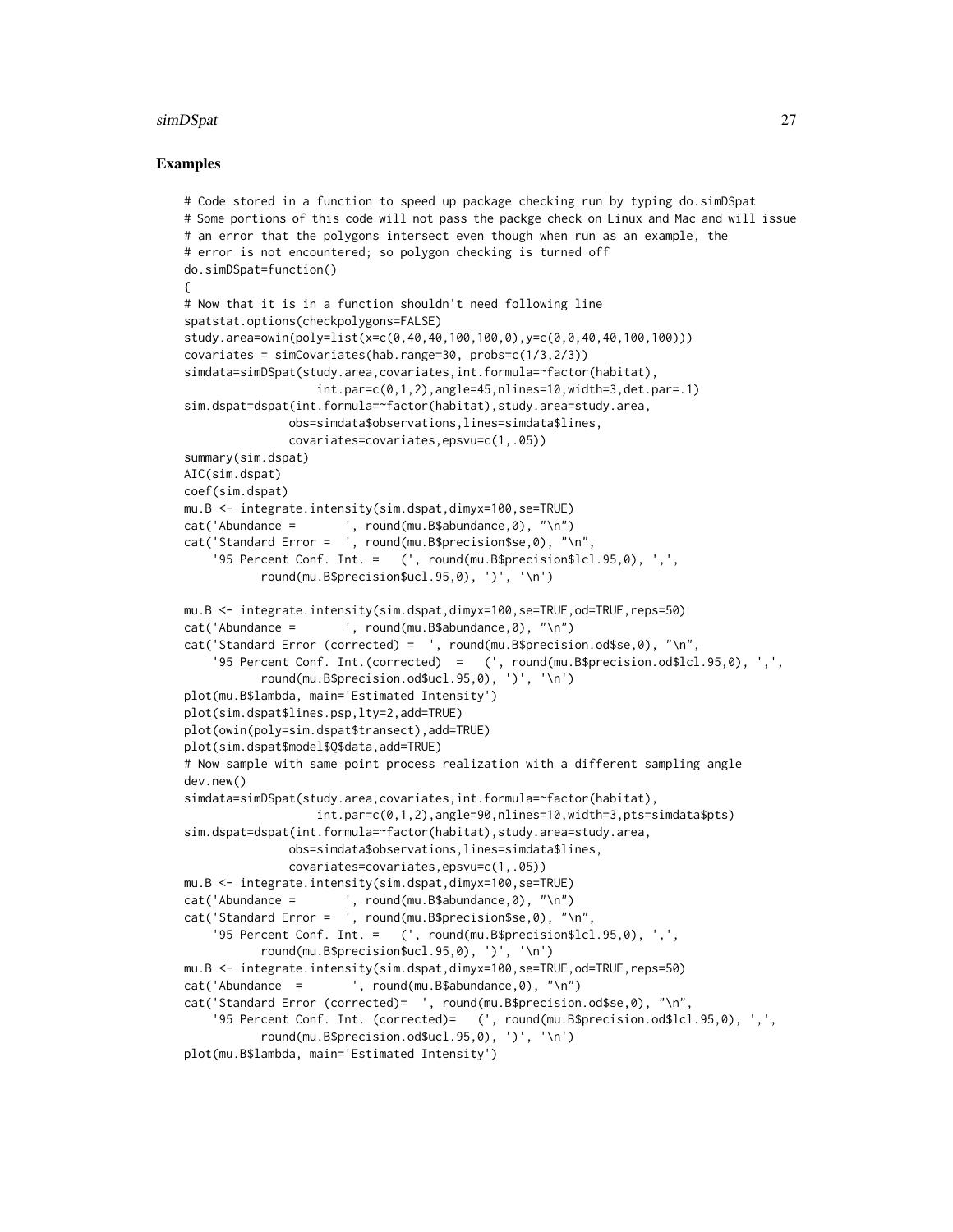#### simDSpat 27

# Examples

```
# Code stored in a function to speed up package checking run by typing do.simDSpat
# Some portions of this code will not pass the packge check on Linux and Mac and will issue
# an error that the polygons intersect even though when run as an example, the
# error is not encountered; so polygon checking is turned off
do.simDSpat=function()
{
# Now that it is in a function shouldn't need following line
spatstat.options(checkpolygons=FALSE)
study.area=owin(poly=list(x=c(0,40,40,100,100,0),y=c(0,0,40,40,100,100)))
covariates = simCovariates(hab.range=30, probs=c(1/3,2/3))
simdata=simDSpat(study.area,covariates,int.formula=~factor(habitat),
                  int.par=c(0,1,2),angle=45,nlines=10,width=3,det.par=.1)
sim.dspat=dspat(int.formula=~factor(habitat),study.area=study.area,
              obs=simdata$observations,lines=simdata$lines,
               covariates=covariates,epsvu=c(1,.05))
summary(sim.dspat)
AIC(sim.dspat)
coef(sim.dspat)
mu.B <- integrate.intensity(sim.dspat,dimyx=100,se=TRUE)
cat('Abundance = ', round(mu.B$abundance,0), "\n")
cat('Standard Error = ', round(mu.B$precision$se,0), "\n",
     '95 Percent Conf. Int. = (', round(mu.B$precision$lcl.95,0), ',',
          round(mu.B$precision$ucl.95,0), ')', '\n')
mu.B <- integrate.intensity(sim.dspat,dimyx=100,se=TRUE,od=TRUE,reps=50)
cat('Abundance = ', round(mu.B$abundance,0), "\n")
cat('Standard Error (corrected) = ', round(mu.B$precision.od$se,0), "\n",
    '95 Percent Conf. Int.(corrected) = (', round(mu.B$precision.od$lcl.95,0), ',',
          round(mu.B$precision.od$ucl.95,0), ')', '\n')
plot(mu.B$lambda, main='Estimated Intensity')
plot(sim.dspat$lines.psp,lty=2,add=TRUE)
plot(owin(poly=sim.dspat$transect),add=TRUE)
plot(sim.dspat$model$Q$data,add=TRUE)
# Now sample with same point process realization with a different sampling angle
dev.new()
simdata=simDSpat(study.area,covariates,int.formula=~factor(habitat),
                  int.par=c(0,1,2),angle=90,nlines=10,width=3,pts=simdata$pts)
sim.dspat=dspat(int.formula=~factor(habitat),study.area=study.area,
              obs=simdata$observations,lines=simdata$lines,
              covariates=covariates,epsvu=c(1,.05))
mu.B <- integrate.intensity(sim.dspat,dimyx=100,se=TRUE)
cat('Abundance = ', round(mu.B$abundance,0), "\n")
cat('Standard Error = ', round(mu.B$precision$se,0), "\n",
    '95 Percent Conf. Int. = (', round(mu.B$precision$lcl.95,0), ',',
          round(mu.B$precision$ucl.95,0), ')', '\n')
mu.B <- integrate.intensity(sim.dspat,dimyx=100,se=TRUE,od=TRUE,reps=50)
cat('Abundance = ', round(mu.B$abundance,\emptyset), "\n")
cat('Standard Error (corrected)= ', round(mu.B$precision.od$se,0), "\n",
    '95 Percent Conf. Int. (corrected)= (', round(mu.B$precision.od$lcl.95,0), ',',
          round(mu.B$precision.od$ucl.95,0), ')', '\n')
plot(mu.B$lambda, main='Estimated Intensity')
```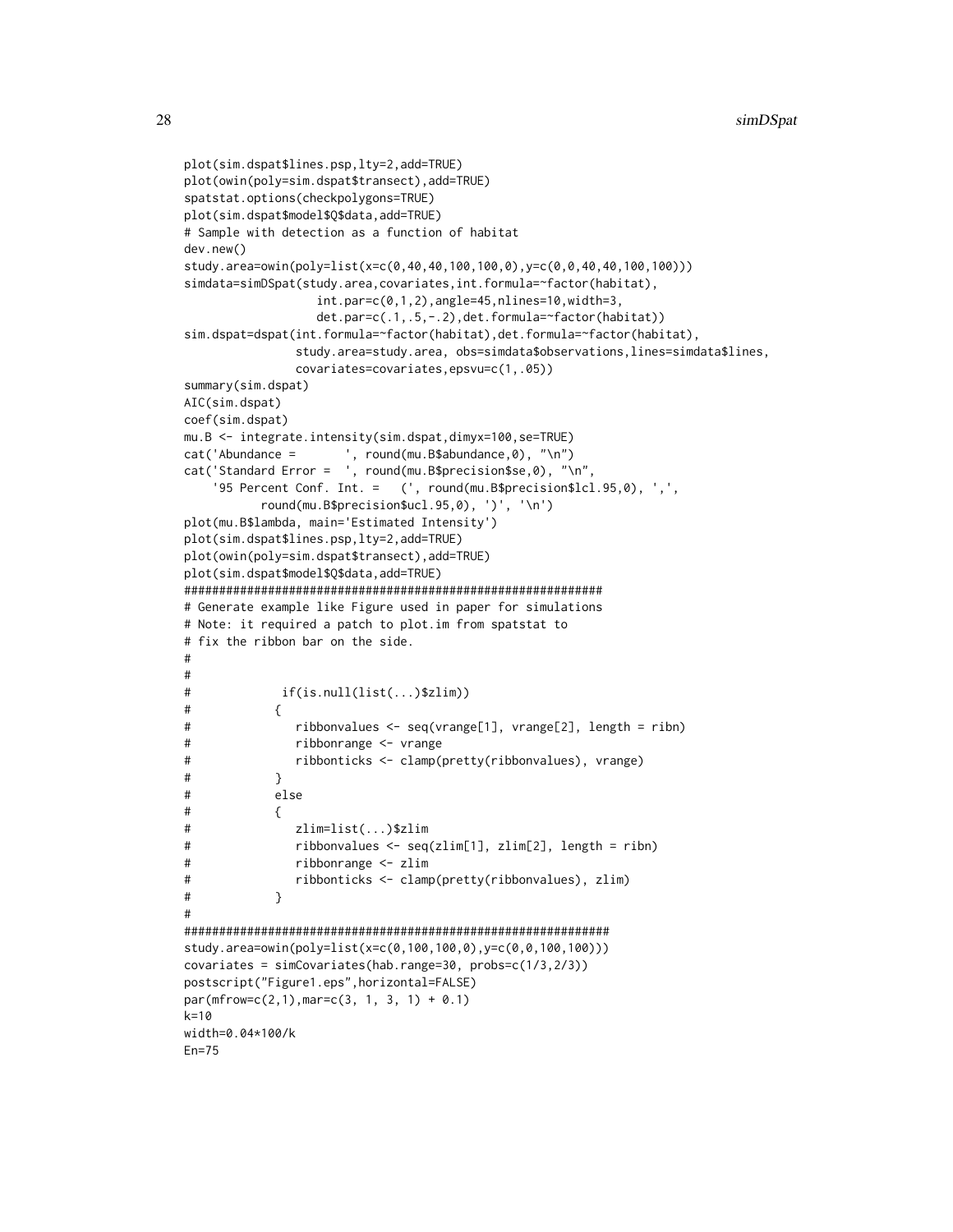```
plot(sim.dspat$lines.psp,lty=2,add=TRUE)
plot(owin(poly=sim.dspat$transect),add=TRUE)
spatstat.options(checkpolygons=TRUE)
plot(sim.dspat$model$Q$data,add=TRUE)
# Sample with detection as a function of habitat
dev.new()
study.area=owin(poly=list(x=c(0,40,40,100,100,0),y=c(0,0,40,40,100,100)))
simdata=simDSpat(study.area,covariates,int.formula=~factor(habitat),
                 int.par=c(0,1,2),angle=45,nlines=10,width=3,
                 det.par=c(.1,.5,-.2),det.formula=~factor(habitat))
sim.dspat=dspat(int.formula=~factor(habitat),det.formula=~factor(habitat),
               study.area=study.area, obs=simdata$observations,lines=simdata$lines,
               covariates=covariates,epsvu=c(1,.05))
summary(sim.dspat)
AIC(sim.dspat)
coef(sim.dspat)
mu.B <- integrate.intensity(sim.dspat,dimyx=100,se=TRUE)
cat('Abundance = ', round(mu.B$abundance,0), "\n")
cat('Standard Error = ', round(mu.B$precision$se,0), "\n",
    '95 Percent Conf. Int. = (', round(mu.B$precision$lcl.95,0), ',',
          round(mu.B$precision$ucl.95,0), ')', '\n')
plot(mu.B$lambda, main='Estimated Intensity')
plot(sim.dspat$lines.psp,lty=2,add=TRUE)
plot(owin(poly=sim.dspat$transect),add=TRUE)
plot(sim.dspat$model$Q$data,add=TRUE)
############################################################
# Generate example like Figure used in paper for simulations
# Note: it required a patch to plot.im from spatstat to
# fix the ribbon bar on the side.
#
#
# if(is.null(list(...)$zlim))
\# {
# ribbonvalues <- seq(vrange[1], vrange[2], length = ribn)
# ribbonrange <- vrange
# ribbonticks <- clamp(pretty(ribbonvalues), vrange)
# }
# else
\# {
# zlim=list(...)$zlim
# ribbonvalues <- seq(zlim[1], zlim[2], length = ribn)
# ribbonrange <- zlim
# ribbonticks <- clamp(pretty(ribbonvalues), zlim)
# }
#
#############################################################
study.area=owin(poly=list(x=c(0,100,100,0),y=c(0,0,100,100)))
covariates = simCovariates(hab.range=30, probs=c(1/3,2/3))
postscript("Figure1.eps",horizontal=FALSE)
par(mfrow=c(2,1),mar=c(3, 1, 3, 1) + 0.1)k=10width=0.04*100/k
Fn=75
```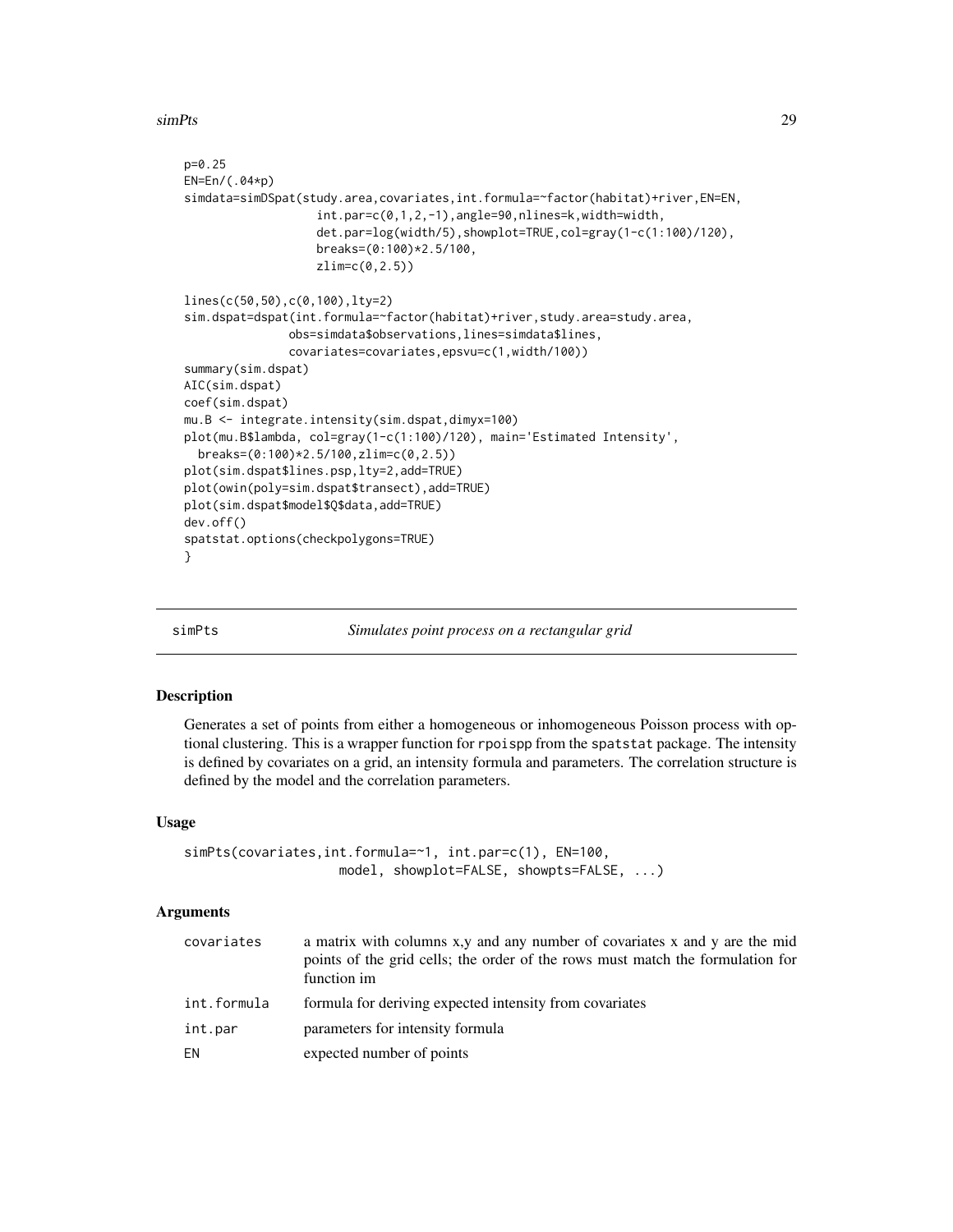<span id="page-28-0"></span>simPts 29

```
p=0.25
EN=En/(.04*p)
simdata=simDSpat(study.area,covariates,int.formula=~factor(habitat)+river,EN=EN,
                   int.par=c(0,1,2,-1),angle=90,nlines=k,width=width,
                   det.par=log(width/5),showplot=TRUE,col=gray(1-c(1:100)/120),
                   breaks=(0:100)*2.5/100,
                   zlim=c(0,2.5))
lines(c(50,50),c(0,100),lty=2)
sim.dspat=dspat(int.formula=~factor(habitat)+river,study.area=study.area,
               obs=simdata$observations,lines=simdata$lines,
               covariates=covariates,epsvu=c(1,width/100))
summary(sim.dspat)
AIC(sim.dspat)
coef(sim.dspat)
mu.B <- integrate.intensity(sim.dspat,dimyx=100)
plot(mu.B$lambda, col=gray(1-c(1:100)/120), main='Estimated Intensity',
 breaks=(0:100)*2.5/100,zlim=c(0,2.5))
plot(sim.dspat$lines.psp,lty=2,add=TRUE)
plot(owin(poly=sim.dspat$transect),add=TRUE)
plot(sim.dspat$model$Q$data,add=TRUE)
dev.off()
spatstat.options(checkpolygons=TRUE)
}
```
<span id="page-28-1"></span>

simPts *Simulates point process on a rectangular grid*

#### Description

Generates a set of points from either a homogeneous or inhomogeneous Poisson process with optional clustering. This is a wrapper function for rpoispp from the spatstat package. The intensity is defined by covariates on a grid, an intensity formula and parameters. The correlation structure is defined by the model and the correlation parameters.

#### Usage

```
simPts(covariates,int.formula=~1, int.par=c(1), EN=100,
                    model, showplot=FALSE, showpts=FALSE, ...)
```
#### Arguments

| covariates  | a matrix with columns x,y and any number of covariates x and y are the mid<br>points of the grid cells; the order of the rows must match the formulation for<br>function im |
|-------------|-----------------------------------------------------------------------------------------------------------------------------------------------------------------------------|
| int.formula | formula for deriving expected intensity from covariates                                                                                                                     |
| int.par     | parameters for intensity formula                                                                                                                                            |
| ΕN          | expected number of points                                                                                                                                                   |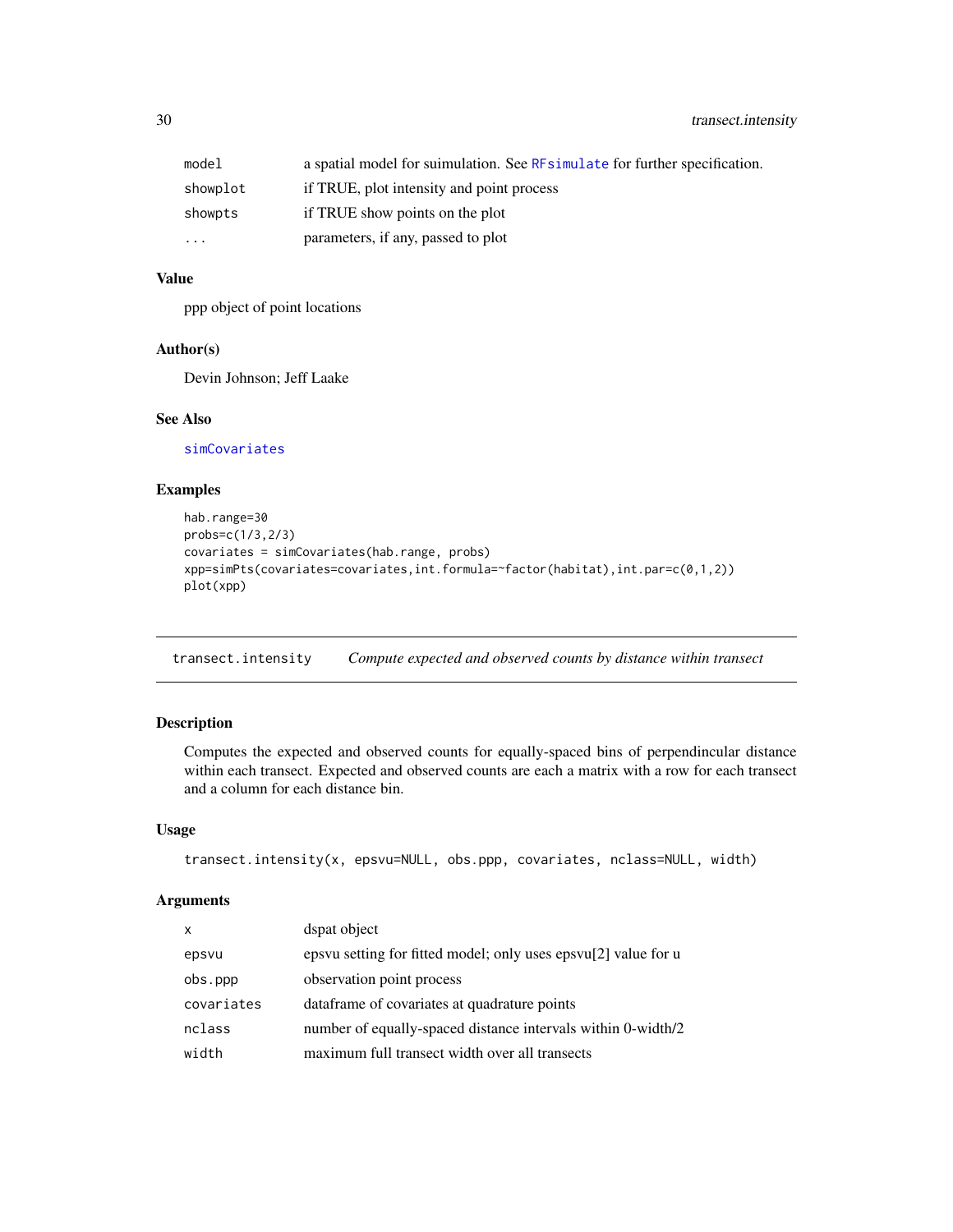<span id="page-29-0"></span>

| model     | a spatial model for suimulation. See RFsimulate for further specification. |
|-----------|----------------------------------------------------------------------------|
| showplot  | if TRUE, plot intensity and point process                                  |
| showpts   | if TRUE show points on the plot                                            |
| $\ddotsc$ | parameters, if any, passed to plot                                         |

# Value

ppp object of point locations

# Author(s)

Devin Johnson; Jeff Laake

# See Also

[simCovariates](#page-23-1)

# Examples

```
hab.range=30
probs=c(1/3,2/3)
covariates = simCovariates(hab.range, probs)
xpp=simPts(covariates=covariates,int.formula=~factor(habitat),int.par=c(0,1,2))
plot(xpp)
```
<span id="page-29-1"></span>transect.intensity *Compute expected and observed counts by distance within transect*

# Description

Computes the expected and observed counts for equally-spaced bins of perpendincular distance within each transect. Expected and observed counts are each a matrix with a row for each transect and a column for each distance bin.

# Usage

```
transect.intensity(x, epsvu=NULL, obs.ppp, covariates, nclass=NULL, width)
```
# Arguments

| $\mathsf{x}$ | dspat object                                                   |
|--------------|----------------------------------------------------------------|
| epsvu        | epsyu setting for fitted model; only uses epsyu[2] value for u |
| obs.ppp      | observation point process                                      |
| covariates   | data frame of covariates at quadrature points                  |
| nclass       | number of equally-spaced distance intervals within 0-width/2   |
| width        | maximum full transect width over all transects                 |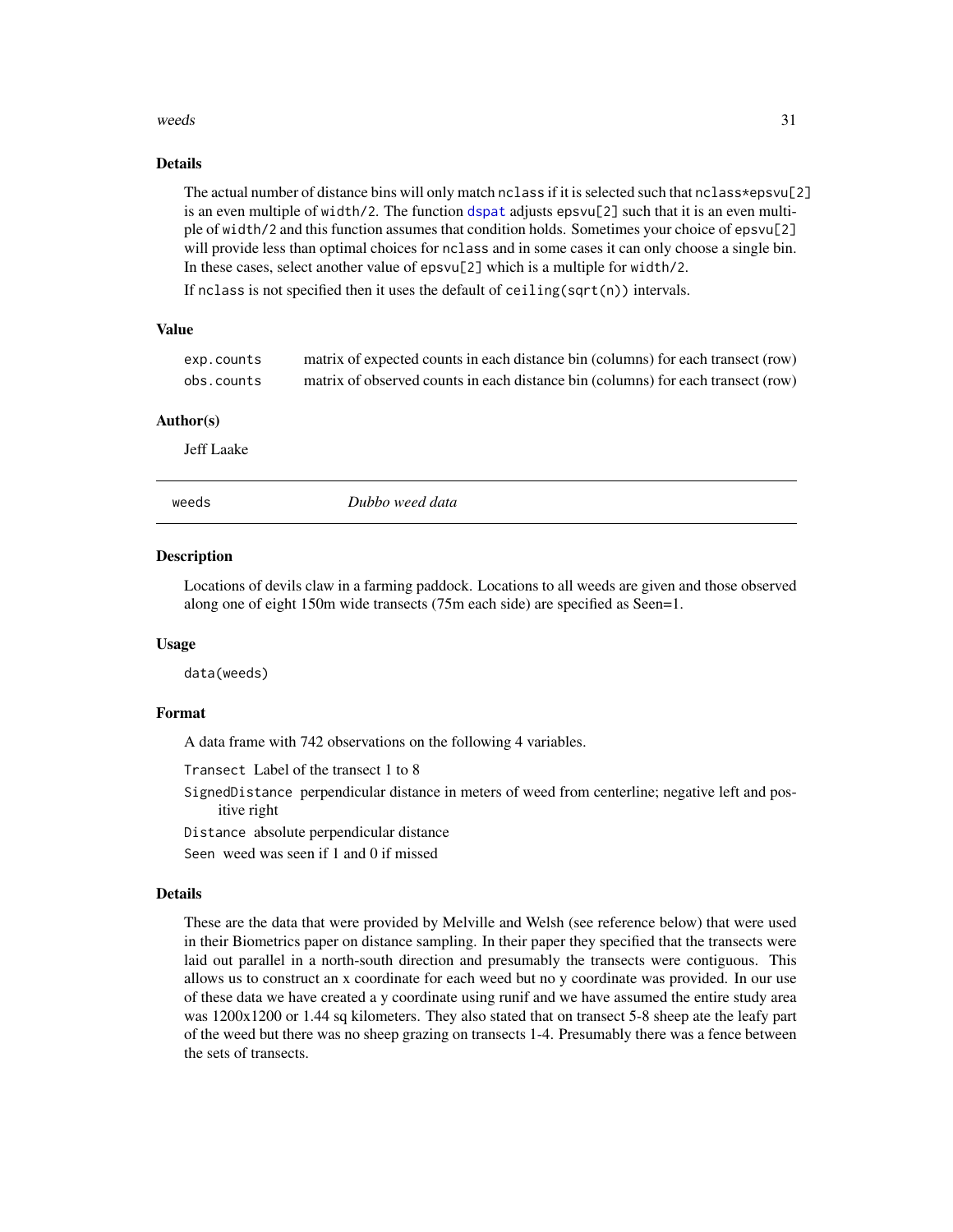#### <span id="page-30-0"></span>weeds 31

#### Details

The actual number of distance bins will only match nclass if it is selected such that nclass\*epsvu[2] is an even multiple of width/2. The function [dspat](#page-9-1) adjusts epsvu[2] such that it is an even multiple of width/2 and this function assumes that condition holds. Sometimes your choice of epsvu[2] will provide less than optimal choices for nclass and in some cases it can only choose a single bin. In these cases, select another value of epsvu[2] which is a multiple for width/2.

If nclass is not specified then it uses the default of ceiling(sqrt(n)) intervals.

#### Value

| exp.counts | matrix of expected counts in each distance bin (columns) for each transect (row) |
|------------|----------------------------------------------------------------------------------|
| obs.counts | matrix of observed counts in each distance bin (columns) for each transect (row) |

#### Author(s)

Jeff Laake

<span id="page-30-1"></span>weeds *Dubbo weed data*

#### Description

Locations of devils claw in a farming paddock. Locations to all weeds are given and those observed along one of eight 150m wide transects (75m each side) are specified as Seen=1.

#### Usage

data(weeds)

#### Format

A data frame with 742 observations on the following 4 variables.

Transect Label of the transect 1 to 8

- SignedDistance perpendicular distance in meters of weed from centerline; negative left and positive right
- Distance absolute perpendicular distance

Seen weed was seen if 1 and 0 if missed

#### Details

These are the data that were provided by Melville and Welsh (see reference below) that were used in their Biometrics paper on distance sampling. In their paper they specified that the transects were laid out parallel in a north-south direction and presumably the transects were contiguous. This allows us to construct an x coordinate for each weed but no y coordinate was provided. In our use of these data we have created a y coordinate using runif and we have assumed the entire study area was 1200x1200 or 1.44 sq kilometers. They also stated that on transect 5-8 sheep ate the leafy part of the weed but there was no sheep grazing on transects 1-4. Presumably there was a fence between the sets of transects.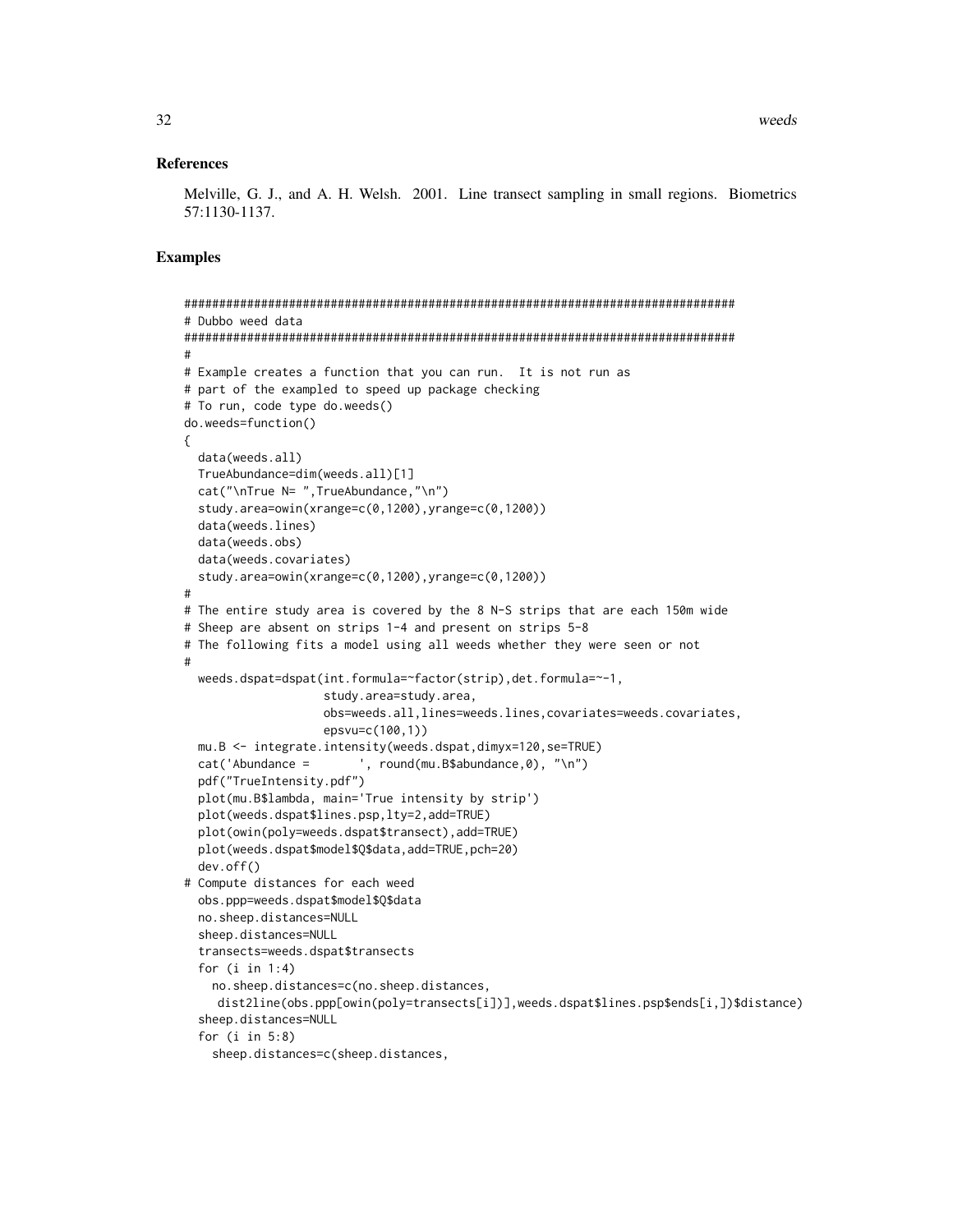#### References

Melville, G. J., and A. H. Welsh. 2001. Line transect sampling in small regions. Biometrics 57:1130-1137.

#### Examples

```
###############################################################################
# Dubbo weed data
###############################################################################
#
# Example creates a function that you can run. It is not run as
# part of the exampled to speed up package checking
# To run, code type do.weeds()
do.weeds=function()
{
 data(weeds.all)
 TrueAbundance=dim(weeds.all)[1]
 cat("\nTrue N= ",TrueAbundance,"\n")
 study.area=owin(xrange=c(0,1200),yrange=c(0,1200))
 data(weeds.lines)
 data(weeds.obs)
 data(weeds.covariates)
 study.area=owin(xrange=c(0,1200),yrange=c(0,1200))
#
# The entire study area is covered by the 8 N-S strips that are each 150m wide
# Sheep are absent on strips 1-4 and present on strips 5-8
# The following fits a model using all weeds whether they were seen or not
#
 weeds.dspat=dspat(int.formula=~factor(strip),det.formula=~-1,
                    study.area=study.area,
                    obs=weeds.all,lines=weeds.lines,covariates=weeds.covariates,
                    epsvu=c(100,1))
 mu.B <- integrate.intensity(weeds.dspat,dimyx=120,se=TRUE)
 cat('Abundance = ', round(mu.B$abundance,0), "\n")
 pdf("TrueIntensity.pdf")
 plot(mu.B$lambda, main='True intensity by strip')
 plot(weeds.dspat$lines.psp,lty=2,add=TRUE)
 plot(owin(poly=weeds.dspat$transect),add=TRUE)
 plot(weeds.dspat$model$Q$data,add=TRUE,pch=20)
 dev.off()
# Compute distances for each weed
 obs.ppp=weeds.dspat$model$Q$data
 no.sheep.distances=NULL
 sheep.distances=NULL
  transects=weeds.dspat$transects
 for (i in 1:4)
    no.sheep.distances=c(no.sheep.distances,
    dist2line(obs.ppp[owin(poly=transects[i])],weeds.dspat$lines.psp$ends[i,])$distance)
  sheep.distances=NULL
 for (i in 5:8)
    sheep.distances=c(sheep.distances,
```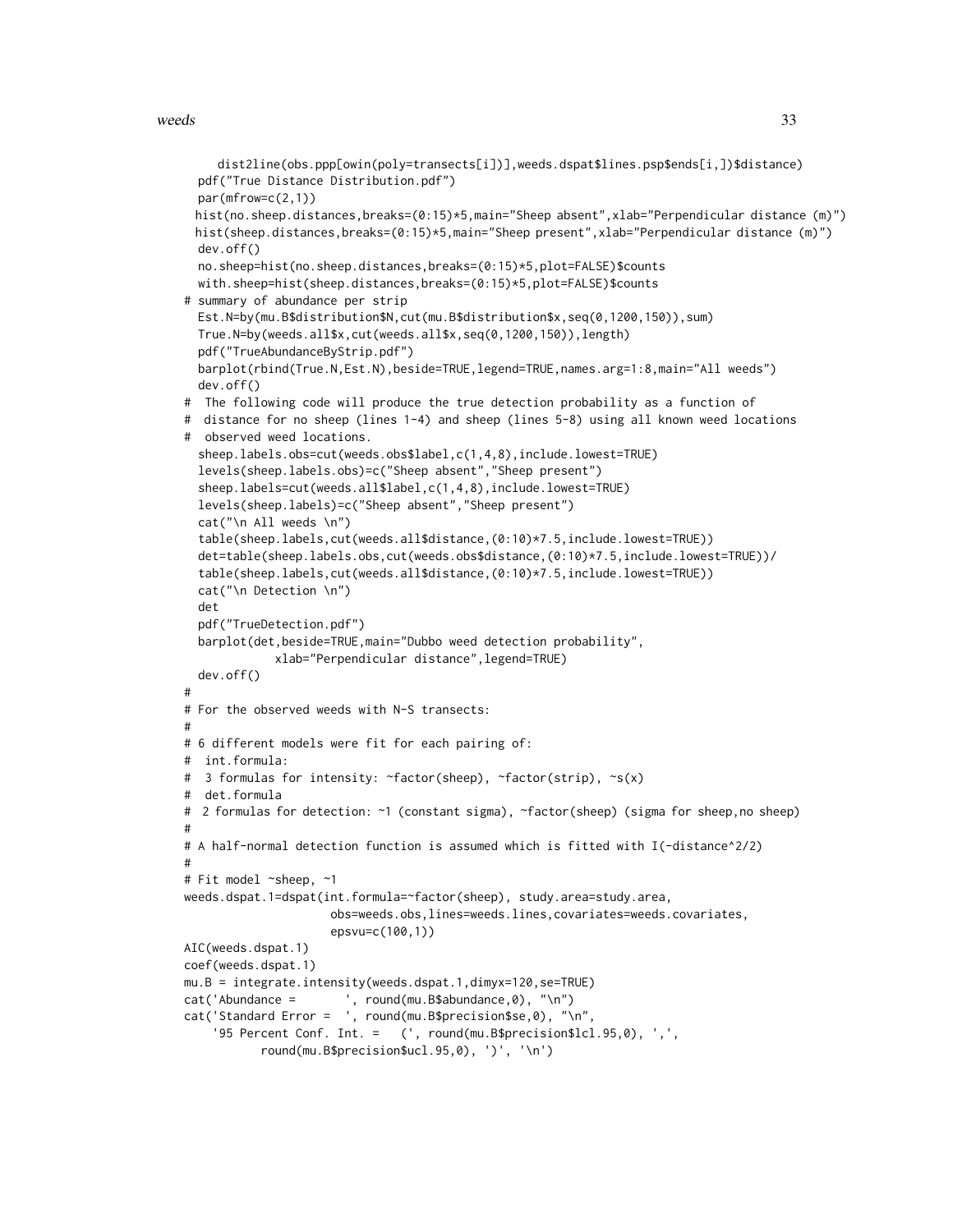#### weeds 33

#

#

#

#

```
dist2line(obs.ppp[owin(poly=transects[i])],weeds.dspat$lines.psp$ends[i,])$distance)
 pdf("True Distance Distribution.pdf")
 par(mfrow=c(2,1))
 hist(no.sheep.distances,breaks=(0:15)*5,main="Sheep absent",xlab="Perpendicular distance (m)")
 hist(sheep.distances,breaks=(0:15)*5,main="Sheep present",xlab="Perpendicular distance (m)")
 dev.off()
 no.sheep=hist(no.sheep.distances,breaks=(0:15)*5,plot=FALSE)$counts
 with.sheep=hist(sheep.distances,breaks=(0:15)*5,plot=FALSE)$counts
# summary of abundance per strip
 Est.N=by(mu.B$distribution$N,cut(mu.B$distribution$x,seq(0,1200,150)),sum)
 True.N=by(weeds.all$x,cut(weeds.all$x,seq(0,1200,150)),length)
 pdf("TrueAbundanceByStrip.pdf")
 barplot(rbind(True.N,Est.N),beside=TRUE,legend=TRUE,names.arg=1:8,main="All weeds")
 dev.off()
# The following code will produce the true detection probability as a function of
# distance for no sheep (lines 1-4) and sheep (lines 5-8) using all known weed locations
# observed weed locations.
  sheep.labels.obs=cut(weeds.obs$label,c(1,4,8),include.lowest=TRUE)
 levels(sheep.labels.obs)=c("Sheep absent","Sheep present")
  sheep.labels=cut(weeds.all$label,c(1,4,8),include.lowest=TRUE)
 levels(sheep.labels)=c("Sheep absent","Sheep present")
 cat("\n All weeds \n")
 table(sheep.labels,cut(weeds.all$distance,(0:10)*7.5,include.lowest=TRUE))
 det=table(sheep.labels.obs,cut(weeds.obs$distance,(0:10)*7.5,include.lowest=TRUE))/
  table(sheep.labels,cut(weeds.all$distance,(0:10)*7.5,include.lowest=TRUE))
 cat("\n Detection \n")
 det
 pdf("TrueDetection.pdf")
 barplot(det,beside=TRUE,main="Dubbo weed detection probability",
            xlab="Perpendicular distance",legend=TRUE)
 dev.off()
# For the observed weeds with N-S transects:
# 6 different models were fit for each pairing of:
# int.formula:
# 3 formulas for intensity: ~factor(sheep), ~factor(strip), ~s(x)
# det.formula
# 2 formulas for detection: ~1 (constant sigma), ~factor(sheep) (sigma for sheep,no sheep)
# A half-normal detection function is assumed which is fitted with I(-distance^2/2)
# Fit model ~sheep, ~1
weeds.dspat.1=dspat(int.formula=~factor(sheep), study.area=study.area,
                     obs=weeds.obs,lines=weeds.lines,covariates=weeds.covariates,
                     epsvu=c(100,1))
AIC(weeds.dspat.1)
coef(weeds.dspat.1)
mu.B = integrate.intensity(weeds.dspat.1,dimyx=120,se=TRUE)
cat('Abundance = ', round(mu.B$abundance,0), "\n")
cat('Standard Error = ', round(mu.B$precision$se,0), "\n",
    '95 Percent Conf. Int. = (', round(mu.B$precision$lcl.95,0), ',',
```

```
round(mu.B$precision$ucl.95,0), ')', '\n')
```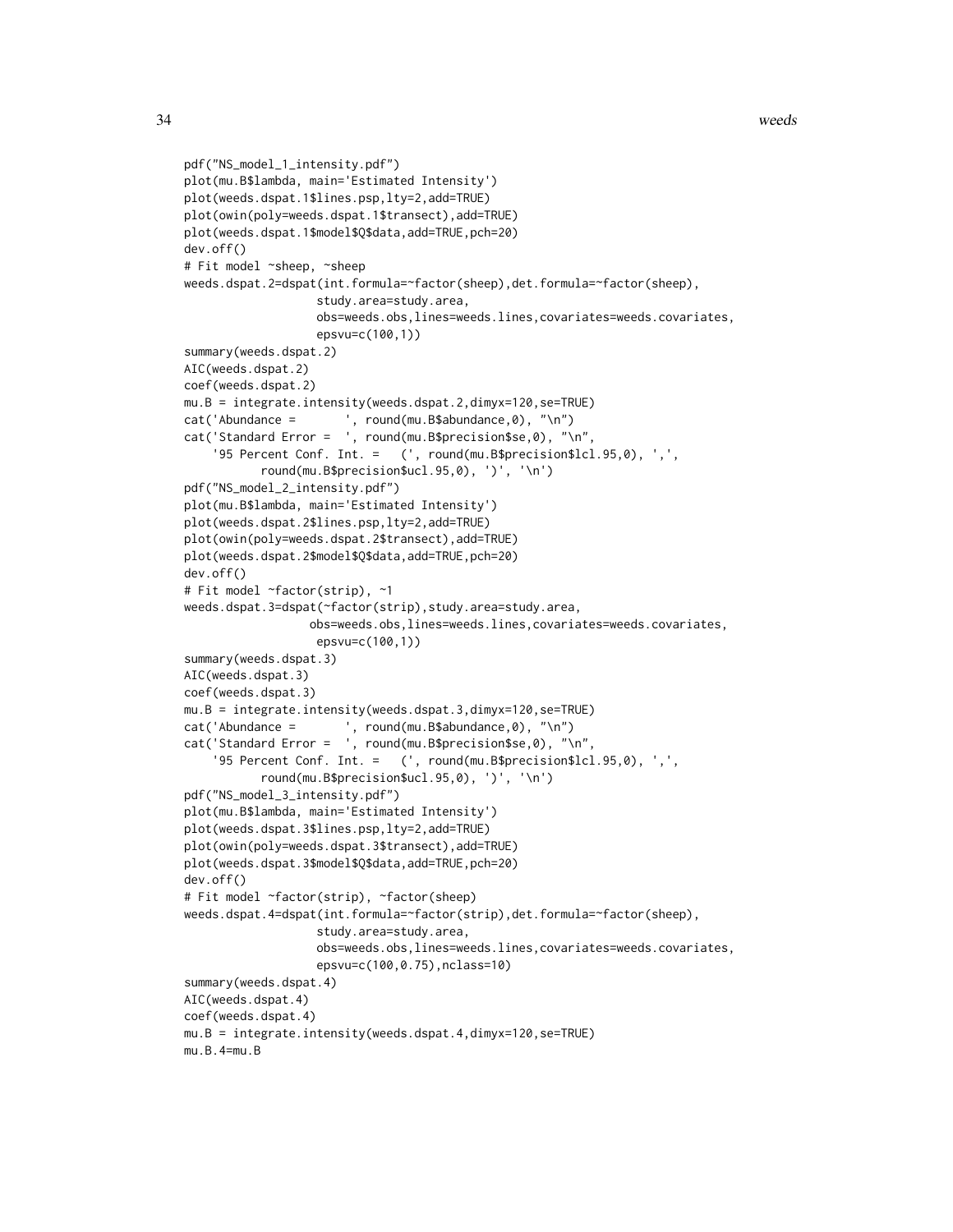```
pdf("NS_model_1_intensity.pdf")
plot(mu.B$lambda, main='Estimated Intensity')
plot(weeds.dspat.1$lines.psp,lty=2,add=TRUE)
plot(owin(poly=weeds.dspat.1$transect),add=TRUE)
plot(weeds.dspat.1$model$Q$data,add=TRUE,pch=20)
dev.off()
# Fit model ~sheep, ~sheep
weeds.dspat.2=dspat(int.formula=~factor(sheep),det.formula=~factor(sheep),
                   study.area=study.area,
                   obs=weeds.obs,lines=weeds.lines,covariates=weeds.covariates,
                   epsvu=c(100,1))
summary(weeds.dspat.2)
AIC(weeds.dspat.2)
coef(weeds.dspat.2)
mu.B = integrate.intensity(weeds.dspat.2,dimyx=120,se=TRUE)
cat('Abundance = ', round(mu.B$abundance,0), "\n")
cat('Standard Error = ', round(mu.B$precision$se,0), "\n",
    '95 Percent Conf. Int. = (', round(mu.B$precision$lcl.95,0), ',',
           round(mu.B$precision$ucl.95,0), ')', '\n')
pdf("NS_model_2_intensity.pdf")
plot(mu.B$lambda, main='Estimated Intensity')
plot(weeds.dspat.2$lines.psp,lty=2,add=TRUE)
plot(owin(poly=weeds.dspat.2$transect),add=TRUE)
plot(weeds.dspat.2$model$Q$data,add=TRUE,pch=20)
dev.off()
# Fit model ~factor(strip), ~1
weeds.dspat.3=dspat(~factor(strip),study.area=study.area,
                  obs=weeds.obs,lines=weeds.lines,covariates=weeds.covariates,
                   epsvu=c(100,1))
summary(weeds.dspat.3)
AIC(weeds.dspat.3)
coef(weeds.dspat.3)
mu.B = integrate.intensity(weeds.dspat.3,dimyx=120,se=TRUE)
cat('Abundance = ', round(mu.B$abundance,0), "\n")
cat('Standard Error = ', round(mu.B$precision$se,0), "\n",
    '95 Percent Conf. Int. = (', round(mu.B$precision$lcl.95,0), ',',
          round(mu.B$precision$ucl.95,0), ')', '\n')
pdf("NS_model_3_intensity.pdf")
plot(mu.B$lambda, main='Estimated Intensity')
plot(weeds.dspat.3$lines.psp,lty=2,add=TRUE)
plot(owin(poly=weeds.dspat.3$transect),add=TRUE)
plot(weeds.dspat.3$model$Q$data,add=TRUE,pch=20)
dev.off()
# Fit model ~factor(strip), ~factor(sheep)
weeds.dspat.4=dspat(int.formula=~factor(strip),det.formula=~factor(sheep),
                   study.area=study.area,
                   obs=weeds.obs,lines=weeds.lines,covariates=weeds.covariates,
                   epsvu=c(100,0.75),nclass=10)
summary(weeds.dspat.4)
AIC(weeds.dspat.4)
coef(weeds.dspat.4)
mu.B = integrate.intensity(weeds.dspat.4,dimyx=120,se=TRUE)
mu.B.4=mu.B
```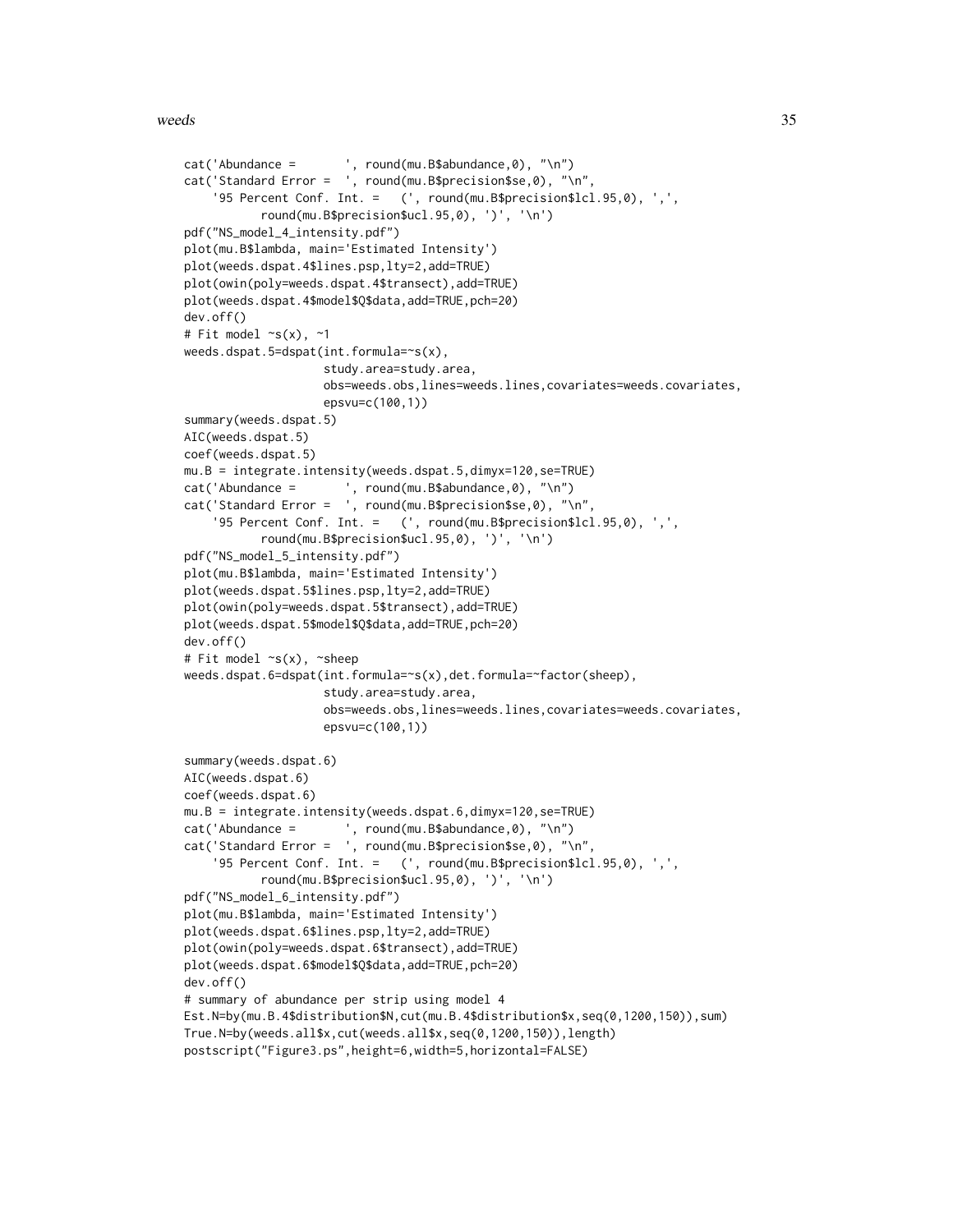#### weeds 35

```
cat('Abundance = ', round(mu.B$abundance,0), "\n")
cat('Standard Error = ', round(mu.B$precision$se,0), "\n",
    '95 Percent Conf. Int. = (', round(mu.B$precision$lcl.95,0), ',',
           round(mu.B$precision$ucl.95,0), ')', '\n')
pdf("NS_model_4_intensity.pdf")
plot(mu.B$lambda, main='Estimated Intensity')
plot(weeds.dspat.4$lines.psp,lty=2,add=TRUE)
plot(owin(poly=weeds.dspat.4$transect),add=TRUE)
plot(weeds.dspat.4$model$Q$data,add=TRUE,pch=20)
dev.off()
# Fit model ~s(x), ~1
weeds.dspat.5=dspat(int.formula=~s(x),
                    study.area=study.area,
                    obs=weeds.obs,lines=weeds.lines,covariates=weeds.covariates,
                    epsvu=c(100,1))
summary(weeds.dspat.5)
AIC(weeds.dspat.5)
coef(weeds.dspat.5)
mu.B = integrate.intensity(weeds.dspat.5,dimyx=120,se=TRUE)
cat('Abundance = ', round(mu.B$abundance,0), "\n")
cat('Standard Error = ', round(mu.B$precision$se,0), "\n",
    '95 Percent Conf. Int. = (', round(mu.B$precision$lcl.95,0), ',',
           round(mu.B$precision$ucl.95,0), ')', '\n')
pdf("NS_model_5_intensity.pdf")
plot(mu.B$lambda, main='Estimated Intensity')
plot(weeds.dspat.5$lines.psp,lty=2,add=TRUE)
plot(owin(poly=weeds.dspat.5$transect),add=TRUE)
plot(weeds.dspat.5$model$Q$data,add=TRUE,pch=20)
dev.off()
# Fit model ~s(x), ~sheep
weeds.dspat.6=dspat(int.formula=~s(x),det.formula=~factor(sheep),
                    study.area=study.area,
                    obs=weeds.obs,lines=weeds.lines,covariates=weeds.covariates,
                    epsvu=c(100,1))
summary(weeds.dspat.6)
AIC(weeds.dspat.6)
coef(weeds.dspat.6)
mu.B = integrate.intensity(weeds.dspat.6,dimyx=120,se=TRUE)
cat('Abundance = ', round(mu.B$abundance,0), "\n")
cat('Standard Error = ', round(mu.B$precision$se,0), "\n",
    '95 Percent Conf. Int. = (', round(mu.B$precision$lcl.95,0), ',',
           round(mu.B$precision$ucl.95,0), ')', '\n')
pdf("NS_model_6_intensity.pdf")
plot(mu.B$lambda, main='Estimated Intensity')
plot(weeds.dspat.6$lines.psp,lty=2,add=TRUE)
plot(owin(poly=weeds.dspat.6$transect),add=TRUE)
plot(weeds.dspat.6$model$Q$data,add=TRUE,pch=20)
dev.off()
# summary of abundance per strip using model 4
Est.N=by(mu.B.4$distribution$N,cut(mu.B.4$distribution$x,seq(0,1200,150)),sum)
True.N=by(weeds.all$x,cut(weeds.all$x,seq(0,1200,150)),length)
postscript("Figure3.ps",height=6,width=5,horizontal=FALSE)
```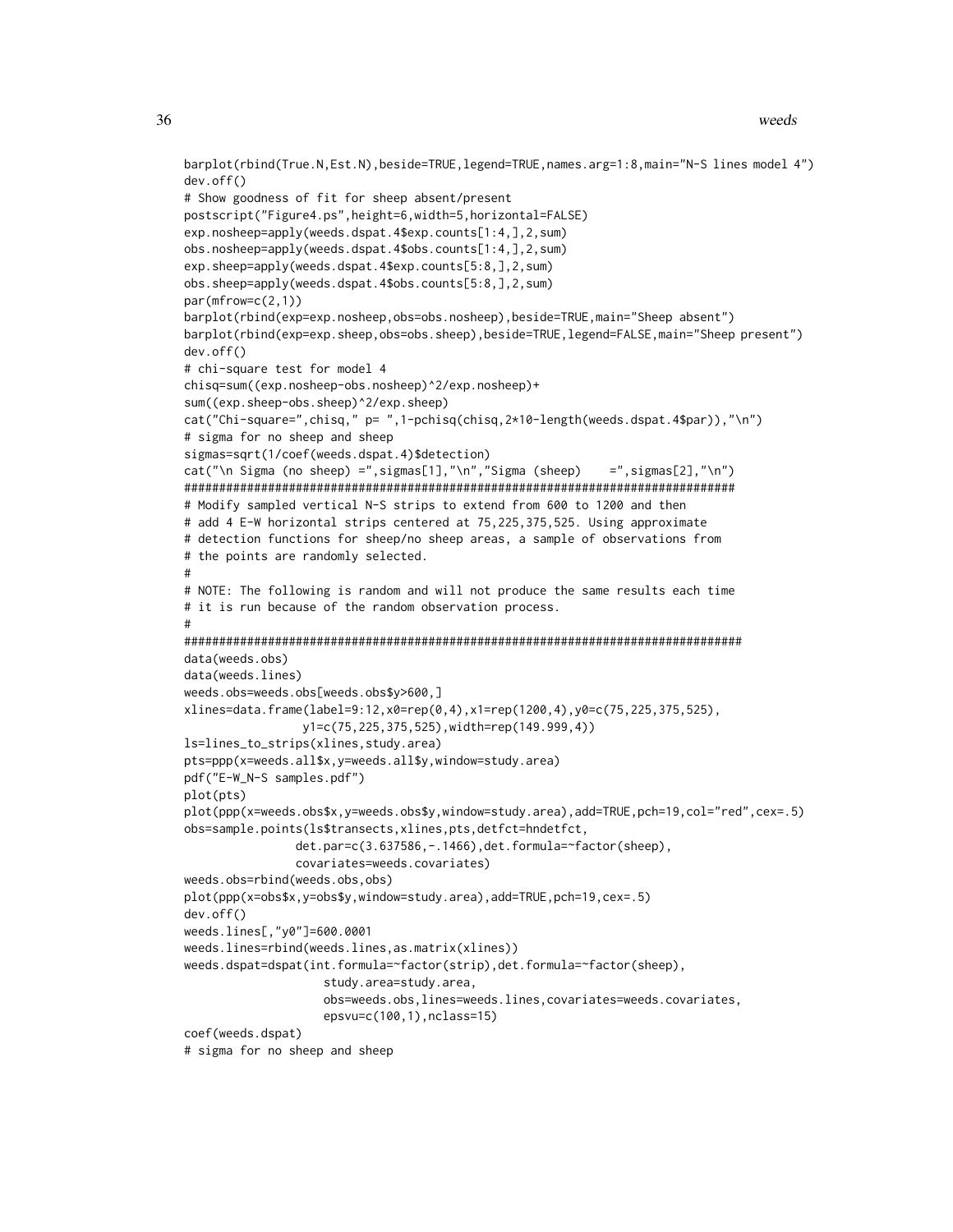```
barplot(rbind(True.N,Est.N),beside=TRUE,legend=TRUE,names.arg=1:8,main="N-S lines model 4")
dev.off()
# Show goodness of fit for sheep absent/present
postscript("Figure4.ps",height=6,width=5,horizontal=FALSE)
exp.nosheep=apply(weeds.dspat.4$exp.counts[1:4,],2,sum)
obs.nosheep=apply(weeds.dspat.4$obs.counts[1:4,],2,sum)
exp.sheep=apply(weeds.dspat.4$exp.counts[5:8,],2,sum)
obs.sheep=apply(weeds.dspat.4$obs.counts[5:8,],2,sum)
par(mfrow=c(2,1))
barplot(rbind(exp=exp.nosheep,obs=obs.nosheep),beside=TRUE,main="Sheep absent")
barplot(rbind(exp=exp.sheep,obs=obs.sheep),beside=TRUE,legend=FALSE,main="Sheep present")
dev.off()
# chi-square test for model 4
chisq=sum((exp.nosheep-obs.nosheep)^2/exp.nosheep)+
sum((exp.sheep-obs.sheep)^2/exp.sheep)
cat("Chi-square=",chisq," p= ",1-pchisq(chisq,2*10-length(weeds.dspat.4$par)),"\n")
# sigma for no sheep and sheep
sigmas=sqrt(1/coef(weeds.dspat.4)$detection)
cat("\n Sigma (no sheep) =",sigmas[1],"\n","Sigma (sheep) =",sigmas[2],"\n")
###############################################################################
# Modify sampled vertical N-S strips to extend from 600 to 1200 and then
# add 4 E-W horizontal strips centered at 75,225,375,525. Using approximate
# detection functions for sheep/no sheep areas, a sample of observations from
# the points are randomly selected.
#
# NOTE: The following is random and will not produce the same results each time
# it is run because of the random observation process.
#
################################################################################
data(weeds.obs)
data(weeds.lines)
weeds.obs=weeds.obs[weeds.obs$y>600,]
xlines=data.frame(label=9:12,x0=rep(0,4),x1=rep(1200,4),y0=c(75,225,375,525),
                 y1=c(75,225,375,525),width=rep(149.999,4))
ls=lines_to_strips(xlines,study.area)
pts=ppp(x=weeds.all$x,y=weeds.all$y,window=study.area)
pdf("E-W_N-S samples.pdf")
plot(pts)
plot(ppp(x=weeds.obs$x,y=weeds.obs$y,window=study.area),add=TRUE,pch=19,col="red",cex=.5)
obs=sample.points(ls$transects,xlines,pts,detfct=hndetfct,
                det.par=c(3.637586,-.1466),det.formula=~factor(sheep),
                covariates=weeds.covariates)
weeds.obs=rbind(weeds.obs,obs)
plot(ppp(x=obs$x,y=obs$y,window=study.area),add=TRUE,pch=19,cex=.5)
dev.off()
weeds.lines[,"y0"]=600.0001
weeds.lines=rbind(weeds.lines,as.matrix(xlines))
weeds.dspat=dspat(int.formula=~factor(strip),det.formula=~factor(sheep),
                    study.area=study.area,
                    obs=weeds.obs,lines=weeds.lines,covariates=weeds.covariates,
                    epsvu=c(100,1),nclass=15)
coef(weeds.dspat)
# sigma for no sheep and sheep
```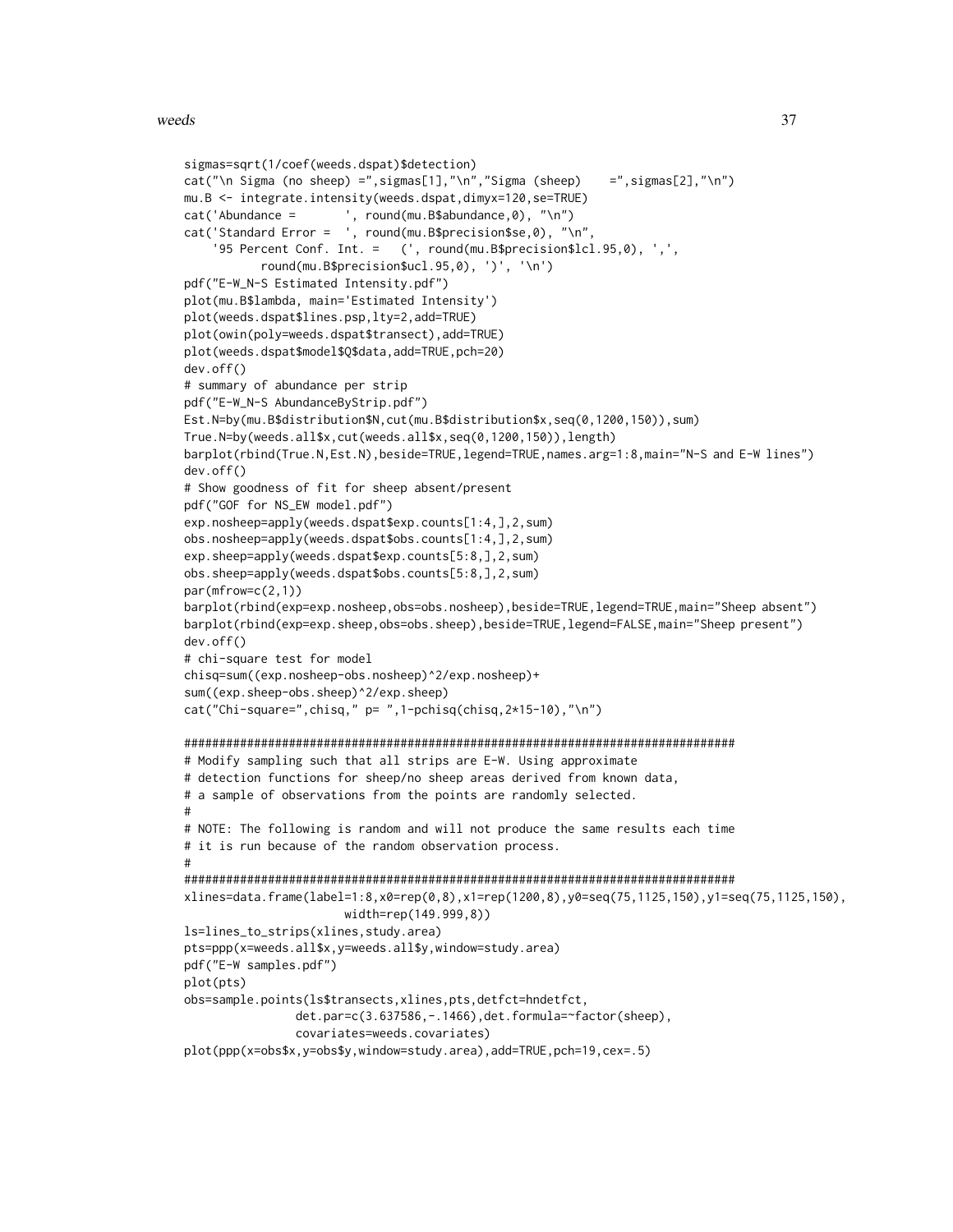```
sigmas=sqrt(1/coef(weeds.dspat)$detection)
cat("\n Sigma (no sheep) =",sigmas[1],"\n","Sigma (sheep) =",sigmas[2],"\n")
mu.B <- integrate.intensity(weeds.dspat,dimyx=120,se=TRUE)
cat('Abundance = ', round(mu.B$abundance, 0), "\n'cat('Standard Error = ', round(mu.B$precision$se,0), "\n",
    '95 Percent Conf. Int. = (', round(mu.B$precision$lcl.95,0), ',',
          round(mu.B$precision$ucl.95,0), ')', '\n')
pdf("E-W_N-S Estimated Intensity.pdf")
plot(mu.B$lambda, main='Estimated Intensity')
plot(weeds.dspat$lines.psp,lty=2,add=TRUE)
plot(owin(poly=weeds.dspat$transect),add=TRUE)
plot(weeds.dspat$model$Q$data,add=TRUE,pch=20)
dev.off()
# summary of abundance per strip
pdf("E-W_N-S AbundanceByStrip.pdf")
Est.N=by(mu.B$distribution$N,cut(mu.B$distribution$x,seq(0,1200,150)),sum)
True.N=by(weeds.all$x,cut(weeds.all$x,seq(0,1200,150)),length)
barplot(rbind(True.N,Est.N),beside=TRUE,legend=TRUE,names.arg=1:8,main="N-S and E-W lines")
dev.off()
# Show goodness of fit for sheep absent/present
pdf("GOF for NS_EW model.pdf")
exp.nosheep=apply(weeds.dspat$exp.counts[1:4,],2,sum)
obs.nosheep=apply(weeds.dspat$obs.counts[1:4,],2,sum)
exp.sheep=apply(weeds.dspat$exp.counts[5:8,],2,sum)
obs.sheep=apply(weeds.dspat$obs.counts[5:8,],2,sum)
par(mfrow=c(2,1))
barplot(rbind(exp=exp.nosheep,obs=obs.nosheep),beside=TRUE,legend=TRUE,main="Sheep absent")
barplot(rbind(exp=exp.sheep,obs=obs.sheep),beside=TRUE,legend=FALSE,main="Sheep present")
dev.off()
# chi-square test for model
chisq=sum((exp.nosheep-obs.nosheep)^2/exp.nosheep)+
sum((exp.sheep-obs.sheep)^2/exp.sheep)
cat("Chi-square=", chisq," p="1-pchisq(chisq,2*15-10), "n")###############################################################################
# Modify sampling such that all strips are E-W. Using approximate
# detection functions for sheep/no sheep areas derived from known data,
# a sample of observations from the points are randomly selected.
#
# NOTE: The following is random and will not produce the same results each time
# it is run because of the random observation process.
#
###############################################################################
xlines=data.frame(label=1:8,x0=rep(0,8),x1=rep(1200,8),y0=seq(75,1125,150),y1=seq(75,1125,150),
                       width=rep(149.999,8))
ls=lines_to_strips(xlines,study.area)
pts=ppp(x=weeds.all$x,y=weeds.all$y,window=study.area)
pdf("E-W samples.pdf")
plot(pts)
obs=sample.points(ls$transects,xlines,pts,detfct=hndetfct,
                det.par=c(3.637586,-.1466),det.formula=~factor(sheep),
                covariates=weeds.covariates)
plot(ppp(x=obs$x,y=obs$y,window=study.area),add=TRUE,pch=19,cex=.5)
```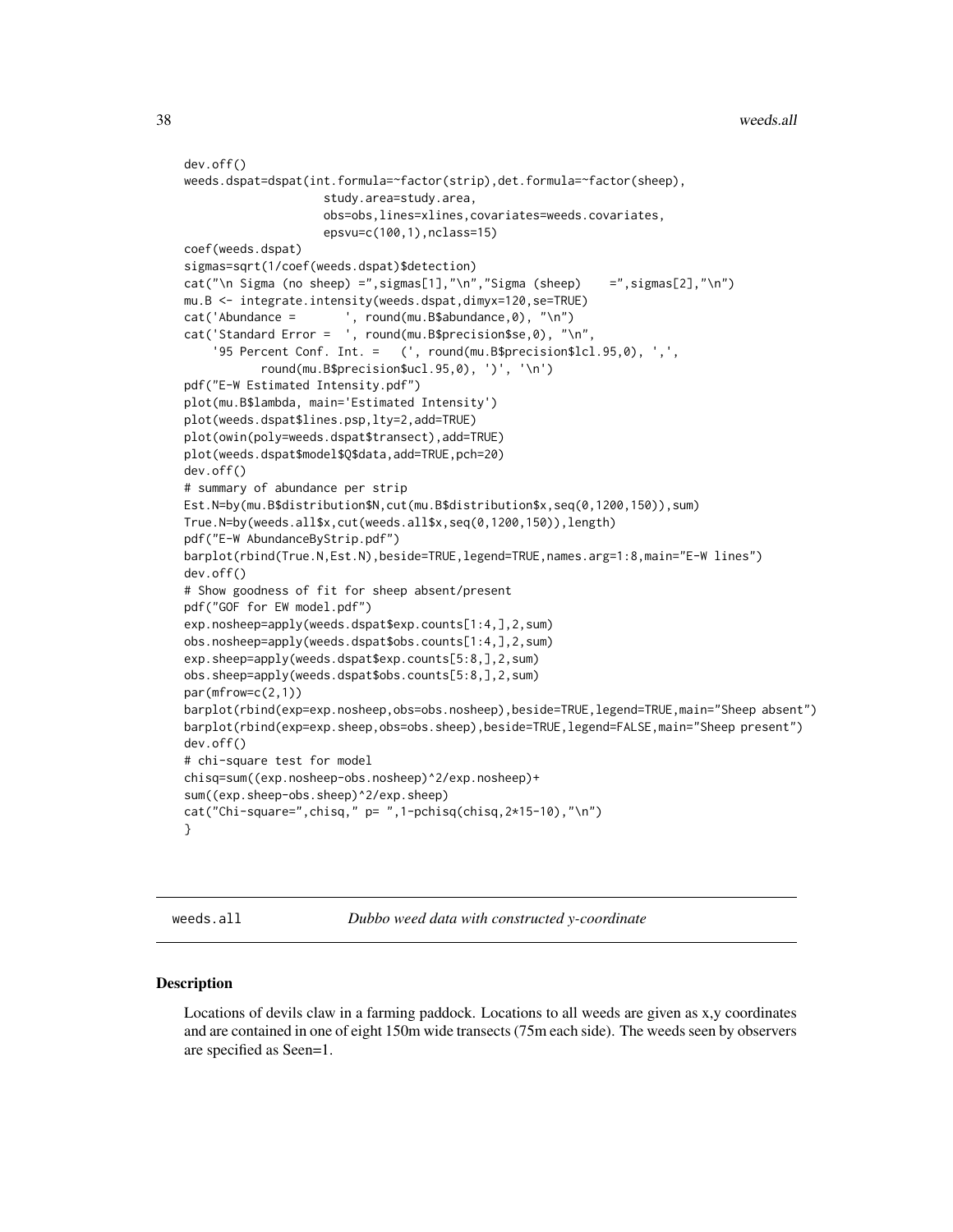```
dev.off()
weeds.dspat=dspat(int.formula=~factor(strip),det.formula=~factor(sheep),
                    study.area=study.area,
                    obs=obs,lines=xlines,covariates=weeds.covariates,
                    epsvu=c(100,1),nclass=15)
coef(weeds.dspat)
sigmas=sqrt(1/coef(weeds.dspat)$detection)
cat("\n Sigma (no sheep) =",sigmas[1],"\n","Sigma (sheep) =",sigmas[2],"\n")
mu.B <- integrate.intensity(weeds.dspat,dimyx=120,se=TRUE)
cat('Abundance = ', round(mu.B$abundance,0), "\n")
cat('Standard Error = ', round(mu.B$precision$se,0), "\n",
    '95 Percent Conf. Int. = (', round(mu.B$precision$lcl.95,0), ',',
           round(mu.B$precision$ucl.95,0), ')', '\n')
pdf("E-W Estimated Intensity.pdf")
plot(mu.B$lambda, main='Estimated Intensity')
plot(weeds.dspat$lines.psp,lty=2,add=TRUE)
plot(owin(poly=weeds.dspat$transect),add=TRUE)
plot(weeds.dspat$model$Q$data,add=TRUE,pch=20)
dev.off()
# summary of abundance per strip
Est.N=by(mu.B$distribution$N,cut(mu.B$distribution$x,seq(0,1200,150)),sum)
True.N=by(weeds.all$x,cut(weeds.all$x,seq(0,1200,150)),length)
pdf("E-W AbundanceByStrip.pdf")
barplot(rbind(True.N,Est.N),beside=TRUE,legend=TRUE,names.arg=1:8,main="E-W lines")
dev.off()
# Show goodness of fit for sheep absent/present
pdf("GOF for EW model.pdf")
exp.nosheep=apply(weeds.dspat$exp.counts[1:4,],2,sum)
obs.nosheep=apply(weeds.dspat$obs.counts[1:4,],2,sum)
exp.sheep=apply(weeds.dspat$exp.counts[5:8,],2,sum)
obs.sheep=apply(weeds.dspat$obs.counts[5:8,],2,sum)
par(mfrow=c(2,1))
barplot(rbind(exp=exp.nosheep,obs=obs.nosheep),beside=TRUE,legend=TRUE,main="Sheep absent")
barplot(rbind(exp=exp.sheep,obs=obs.sheep),beside=TRUE,legend=FALSE,main="Sheep present")
dev.off()
# chi-square test for model
chisq=sum((exp.nosheep-obs.nosheep)^2/exp.nosheep)+
sum((exp.sheep-obs.sheep)^2/exp.sheep)
cat("Chi-square=",chisq," p= ",1-pchisq(chisq,2*15-10),"\n")
}
```
<span id="page-37-1"></span>weeds.all *Dubbo weed data with constructed y-coordinate*

#### Description

Locations of devils claw in a farming paddock. Locations to all weeds are given as x,y coordinates and are contained in one of eight 150m wide transects (75m each side). The weeds seen by observers are specified as Seen=1.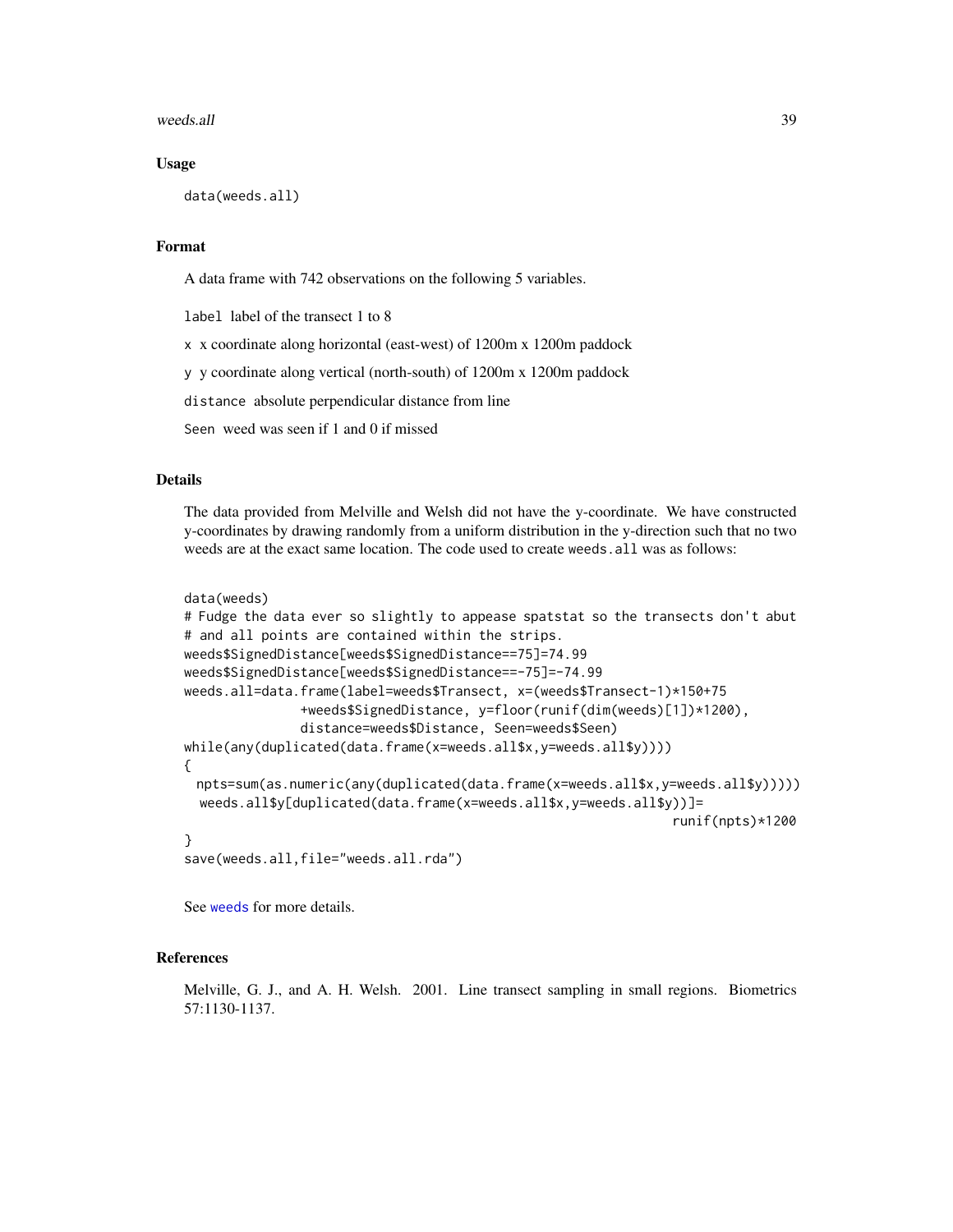#### <span id="page-38-0"></span>weeds.all 39

#### Usage

```
data(weeds.all)
```
#### Format

A data frame with 742 observations on the following 5 variables.

label label of the transect 1 to 8

x x coordinate along horizontal (east-west) of 1200m x 1200m paddock

y y coordinate along vertical (north-south) of 1200m x 1200m paddock

distance absolute perpendicular distance from line

Seen weed was seen if 1 and 0 if missed

#### Details

The data provided from Melville and Welsh did not have the y-coordinate. We have constructed y-coordinates by drawing randomly from a uniform distribution in the y-direction such that no two weeds are at the exact same location. The code used to create weeds.all was as follows:

```
data(weeds)
```

```
# Fudge the data ever so slightly to appease spatstat so the transects don't abut
# and all points are contained within the strips.
weeds$SignedDistance[weeds$SignedDistance==75]=74.99
weeds$SignedDistance[weeds$SignedDistance==-75]=-74.99
weeds.all=data.frame(label=weeds$Transect, x=(weeds$Transect-1)*150+75
               +weeds$SignedDistance, y=floor(runif(dim(weeds)[1])*1200),
               distance=weeds$Distance, Seen=weeds$Seen)
while(any(duplicated(data.frame(x=weeds.all$x,y=weeds.all$y))))
{
 npts=sum(as.numeric(any(duplicated(data.frame(x=weeds.all$x,y=weeds.all$y)))))
 weeds.all$y[duplicated(data.frame(x=weeds.all$x,y=weeds.all$y))]=
                                                                runif(npts)*1200
}
```
save(weeds.all,file="weeds.all.rda")

See [weeds](#page-30-1) for more details.

# References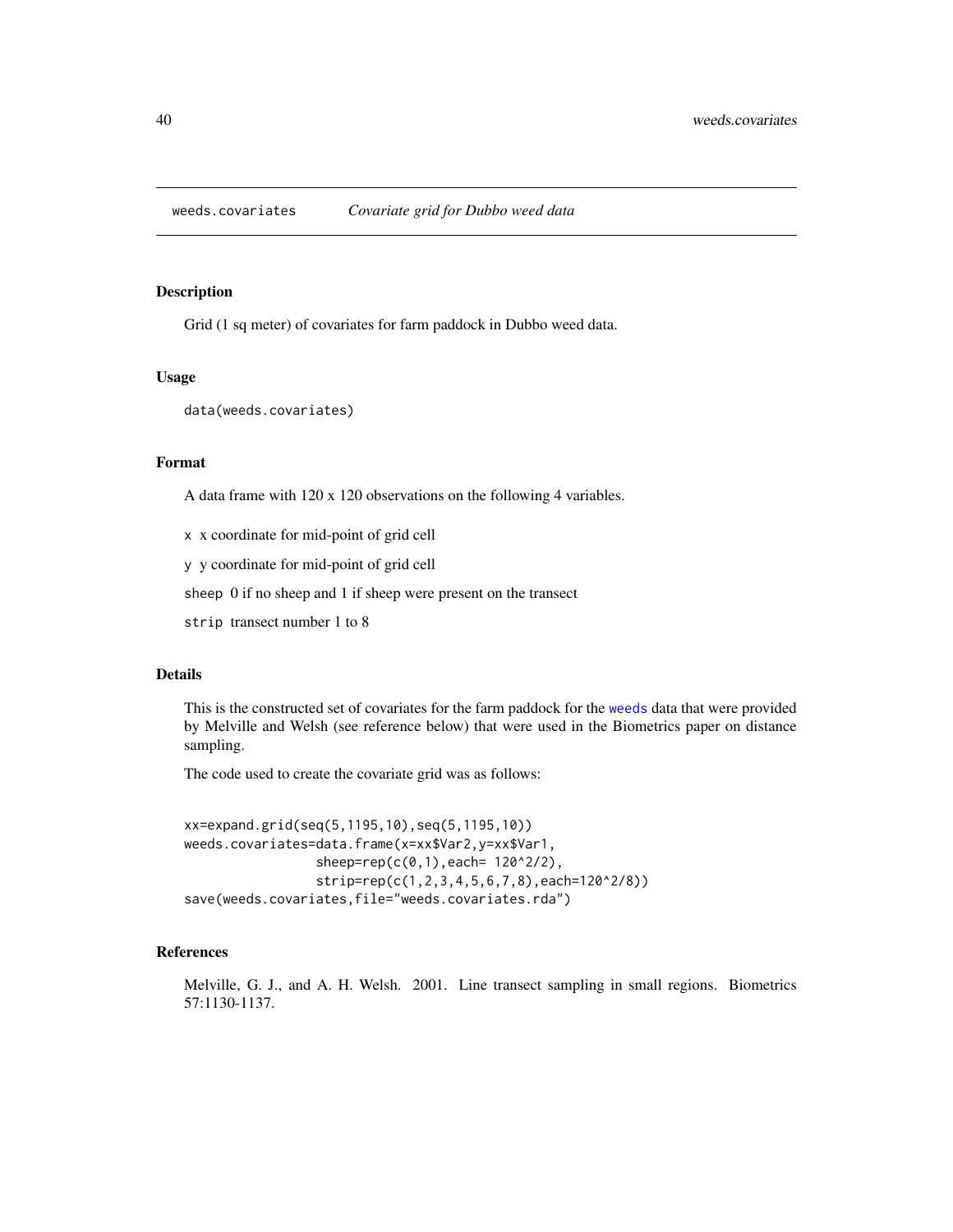<span id="page-39-1"></span><span id="page-39-0"></span>

Grid (1 sq meter) of covariates for farm paddock in Dubbo weed data.

# Usage

data(weeds.covariates)

### Format

A data frame with 120 x 120 observations on the following 4 variables.

x x coordinate for mid-point of grid cell

y y coordinate for mid-point of grid cell

sheep 0 if no sheep and 1 if sheep were present on the transect

strip transect number 1 to 8

# Details

This is the constructed set of covariates for the farm paddock for the [weeds](#page-30-1) data that were provided by Melville and Welsh (see reference below) that were used in the Biometrics paper on distance sampling.

The code used to create the covariate grid was as follows:

```
xx=expand.grid(seq(5,1195,10),seq(5,1195,10))
weeds.covariates=data.frame(x=xx$Var2,y=xx$Var1,
                 sheep=rep(c(0,1), each = 120^2/2),strip=rep(c(1,2,3,4,5,6,7,8),each=120^2/8))
save(weeds.covariates,file="weeds.covariates.rda")
```
# References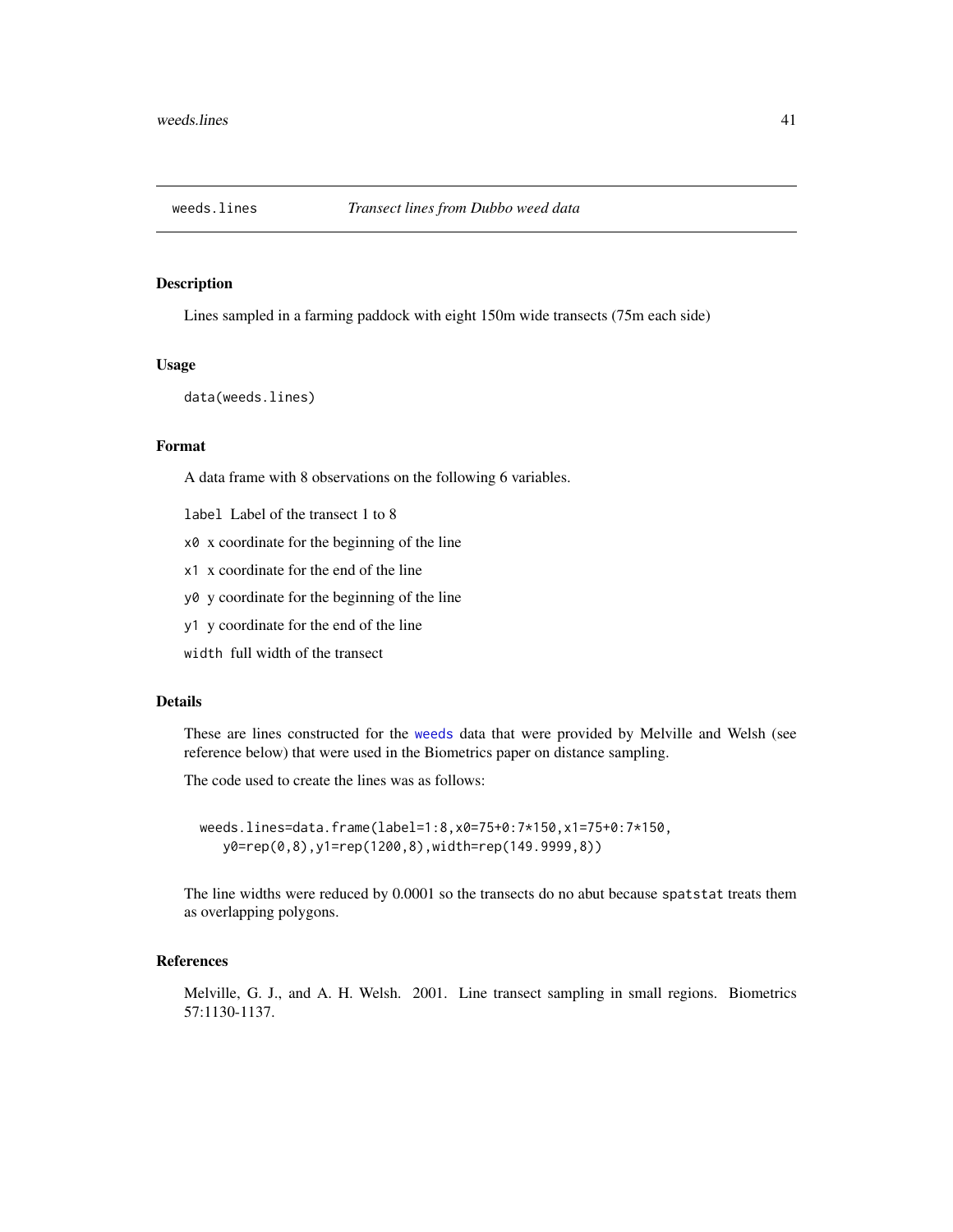<span id="page-40-1"></span><span id="page-40-0"></span>

Lines sampled in a farming paddock with eight 150m wide transects (75m each side)

#### Usage

data(weeds.lines)

# Format

A data frame with 8 observations on the following 6 variables.

- label Label of the transect 1 to 8
- x0 x coordinate for the beginning of the line
- x1 x coordinate for the end of the line
- y0 y coordinate for the beginning of the line
- y1 y coordinate for the end of the line
- width full width of the transect

# Details

These are lines constructed for the [weeds](#page-30-1) data that were provided by Melville and Welsh (see reference below) that were used in the Biometrics paper on distance sampling.

The code used to create the lines was as follows:

weeds.lines=data.frame(label=1:8,x0=75+0:7\*150,x1=75+0:7\*150, y0=rep(0,8),y1=rep(1200,8),width=rep(149.9999,8))

The line widths were reduced by 0.0001 so the transects do no abut because spatstat treats them as overlapping polygons.

# References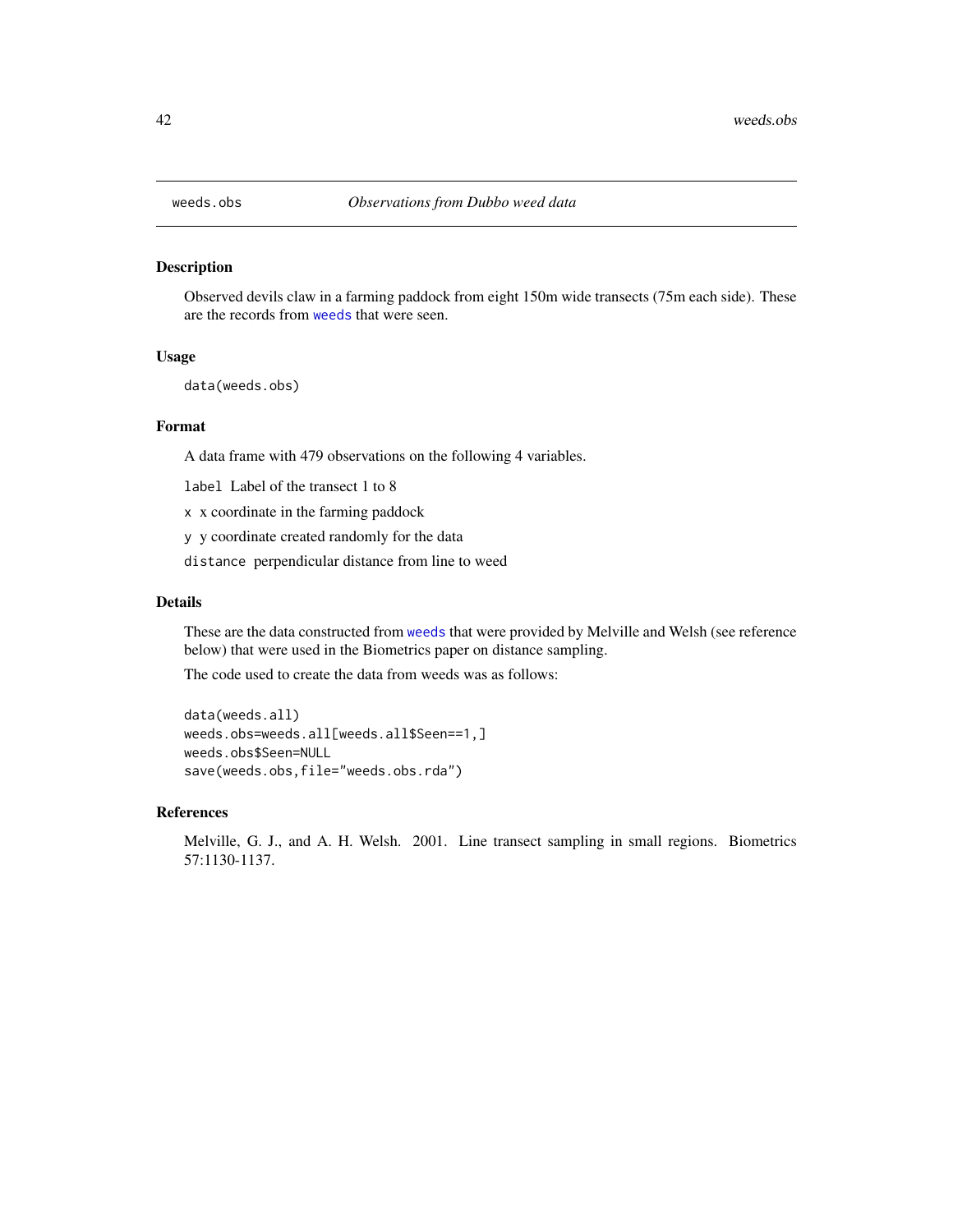Observed devils claw in a farming paddock from eight 150m wide transects (75m each side). These are the records from [weeds](#page-30-1) that were seen.

#### Usage

data(weeds.obs)

# Format

A data frame with 479 observations on the following 4 variables.

label Label of the transect 1 to 8

x x coordinate in the farming paddock

y y coordinate created randomly for the data

distance perpendicular distance from line to weed

# Details

These are the data constructed from [weeds](#page-30-1) that were provided by Melville and Welsh (see reference below) that were used in the Biometrics paper on distance sampling.

The code used to create the data from weeds was as follows:

data(weeds.all) weeds.obs=weeds.all[weeds.all\$Seen==1,] weeds.obs\$Seen=NULL save(weeds.obs,file="weeds.obs.rda")

#### References